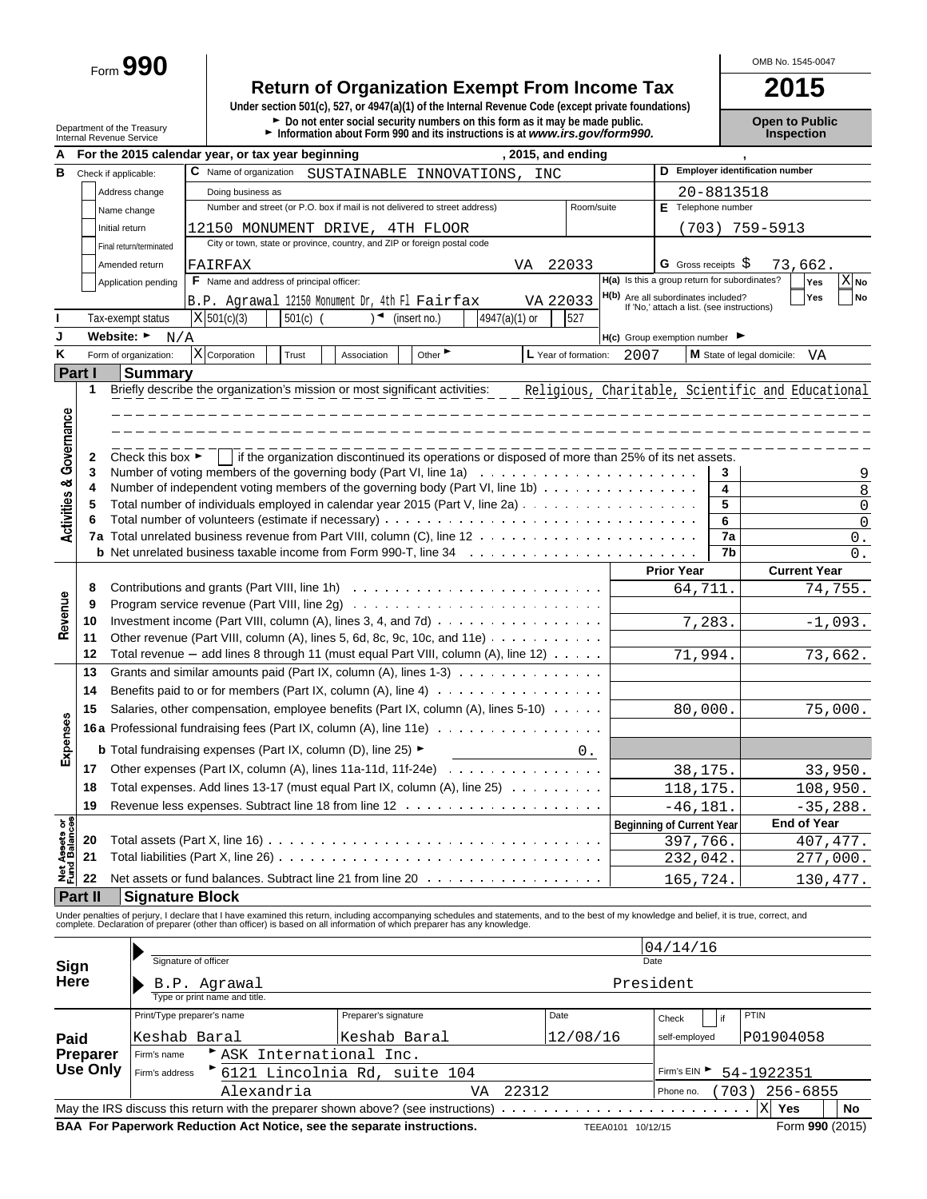Form **990**

# **Return of Organization Exempt From Income Tax**<br>
Under section 501(c), 527, or 4947(a)(1) of the Internal Revenue Code (except private foundations)

Department of the Treasury **Depen to Public**<br>Department of the Treasury **Depen to Public**<br>Internal Revenue Service **Depen to Public Depen internal Revenue Service internal Revenue Service <b>Depen to Public** 

OMB No. 1545-0047

| А                          |         |                                      | , 2015, and ending<br>For the 2015 calendar year, or tax year beginning                                                                                                                                                                                                                                                  |                                                                                   |            |                                                   |                |  |  |  |  |  |  |
|----------------------------|---------|--------------------------------------|--------------------------------------------------------------------------------------------------------------------------------------------------------------------------------------------------------------------------------------------------------------------------------------------------------------------------|-----------------------------------------------------------------------------------|------------|---------------------------------------------------|----------------|--|--|--|--|--|--|
| в                          |         | Check if applicable:                 | C Name of organization SUSTAINABLE INNOVATIONS,<br>INC                                                                                                                                                                                                                                                                   |                                                                                   |            | D Employer identification number                  |                |  |  |  |  |  |  |
|                            |         | Address change                       | Doing business as                                                                                                                                                                                                                                                                                                        |                                                                                   | 20-8813518 |                                                   |                |  |  |  |  |  |  |
|                            |         | Name change                          | Number and street (or P.O. box if mail is not delivered to street address)<br>Room/suite                                                                                                                                                                                                                                 | E Telephone number                                                                |            |                                                   |                |  |  |  |  |  |  |
|                            |         | Initial return                       | 12150 MONUMENT DRIVE, 4TH FLOOR                                                                                                                                                                                                                                                                                          |                                                                                   |            | (703) 759-5913                                    |                |  |  |  |  |  |  |
|                            |         | Final return/terminated              | City or town, state or province, country, and ZIP or foreign postal code                                                                                                                                                                                                                                                 |                                                                                   |            |                                                   |                |  |  |  |  |  |  |
|                            |         | Amended return                       | FAIRFAX<br>22033<br>VA                                                                                                                                                                                                                                                                                                   | <b>G</b> Gross receipts $\varsigma$                                               |            | 73,662.                                           |                |  |  |  |  |  |  |
|                            |         | Application pending                  | F Name and address of principal officer:                                                                                                                                                                                                                                                                                 | H(a) Is this a group return for subordinates?                                     |            | Yes                                               | $X_{N0}$       |  |  |  |  |  |  |
|                            |         |                                      | VA 22033<br>B.P. Agrawal 12150 Monument Dr, 4th Fl Fairfax                                                                                                                                                                                                                                                               | H(b) Are all subordinates included?<br>If 'No,' attach a list. (see instructions) |            | Yes                                               | No             |  |  |  |  |  |  |
|                            |         | Tax-exempt status                    | 4947(a)(1) or<br>X 501(c)(3)<br>◀<br>501(c)<br>(insert no.)<br>527                                                                                                                                                                                                                                                       |                                                                                   |            |                                                   |                |  |  |  |  |  |  |
| J                          |         | Website: ►<br>N/A                    |                                                                                                                                                                                                                                                                                                                          | $H(c)$ Group exemption number $\blacktriangleright$                               |            |                                                   |                |  |  |  |  |  |  |
| Κ                          |         | Form of organization:                | X Corporation<br>Other $\blacktriangleright$<br>L Year of formation:<br>Trust<br>Association                                                                                                                                                                                                                             | 2007                                                                              |            | M State of legal domicile:<br>VA                  |                |  |  |  |  |  |  |
|                            | Part I  | <b>Summary</b>                       |                                                                                                                                                                                                                                                                                                                          |                                                                                   |            |                                                   |                |  |  |  |  |  |  |
|                            | 1       |                                      | Briefly describe the organization's mission or most significant activities:                                                                                                                                                                                                                                              |                                                                                   |            | Religious, Charitable, Scientific and Educational |                |  |  |  |  |  |  |
|                            |         |                                      |                                                                                                                                                                                                                                                                                                                          |                                                                                   |            |                                                   |                |  |  |  |  |  |  |
| Governance                 |         |                                      |                                                                                                                                                                                                                                                                                                                          |                                                                                   |            |                                                   |                |  |  |  |  |  |  |
|                            |         |                                      |                                                                                                                                                                                                                                                                                                                          |                                                                                   |            |                                                   |                |  |  |  |  |  |  |
|                            | 2       | Check this box $\blacktriangleright$ | if the organization discontinued its operations or disposed of more than 25% of its net assets.                                                                                                                                                                                                                          |                                                                                   |            |                                                   |                |  |  |  |  |  |  |
|                            | 3       |                                      | Number of voting members of the governing body (Part VI, line 1a) $\ldots \ldots \ldots \ldots \ldots \ldots \ldots$                                                                                                                                                                                                     |                                                                                   | 3          |                                                   | 9              |  |  |  |  |  |  |
| <b>Activities &amp;</b>    | 4       |                                      | Number of independent voting members of the governing body (Part VI, line 1b)                                                                                                                                                                                                                                            |                                                                                   | 4          |                                                   | 8              |  |  |  |  |  |  |
|                            | 5       |                                      | Total number of individuals employed in calendar year 2015 (Part V, line 2a)                                                                                                                                                                                                                                             |                                                                                   | 5          |                                                   | $\mathsf 0$    |  |  |  |  |  |  |
|                            |         |                                      |                                                                                                                                                                                                                                                                                                                          |                                                                                   | 6<br>7a    |                                                   | $\overline{0}$ |  |  |  |  |  |  |
|                            |         |                                      |                                                                                                                                                                                                                                                                                                                          |                                                                                   | 7b         |                                                   | 0.<br>0.       |  |  |  |  |  |  |
|                            |         |                                      |                                                                                                                                                                                                                                                                                                                          | <b>Prior Year</b>                                                                 |            | <b>Current Year</b>                               |                |  |  |  |  |  |  |
|                            | 8       |                                      |                                                                                                                                                                                                                                                                                                                          | 64,711.                                                                           |            | 74,755.                                           |                |  |  |  |  |  |  |
|                            | 9       |                                      | Program service revenue (Part VIII, line 2g) $\ldots \ldots \ldots \ldots \ldots \ldots \ldots \ldots \ldots \ldots$                                                                                                                                                                                                     |                                                                                   |            |                                                   |                |  |  |  |  |  |  |
| Revenue                    | 10      |                                      | Investment income (Part VIII, column (A), lines 3, 4, and 7d) $\ldots \ldots \ldots \ldots \ldots$                                                                                                                                                                                                                       | 7,283.                                                                            |            | $-1,093.$                                         |                |  |  |  |  |  |  |
|                            | 11      |                                      | Other revenue (Part VIII, column (A), lines 5, 6d, 8c, 9c, 10c, and 11e) $\ldots \ldots \ldots$                                                                                                                                                                                                                          |                                                                                   |            |                                                   |                |  |  |  |  |  |  |
|                            | 12      |                                      | Total revenue $-$ add lines 8 through 11 (must equal Part VIII, column (A), line 12) $\ldots$                                                                                                                                                                                                                            | 71,994.                                                                           |            | 73,662.                                           |                |  |  |  |  |  |  |
|                            | 13      |                                      | Grants and similar amounts paid (Part IX, column (A), lines 1-3) $\ldots$                                                                                                                                                                                                                                                |                                                                                   |            |                                                   |                |  |  |  |  |  |  |
|                            | 14      |                                      | Benefits paid to or for members (Part IX, column $(A)$ , line $A$ ) $\cdots$                                                                                                                                                                                                                                             |                                                                                   |            |                                                   |                |  |  |  |  |  |  |
|                            | 15      |                                      | Salaries, other compensation, employee benefits (Part IX, column (A), lines 5-10)                                                                                                                                                                                                                                        | 80,000.                                                                           |            | 75,000.                                           |                |  |  |  |  |  |  |
| Expenses                   |         |                                      | <b>16a</b> Professional fundraising fees (Part IX, column (A), line 11e)                                                                                                                                                                                                                                                 |                                                                                   |            |                                                   |                |  |  |  |  |  |  |
|                            |         |                                      | <b>b</b> Total fundraising expenses (Part IX, column (D), line 25) $\blacktriangleright$                                                                                                                                                                                                                                 |                                                                                   |            |                                                   |                |  |  |  |  |  |  |
|                            |         |                                      | 0.                                                                                                                                                                                                                                                                                                                       |                                                                                   |            |                                                   |                |  |  |  |  |  |  |
|                            | 17      |                                      | Other expenses (Part IX, column (A), lines 11a-11d, 11f-24e) $\cdots$                                                                                                                                                                                                                                                    | 38,175.                                                                           |            | 33,950.                                           |                |  |  |  |  |  |  |
|                            | 18      |                                      | Total expenses. Add lines 13-17 (must equal Part IX, column (A), line 25)                                                                                                                                                                                                                                                | 118,175.                                                                          |            | 108,950.                                          |                |  |  |  |  |  |  |
| 58                         | 19      |                                      |                                                                                                                                                                                                                                                                                                                          | $-46, 181.$                                                                       |            | $-35, 288.$                                       |                |  |  |  |  |  |  |
|                            |         |                                      |                                                                                                                                                                                                                                                                                                                          | <b>Beginning of Current Year</b>                                                  |            | End of Year                                       |                |  |  |  |  |  |  |
|                            | 20      |                                      |                                                                                                                                                                                                                                                                                                                          | 397,766.                                                                          |            | 407, 477.                                         |                |  |  |  |  |  |  |
| Net Assets<br>Fund Balance | 21      |                                      |                                                                                                                                                                                                                                                                                                                          | 232,042.                                                                          |            | 277,000.                                          |                |  |  |  |  |  |  |
|                            | 22      |                                      | Net assets or fund balances. Subtract line 21 from line 20                                                                                                                                                                                                                                                               | 165,724.                                                                          |            | 130,477.                                          |                |  |  |  |  |  |  |
|                            | Part II | <b>Signature Block</b>               |                                                                                                                                                                                                                                                                                                                          |                                                                                   |            |                                                   |                |  |  |  |  |  |  |
|                            |         |                                      | Under penalties of perjury, I declare that I have examined this return, including accompanying schedules and statements, and to the best of my knowledge and belief, it is true, correct, and<br>complete. Declaration of preparer (other than officer) is based on all information of which preparer has any knowledge. |                                                                                   |            |                                                   |                |  |  |  |  |  |  |
|                            |         |                                      |                                                                                                                                                                                                                                                                                                                          | 04/14/16                                                                          |            |                                                   |                |  |  |  |  |  |  |
| Sign                       |         |                                      | Signature of officer                                                                                                                                                                                                                                                                                                     | Date                                                                              |            |                                                   |                |  |  |  |  |  |  |
| Here                       |         |                                      | B.P. Agrawal                                                                                                                                                                                                                                                                                                             | President                                                                         |            |                                                   |                |  |  |  |  |  |  |
|                            |         |                                      | Type or print name and title                                                                                                                                                                                                                                                                                             |                                                                                   |            |                                                   |                |  |  |  |  |  |  |

|                              | Type or print name and title.                                                                                  |                              |                               |               |             |             |  |  |  |
|------------------------------|----------------------------------------------------------------------------------------------------------------|------------------------------|-------------------------------|---------------|-------------|-------------|--|--|--|
|                              | Print/Type preparer's name                                                                                     |                              | Preparer's signature          | Date          | Check<br>if | <b>PTIN</b> |  |  |  |
| Paid<br>Preparer<br>Use Only | Keshab Baral                                                                                                   | Keshab Baral                 | 12/08/16                      | self-employed | P01904058   |             |  |  |  |
|                              | Firm's name                                                                                                    | ASK International Inc.       |                               |               |             |             |  |  |  |
|                              | Firm's address                                                                                                 | 6121 Lincolnia Rd, suite 104 | Firm's EIN<br>54-1922351      |               |             |             |  |  |  |
|                              |                                                                                                                | Alexandria                   | 256-6855<br>703)<br>Phone no. |               |             |             |  |  |  |
| No<br>X<br>Yes               |                                                                                                                |                              |                               |               |             |             |  |  |  |
|                              | BAA For Paperwork Reduction Act Notice, see the separate instructions.<br>Form 990 (2015)<br>TEEA0101 10/12/15 |                              |                               |               |             |             |  |  |  |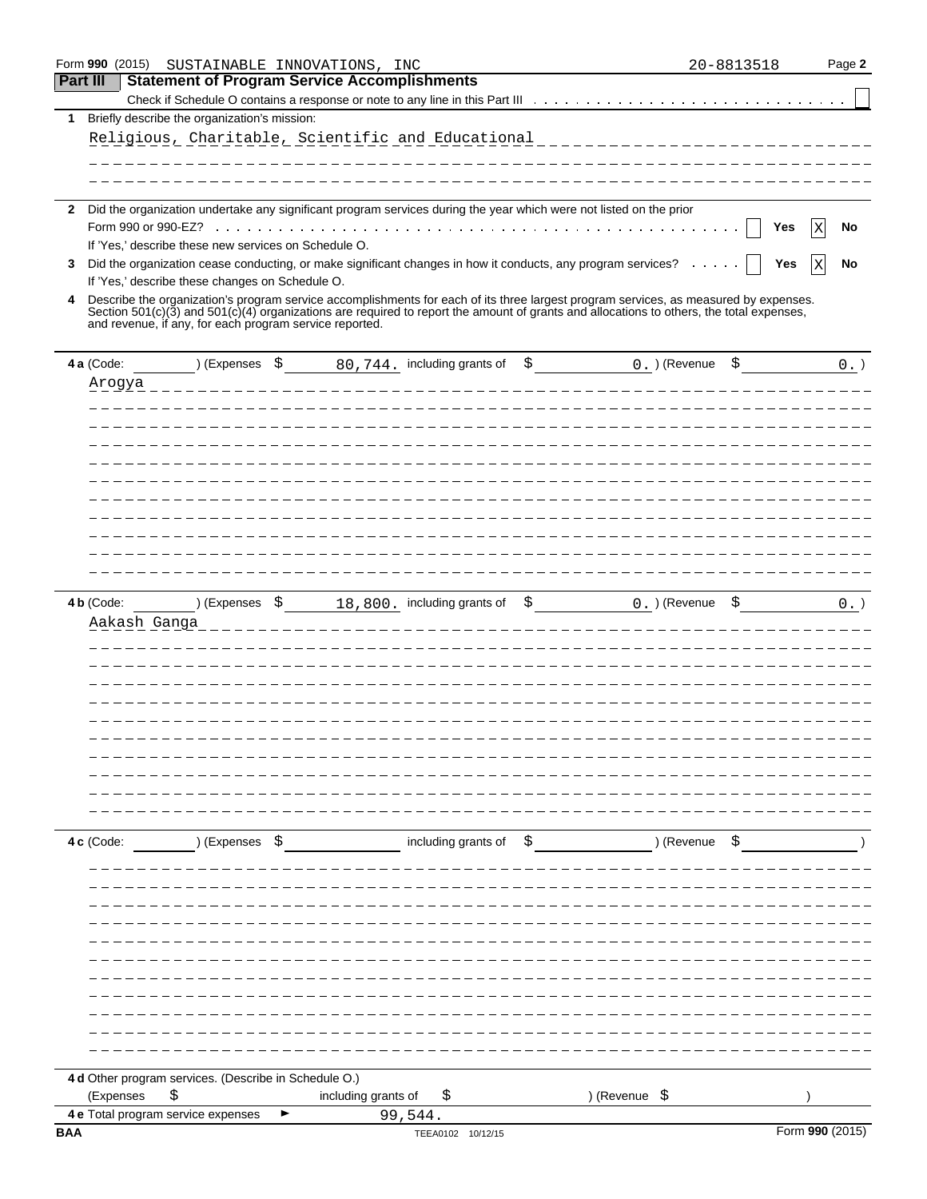|                 | Form 990 (2015) | SUSTAINABLE INNOVATIONS, INC                            |                                                                                                                                                             |                                                                                                                                          | 20-8813518             | Page 2          |
|-----------------|-----------------|---------------------------------------------------------|-------------------------------------------------------------------------------------------------------------------------------------------------------------|------------------------------------------------------------------------------------------------------------------------------------------|------------------------|-----------------|
| <b>Part III</b> |                 |                                                         | <b>Statement of Program Service Accomplishments</b>                                                                                                         |                                                                                                                                          |                        |                 |
|                 |                 |                                                         |                                                                                                                                                             |                                                                                                                                          |                        |                 |
| 1               |                 | Briefly describe the organization's mission:            |                                                                                                                                                             |                                                                                                                                          |                        |                 |
|                 |                 |                                                         | Religious, Charitable, Scientific and Educational                                                                                                           |                                                                                                                                          | ______________________ |                 |
|                 |                 |                                                         |                                                                                                                                                             |                                                                                                                                          |                        |                 |
|                 |                 |                                                         |                                                                                                                                                             |                                                                                                                                          |                        |                 |
| $\mathbf{2}$    |                 |                                                         |                                                                                                                                                             | Did the organization undertake any significant program services during the year which were not listed on the prior                       |                        |                 |
|                 |                 |                                                         |                                                                                                                                                             |                                                                                                                                          | Yes                    | No<br>Х         |
|                 |                 | If 'Yes,' describe these new services on Schedule O.    |                                                                                                                                                             |                                                                                                                                          |                        |                 |
| 3               |                 |                                                         |                                                                                                                                                             | Did the organization cease conducting, or make significant changes in how it conducts, any program services?                             | Yes                    | X<br>No         |
|                 |                 | If 'Yes,' describe these changes on Schedule O.         |                                                                                                                                                             |                                                                                                                                          |                        |                 |
| 4               |                 |                                                         |                                                                                                                                                             | Describe the organization's program service accomplishments for each of its three largest program services, as measured by expenses.     |                        |                 |
|                 |                 | and revenue, if any, for each program service reported. |                                                                                                                                                             | Section 501(c)(3) and 501(c)(4) organizations are required to report the amount of grants and allocations to others, the total expenses, |                        |                 |
|                 |                 |                                                         |                                                                                                                                                             |                                                                                                                                          |                        |                 |
|                 | 4 a (Code:      |                                                         | $\begin{array}{ccc} \text{S} & \text{S} & \text{S} & \text{S} \end{array}$ 20, 744. including grants of $\begin{array}{cc} \text{S} & \text{S} \end{array}$ | 0. ) (Revenue                                                                                                                            | \$                     | $0.$ )          |
|                 | Arogya          |                                                         |                                                                                                                                                             |                                                                                                                                          |                        |                 |
|                 |                 |                                                         |                                                                                                                                                             |                                                                                                                                          |                        |                 |
|                 |                 |                                                         |                                                                                                                                                             |                                                                                                                                          |                        |                 |
|                 |                 |                                                         |                                                                                                                                                             |                                                                                                                                          |                        |                 |
|                 |                 |                                                         |                                                                                                                                                             |                                                                                                                                          |                        |                 |
|                 |                 |                                                         |                                                                                                                                                             |                                                                                                                                          |                        |                 |
|                 |                 |                                                         |                                                                                                                                                             |                                                                                                                                          |                        |                 |
|                 |                 |                                                         |                                                                                                                                                             |                                                                                                                                          |                        |                 |
|                 |                 |                                                         |                                                                                                                                                             |                                                                                                                                          |                        |                 |
|                 |                 |                                                         |                                                                                                                                                             |                                                                                                                                          |                        |                 |
|                 |                 |                                                         |                                                                                                                                                             |                                                                                                                                          |                        |                 |
|                 |                 |                                                         |                                                                                                                                                             |                                                                                                                                          |                        |                 |
|                 | 4 b (Code:      | ) (Expenses \$                                          | 18,800. including grants of                                                                                                                                 | 0. ) (Revenue<br>\$                                                                                                                      | \$                     | $0.$ )          |
|                 | Aakash Ganga    |                                                         |                                                                                                                                                             |                                                                                                                                          |                        |                 |
|                 |                 |                                                         |                                                                                                                                                             |                                                                                                                                          |                        |                 |
|                 |                 |                                                         |                                                                                                                                                             |                                                                                                                                          |                        |                 |
|                 |                 |                                                         |                                                                                                                                                             |                                                                                                                                          |                        |                 |
|                 |                 |                                                         |                                                                                                                                                             |                                                                                                                                          |                        |                 |
|                 |                 |                                                         |                                                                                                                                                             |                                                                                                                                          |                        |                 |
|                 |                 |                                                         |                                                                                                                                                             |                                                                                                                                          |                        |                 |
|                 |                 |                                                         |                                                                                                                                                             |                                                                                                                                          |                        |                 |
|                 |                 |                                                         |                                                                                                                                                             |                                                                                                                                          |                        |                 |
|                 |                 |                                                         |                                                                                                                                                             |                                                                                                                                          |                        |                 |
|                 |                 |                                                         |                                                                                                                                                             |                                                                                                                                          |                        |                 |
|                 | 4 c (Code:      | ) (Expenses \$                                          | including grants of                                                                                                                                         | \$                                                                                                                                       | ) (Revenue<br>\$       |                 |
|                 |                 |                                                         |                                                                                                                                                             |                                                                                                                                          |                        |                 |
|                 |                 |                                                         |                                                                                                                                                             |                                                                                                                                          |                        |                 |
|                 |                 |                                                         |                                                                                                                                                             |                                                                                                                                          |                        |                 |
|                 |                 |                                                         |                                                                                                                                                             |                                                                                                                                          |                        |                 |
|                 |                 |                                                         |                                                                                                                                                             |                                                                                                                                          |                        |                 |
|                 |                 |                                                         |                                                                                                                                                             |                                                                                                                                          |                        |                 |
|                 |                 |                                                         |                                                                                                                                                             |                                                                                                                                          |                        |                 |
|                 |                 |                                                         |                                                                                                                                                             |                                                                                                                                          |                        |                 |
|                 |                 |                                                         |                                                                                                                                                             |                                                                                                                                          |                        |                 |
|                 |                 |                                                         |                                                                                                                                                             |                                                                                                                                          |                        |                 |
|                 |                 |                                                         |                                                                                                                                                             |                                                                                                                                          |                        |                 |
|                 |                 | 4 d Other program services. (Describe in Schedule O.)   |                                                                                                                                                             |                                                                                                                                          |                        |                 |
|                 | (Expenses       | \$                                                      | including grants of<br>Ş                                                                                                                                    | ) (Revenue \$                                                                                                                            |                        |                 |
|                 |                 | 4 e Total program service expenses                      | 99,544.                                                                                                                                                     |                                                                                                                                          |                        |                 |
| <b>BAA</b>      |                 |                                                         | TEEA0102 10/12/15                                                                                                                                           |                                                                                                                                          |                        | Form 990 (2015) |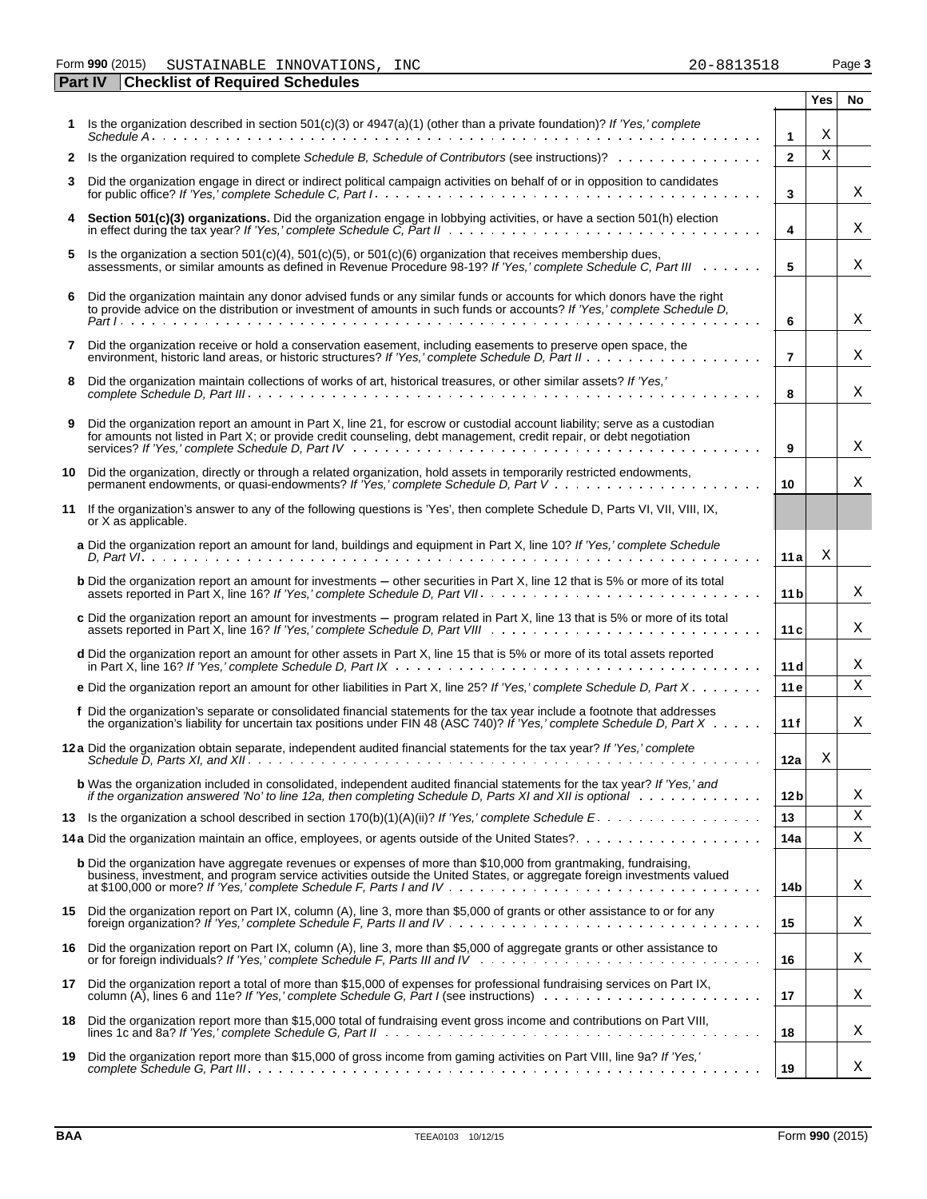#### Form **990** (2015) Page **3** SUSTAINABLE INNOVATIONS, INC 20-8813518

|    | <b>Part IV</b> | <b>Checklist of Required Schedules</b>                                                                                                                                                                                                                                  |                 |            |    |
|----|----------------|-------------------------------------------------------------------------------------------------------------------------------------------------------------------------------------------------------------------------------------------------------------------------|-----------------|------------|----|
|    |                |                                                                                                                                                                                                                                                                         |                 | <b>Yes</b> | No |
|    |                | 1 Is the organization described in section $501(c)(3)$ or $4947(a)(1)$ (other than a private foundation)? If 'Yes,' complete                                                                                                                                            | $\mathbf{1}$    | Χ          |    |
|    |                | 2 Is the organization required to complete Schedule B, Schedule of Contributors (see instructions)?                                                                                                                                                                     | $\mathbf{2}$    | X          |    |
| 3  |                | Did the organization engage in direct or indirect political campaign activities on behalf of or in opposition to candidates                                                                                                                                             | 3               |            | Χ  |
|    |                | Section 501(c)(3) organizations. Did the organization engage in lobbying activities, or have a section 501(h) election                                                                                                                                                  | 4               |            | Χ  |
| 5  |                | Is the organization a section $501(c)(4)$ , $501(c)(5)$ , or $501(c)(6)$ organization that receives membership dues,<br>assessments, or similar amounts as defined in Revenue Procedure 98-19? If 'Yes,' complete Schedule C, Part III                                  | 5               |            | Χ  |
| 6  |                | Did the organization maintain any donor advised funds or any similar funds or accounts for which donors have the right<br>to provide advice on the distribution or investment of amounts in such funds or accounts? If 'Yes,' complete Schedule D,                      | 6               |            | Χ  |
| 7  |                | Did the organization receive or hold a conservation easement, including easements to preserve open space, the                                                                                                                                                           | $\overline{7}$  |            | Χ  |
| 8  |                | Did the organization maintain collections of works of art, historical treasures, or other similar assets? If 'Yes,'                                                                                                                                                     | 8               |            | Χ  |
| 9  |                | Did the organization report an amount in Part X, line 21, for escrow or custodial account liability; serve as a custodian<br>for amounts not listed in Part X; or provide credit counseling, debt management, credit repair, or debt negotiation                        | 9               |            | Χ  |
| 10 |                | Did the organization, directly or through a related organization, hold assets in temporarily restricted endowments,                                                                                                                                                     | 10              |            | Χ  |
| 11 |                | If the organization's answer to any of the following questions is 'Yes', then complete Schedule D, Parts VI, VII, VIII, IX,<br>or X as applicable.                                                                                                                      |                 |            |    |
|    |                | a Did the organization report an amount for land, buildings and equipment in Part X, line 10? If 'Yes,' complete Schedule                                                                                                                                               | 11a             | Χ          |    |
|    |                | <b>b</b> Did the organization report an amount for investments – other securities in Part X, line 12 that is 5% or more of its total                                                                                                                                    | 11 <sub>b</sub> |            | Χ  |
|    |                | c Did the organization report an amount for investments – program related in Part X, line 13 that is 5% or more of its total                                                                                                                                            | 11c             |            | Χ  |
|    |                | d Did the organization report an amount for other assets in Part X, line 15 that is 5% or more of its total assets reported                                                                                                                                             | 11d             |            | Χ  |
|    |                | e Did the organization report an amount for other liabilities in Part X, line 25? If 'Yes,' complete Schedule D, Part $X \cdot \cdot \cdot \cdot$                                                                                                                       | 11e             |            | Χ  |
|    |                | f Did the organization's separate or consolidated financial statements for the tax year include a footnote that addresses<br>the organization's liability for uncertain tax positions under FIN 48 (ASC 740)? If 'Yes,' complete Schedule D, Part $X \cdot \cdot \cdot$ | 11 f            |            | Χ  |
|    |                | 12 a Did the organization obtain separate, independent audited financial statements for the tax year? If 'Yes,' complete                                                                                                                                                | 12a             | Χ          |    |
|    |                | <b>b</b> Was the organization included in consolidated, independent audited financial statements for the tax year? If 'Yes,' and<br>if the organization answered 'No' to line 12a, then completing Schedule D, Parts XI and XII is optional wimbed we                   | 12 b            |            | Χ  |
|    |                | 13 Is the organization a school described in section 170(b)(1)(A)(ii)? If 'Yes,' complete Schedule E.                                                                                                                                                                   | 13              |            | Χ  |
|    |                |                                                                                                                                                                                                                                                                         | 14a             |            | Χ  |
|    |                | <b>b</b> Did the organization have aggregate revenues or expenses of more than \$10,000 from grantmaking, fundraising,<br>business, investment, and program service activities outside the United States, or aggregate foreign investments valued                       | 14b             |            | Χ  |
|    |                | 15 Did the organization report on Part IX, column (A), line 3, more than \$5,000 of grants or other assistance to or for any                                                                                                                                            | 15              |            | Χ  |
| 16 |                | Did the organization report on Part IX, column (A), line 3, more than \$5,000 of aggregate grants or other assistance to                                                                                                                                                | 16              |            | Χ  |
| 17 |                | Did the organization report a total of more than \$15,000 of expenses for professional fundraising services on Part IX,                                                                                                                                                 | 17              |            | Χ  |
| 18 |                | Did the organization report more than \$15,000 total of fundraising event gross income and contributions on Part VIII,                                                                                                                                                  | 18              |            | Χ  |
| 19 |                | Did the organization report more than \$15,000 of gross income from gaming activities on Part VIII, line 9a? If 'Yes,'                                                                                                                                                  | 19              |            | Χ  |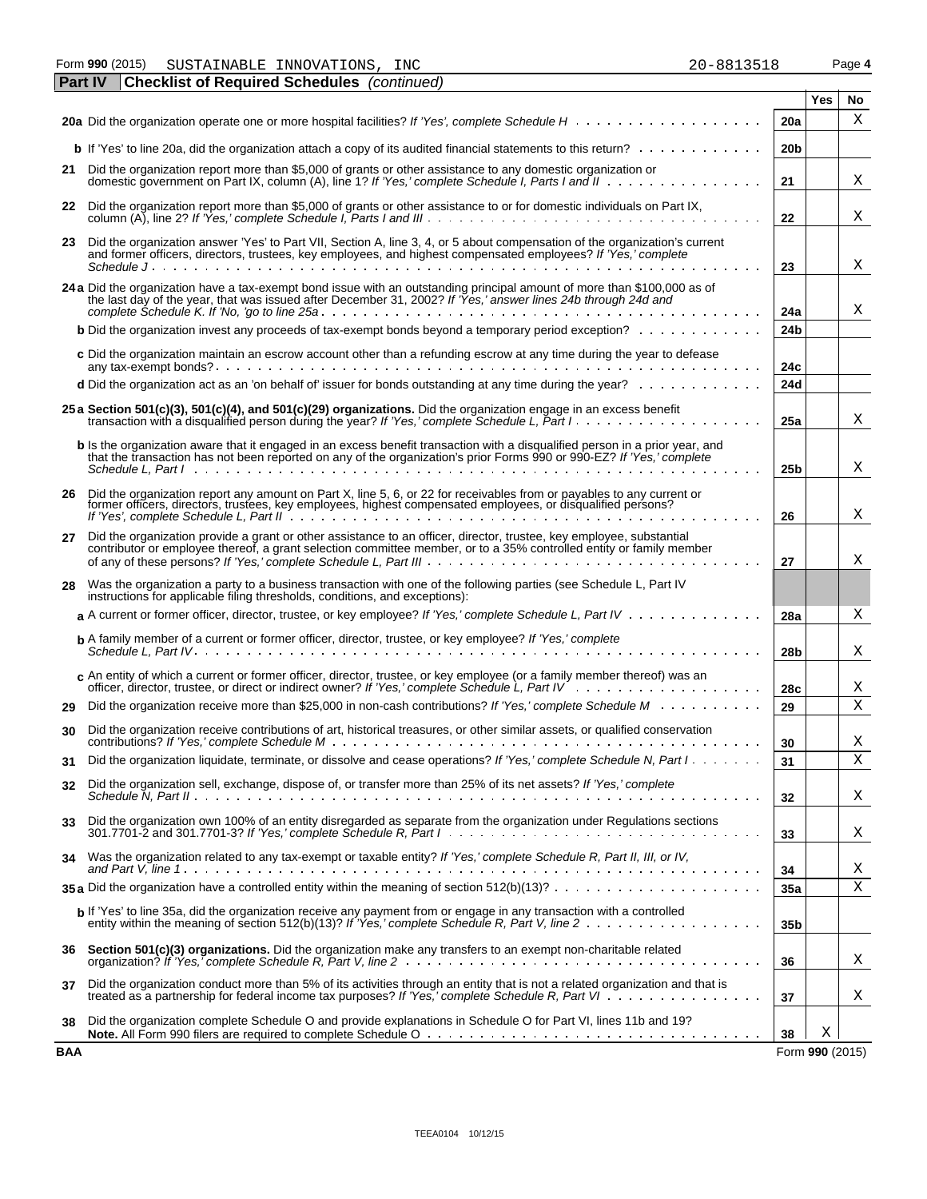Form **990** (2015) Page **4** SUSTAINABLE INNOVATIONS, INC 20-8813518

|     | <b>Checklist of Required Schedules</b> (continued)<br><b>Part IV</b>                                                                                                                                                                                  |                 |                 |    |
|-----|-------------------------------------------------------------------------------------------------------------------------------------------------------------------------------------------------------------------------------------------------------|-----------------|-----------------|----|
|     |                                                                                                                                                                                                                                                       |                 | Yes             | No |
|     |                                                                                                                                                                                                                                                       | <b>20a</b>      |                 | X  |
|     | <b>b</b> If 'Yes' to line 20a, did the organization attach a copy of its audited financial statements to this return?                                                                                                                                 | 20 <sub>b</sub> |                 |    |
|     | 21 Did the organization report more than \$5,000 of grants or other assistance to any domestic organization or                                                                                                                                        | 21              |                 | Χ  |
|     | 22 Did the organization report more than \$5,000 of grants or other assistance to or for domestic individuals on Part IX,                                                                                                                             | 22              |                 | Χ  |
|     | 23 Did the organization answer 'Yes' to Part VII, Section A, line 3, 4, or 5 about compensation of the organization's current<br>and former officers, directors, trustees, key employees, and highest compensated employees? If 'Yes,' complete       |                 |                 |    |
|     | Schedule June 1, Alexander June 1, Alexander Schedule June 1, 1996                                                                                                                                                                                    | 23              |                 | Χ  |
|     | 24 a Did the organization have a tax-exempt bond issue with an outstanding principal amount of more than \$100,000 as of the last day of the year, that was issued after December 31, 2002? If 'Yes,' answer lines 24b through                        | 24a             |                 | Χ  |
|     | <b>b</b> Did the organization invest any proceeds of tax-exempt bonds beyond a temporary period exception?                                                                                                                                            | 24 <sub>b</sub> |                 |    |
|     | c Did the organization maintain an escrow account other than a refunding escrow at any time during the year to defease                                                                                                                                | 24c             |                 |    |
|     | d Did the organization act as an 'on behalf of' issuer for bonds outstanding at any time during the year?                                                                                                                                             | 24d             |                 |    |
|     | 25 a Section 501(c)(3), 501(c)(4), and 501(c)(29) organizations. Did the organization engage in an excess benefit<br>transaction with a disqualified person during the year? If 'Yes,' complete Schedule L, Part I                                    | 25a             |                 | Χ  |
|     | b Is the organization aware that it engaged in an excess benefit transaction with a disqualified person in a prior year, and<br>that the transaction has not been reported on any of the organization's prior Forms 990 or 990-EZ? If 'Yes,' complete | 25 <sub>b</sub> |                 | Χ  |
|     |                                                                                                                                                                                                                                                       |                 |                 |    |
| 26  | Did the organization report any amount on Part X, line 5, 6, or 22 for receivables from or payables to any current or former officers, directors, trustees, key employees, highest compensated employees, or disqualified pers                        | 26              |                 | х  |
| 27  | Did the organization provide a grant or other assistance to an officer, director, trustee, key employee, substantial<br>contributor or employee thereof, a grant selection committee member, or to a 35% controlled entity or family member           | 27              |                 | х  |
| 28  | Was the organization a party to a business transaction with one of the following parties (see Schedule L, Part IV<br>instructions for applicable filing thresholds, conditions, and exceptions):                                                      |                 |                 |    |
|     | a A current or former officer, director, trustee, or key employee? If 'Yes,' complete Schedule L, Part IV                                                                                                                                             | 28a             |                 | Χ  |
|     | <b>b</b> A family member of a current or former officer, director, trustee, or key employee? If 'Yes,' complete                                                                                                                                       | 28 <sub>b</sub> |                 | Χ  |
|     | c An entity of which a current or former officer, director, trustee, or key employee (or a family member thereof) was an                                                                                                                              | 28c             |                 | Χ  |
| 29  | Did the organization receive more than \$25,000 in non-cash contributions? If 'Yes,' complete Schedule M                                                                                                                                              | 29              |                 | X  |
| 30  | Did the organization receive contributions of art, historical treasures, or other similar assets, or qualified conservation                                                                                                                           | 30              |                 | Χ  |
| 31  | Did the organization liquidate, terminate, or dissolve and cease operations? If 'Yes,' complete Schedule N, Part I                                                                                                                                    | 31              |                 | Χ  |
| 32  | Did the organization sell, exchange, dispose of, or transfer more than 25% of its net assets? If 'Yes,' complete                                                                                                                                      | 32              |                 | х  |
| 33  | Did the organization own 100% of an entity disregarded as separate from the organization under Regulations sections                                                                                                                                   | 33              |                 | х  |
| 34  | Was the organization related to any tax-exempt or taxable entity? If 'Yes,' complete Schedule R, Part II, III, or IV,                                                                                                                                 | 34              |                 | Χ  |
|     | 35 a Did the organization have a controlled entity within the meaning of section $512(b)(13)? \ldots \ldots \ldots \ldots \ldots \ldots \ldots$                                                                                                       | 35a             |                 | Χ  |
|     | b If 'Yes' to line 35a, did the organization receive any payment from or engage in any transaction with a controlled                                                                                                                                  | 35 <sub>b</sub> |                 |    |
|     | 36 Section 501(c)(3) organizations. Did the organization make any transfers to an exempt non-charitable related                                                                                                                                       | 36              |                 | Χ  |
| 37  | Did the organization conduct more than 5% of its activities through an entity that is not a related organization and that is<br>treated as a partnership for federal income tax purposes? If 'Yes,' complete Schedule R, Part VI                      | 37              |                 | Χ  |
| 38  | Did the organization complete Schedule O and provide explanations in Schedule O for Part VI, lines 11b and 19?                                                                                                                                        | 38              | Χ               |    |
| BAA |                                                                                                                                                                                                                                                       |                 | Form 990 (2015) |    |

| $20 - 8813518$ |  |  |
|----------------|--|--|
|                |  |  |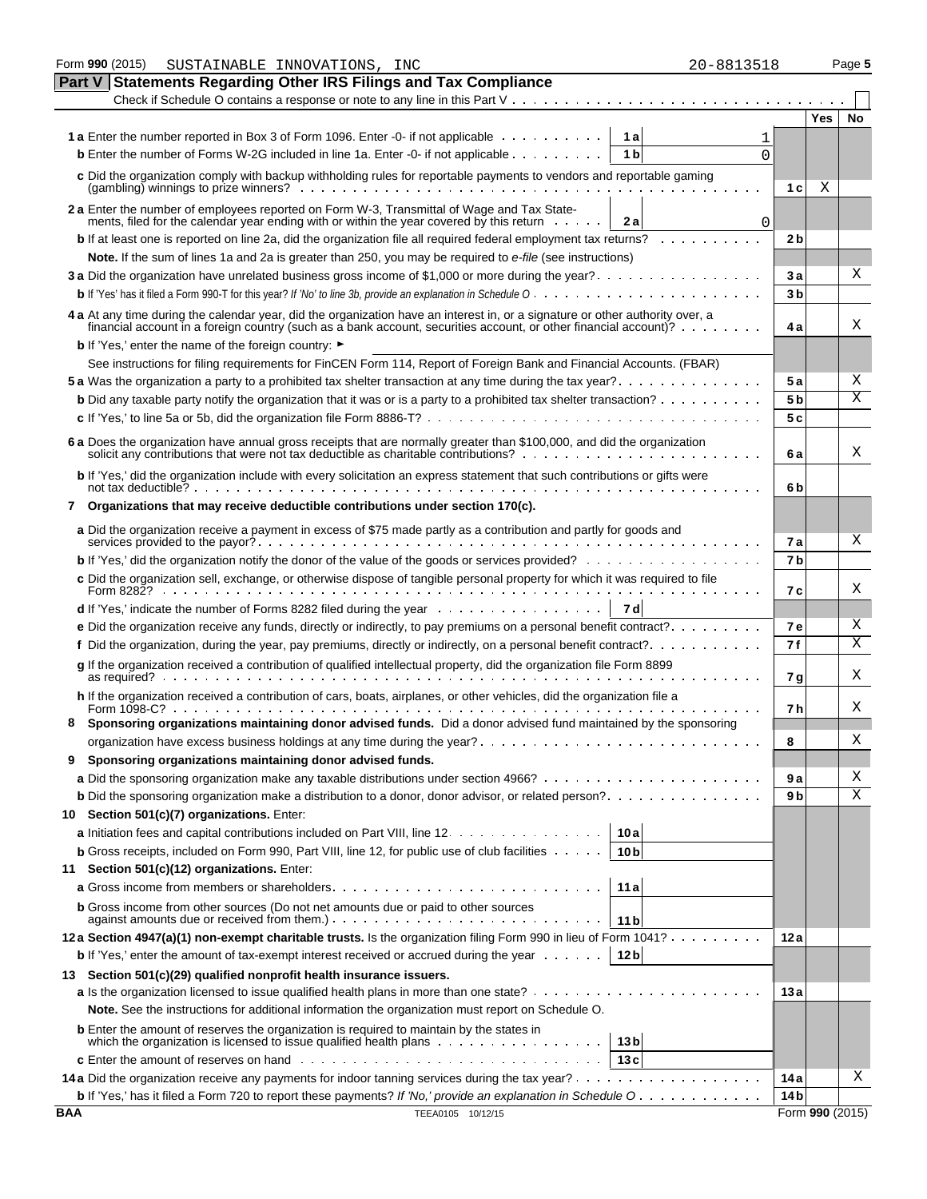|     | Form 990 (2015)<br>20-8813518<br>SUSTAINABLE INNOVATIONS, INC                                                                                                                                                                                     |                      |                 | Page 5 |
|-----|---------------------------------------------------------------------------------------------------------------------------------------------------------------------------------------------------------------------------------------------------|----------------------|-----------------|--------|
|     | <b>Statements Regarding Other IRS Filings and Tax Compliance</b><br><b>Part V</b>                                                                                                                                                                 |                      |                 |        |
|     |                                                                                                                                                                                                                                                   |                      |                 |        |
|     |                                                                                                                                                                                                                                                   |                      | Yes             | No     |
|     | <b>1a</b> Enter the number reported in Box 3 of Form 1096. Enter -0- if not applicable<br>1al                                                                                                                                                     |                      |                 |        |
|     | <b>b</b> Enter the number of Forms W-2G included in line 1a. Enter -0- if not applicable<br>1 <sub>b</sub><br>$\Omega$                                                                                                                            |                      |                 |        |
|     | c Did the organization comply with backup withholding rules for reportable payments to vendors and reportable gaming                                                                                                                              | 1 <sub>c</sub>       | Χ               |        |
|     | 2 a Enter the number of employees reported on Form W-3, Transmittal of Wage and Tax State-                                                                                                                                                        |                      |                 |        |
|     | ments, filed for the calendar year ending with or within the year covered by this return<br>2a<br>0                                                                                                                                               |                      |                 |        |
|     | <b>b</b> If at least one is reported on line 2a, did the organization file all required federal employment tax returns?                                                                                                                           | 2 <sub>b</sub>       |                 |        |
|     | Note. If the sum of lines 1a and 2a is greater than 250, you may be required to e-file (see instructions)                                                                                                                                         |                      |                 | Χ      |
|     | 3 a Did the organization have unrelated business gross income of \$1,000 or more during the year?                                                                                                                                                 | 3a<br>3 <sub>b</sub> |                 |        |
|     |                                                                                                                                                                                                                                                   |                      |                 |        |
|     | 4 a At any time during the calendar year, did the organization have an interest in, or a signature or other authority over, a<br>financial account in a foreign country (such as a bank account, securities account, or other financial account)? | 4 a                  |                 | Χ      |
|     | <b>b</b> If 'Yes,' enter the name of the foreign country: ►                                                                                                                                                                                       |                      |                 |        |
|     | See instructions for filing requirements for FinCEN Form 114, Report of Foreign Bank and Financial Accounts. (FBAR)                                                                                                                               |                      |                 |        |
|     |                                                                                                                                                                                                                                                   | 5 a                  |                 | Χ      |
|     | <b>b</b> Did any taxable party notify the organization that it was or is a party to a prohibited tax shelter transaction? $\ldots \ldots \ldots$                                                                                                  | 5 <sub>b</sub>       |                 | Χ      |
|     |                                                                                                                                                                                                                                                   | 5 c                  |                 |        |
|     | 6 a Does the organization have annual gross receipts that are normally greater than \$100,000, and did the organization solicit any contributions that were not tax deductible as charitable contributions?                                       | 6 a                  |                 | Χ      |
|     | b If 'Yes,' did the organization include with every solicitation an express statement that such contributions or gifts were                                                                                                                       | 6b                   |                 |        |
| 7   | Organizations that may receive deductible contributions under section 170(c).                                                                                                                                                                     |                      |                 |        |
|     | a Did the organization receive a payment in excess of \$75 made partly as a contribution and partly for goods and                                                                                                                                 |                      |                 |        |
|     |                                                                                                                                                                                                                                                   | 7а                   |                 | X      |
|     | <b>b</b> If 'Yes,' did the organization notify the donor of the value of the goods or services provided?                                                                                                                                          | 7 <sub>b</sub>       |                 |        |
|     | c Did the organization sell, exchange, or otherwise dispose of tangible personal property for which it was required to file                                                                                                                       | 7 c                  |                 | X      |
|     | <b>d</b> If 'Yes,' indicate the number of Forms 8282 filed during the year $\ldots \ldots \ldots \ldots \ldots$<br>7 dl                                                                                                                           |                      |                 |        |
|     | e Did the organization receive any funds, directly or indirectly, to pay premiums on a personal benefit contract?                                                                                                                                 | <b>7e</b>            |                 | Χ      |
|     |                                                                                                                                                                                                                                                   | 7 f                  |                 | Х      |
|     | g If the organization received a contribution of qualified intellectual property, did the organization file Form 8899<br>as required? $\cdots$                                                                                                    | 7 g                  |                 | Χ      |
|     | h If the organization received a contribution of cars, boats, airplanes, or other vehicles, did the organization file a                                                                                                                           | 7 h                  |                 | Χ      |
|     | Sponsoring organizations maintaining donor advised funds. Did a donor advised fund maintained by the sponsoring                                                                                                                                   |                      |                 |        |
|     |                                                                                                                                                                                                                                                   | 8                    |                 | Χ      |
| 9   | Sponsoring organizations maintaining donor advised funds.                                                                                                                                                                                         |                      |                 |        |
|     |                                                                                                                                                                                                                                                   | 9а                   |                 | Χ      |
|     | <b>b</b> Did the sponsoring organization make a distribution to a donor, donor advisor, or related person?                                                                                                                                        | 9 b                  |                 | Χ      |
| 10  | Section 501(c)(7) organizations. Enter:                                                                                                                                                                                                           |                      |                 |        |
|     | a Initiation fees and capital contributions included on Part VIII, line 12.<br>10a                                                                                                                                                                |                      |                 |        |
|     | <b>b</b> Gross receipts, included on Form 990, Part VIII, line 12, for public use of club facilities $\cdots$ .<br>10 <sub>b</sub>                                                                                                                |                      |                 |        |
| 11  | Section 501(c)(12) organizations. Enter:                                                                                                                                                                                                          |                      |                 |        |
|     | 11 a                                                                                                                                                                                                                                              |                      |                 |        |
|     | <b>b</b> Gross income from other sources (Do not net amounts due or paid to other sources<br>11b                                                                                                                                                  |                      |                 |        |
|     | 12a Section 4947(a)(1) non-exempt charitable trusts. Is the organization filing Form 990 in lieu of Form 1041?                                                                                                                                    | 12 a                 |                 |        |
|     | 12 <sub>b</sub><br><b>b</b> If 'Yes,' enter the amount of tax-exempt interest received or accrued during the year $\dots \dots$                                                                                                                   |                      |                 |        |
| 13  | Section 501(c)(29) qualified nonprofit health insurance issuers.                                                                                                                                                                                  |                      |                 |        |
|     |                                                                                                                                                                                                                                                   | 13 a                 |                 |        |
|     | Note. See the instructions for additional information the organization must report on Schedule O.                                                                                                                                                 |                      |                 |        |
|     | <b>b</b> Enter the amount of reserves the organization is required to maintain by the states in                                                                                                                                                   |                      |                 |        |
|     | which the organization is licensed to issue qualified health plans<br>13 <sub>b</sub><br>13c                                                                                                                                                      |                      |                 |        |
|     |                                                                                                                                                                                                                                                   | 14 a                 |                 | Χ      |
|     | b If 'Yes,' has it filed a Form 720 to report these payments? If 'No,' provide an explanation in Schedule O                                                                                                                                       | 14 <sub>b</sub>      |                 |        |
| BAA | TEEA0105 10/12/15                                                                                                                                                                                                                                 |                      | Form 990 (2015) |        |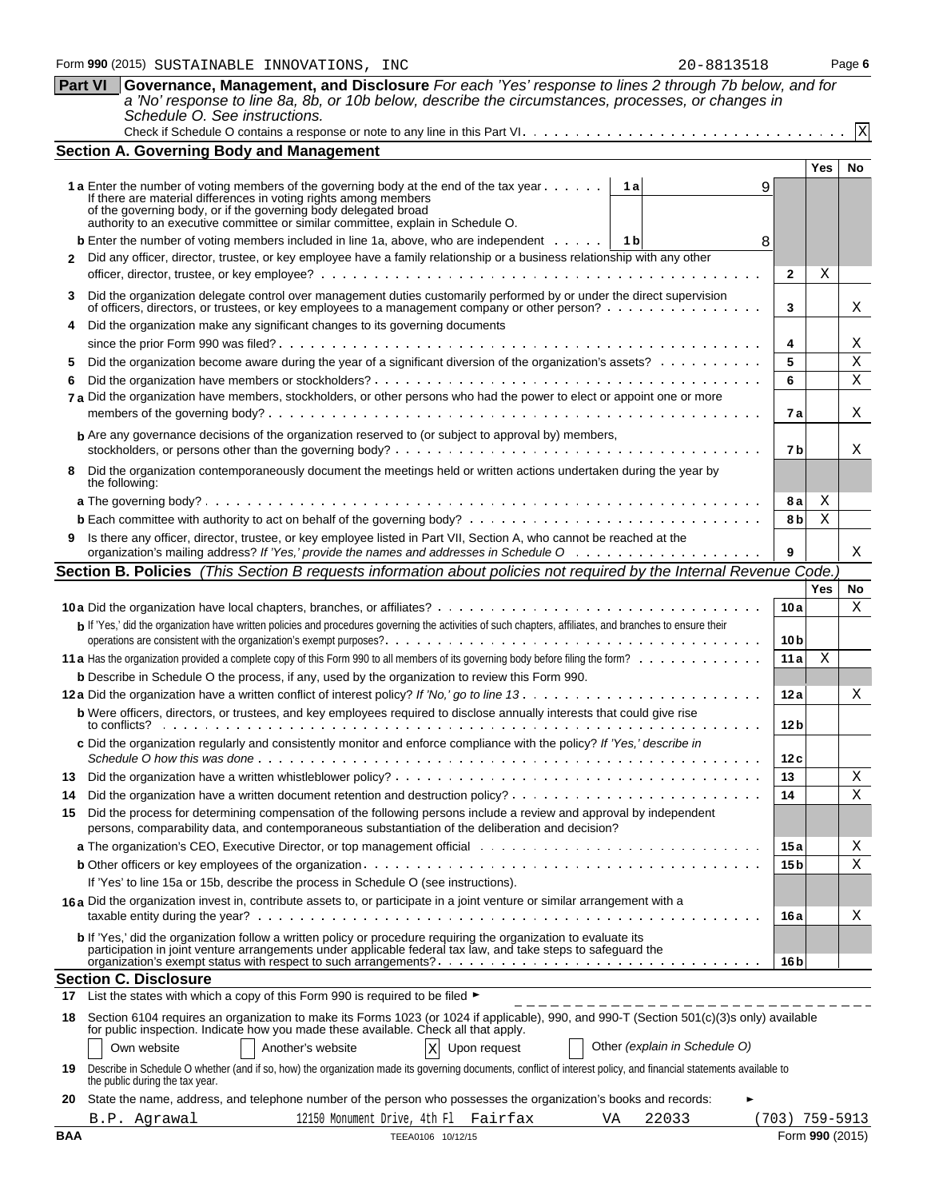| Part VI Governance, Management, and Disclosure For each 'Yes' response to lines 2 through 7b below, and for |
|-------------------------------------------------------------------------------------------------------------|
| a 'No' response to line 8a, 8b, or 10b below, describe the circumstances, processes, or changes in          |
| Schedule O. See instructions.                                                                               |
|                                                                                                             |

|                                                                                                                 | <b>Section A. Governing Body and Management</b>                                                                                                                                                                                                                                                                                            |                 |            |              |  |  |  |  |  |
|-----------------------------------------------------------------------------------------------------------------|--------------------------------------------------------------------------------------------------------------------------------------------------------------------------------------------------------------------------------------------------------------------------------------------------------------------------------------------|-----------------|------------|--------------|--|--|--|--|--|
|                                                                                                                 |                                                                                                                                                                                                                                                                                                                                            |                 | Yes        | No           |  |  |  |  |  |
|                                                                                                                 | <b>1 a</b> Enter the number of voting members of the governing body at the end of the tax year $\dots$<br>1 a<br>9<br>If there are material differences in voting rights among members<br>of the governing body, or if the governing body delegated broad authority to an executive committee or similar committee, explain in Schedule O. |                 |            |              |  |  |  |  |  |
|                                                                                                                 | <b>b</b> Enter the number of voting members included in line 1a, above, who are independent $\dots$ , $\begin{bmatrix} 1 & b \end{bmatrix}$<br>8                                                                                                                                                                                           |                 |            |              |  |  |  |  |  |
| 2                                                                                                               | Did any officer, director, trustee, or key employee have a family relationship or a business relationship with any other                                                                                                                                                                                                                   |                 |            |              |  |  |  |  |  |
|                                                                                                                 |                                                                                                                                                                                                                                                                                                                                            |                 |            |              |  |  |  |  |  |
| 3                                                                                                               | Did the organization delegate control over management duties customarily performed by or under the direct supervision<br>of officers, directors, or trustees, or key employees to a management company or other person?                                                                                                                    | 3               |            | X            |  |  |  |  |  |
|                                                                                                                 | Did the organization make any significant changes to its governing documents                                                                                                                                                                                                                                                               |                 |            |              |  |  |  |  |  |
|                                                                                                                 |                                                                                                                                                                                                                                                                                                                                            |                 |            |              |  |  |  |  |  |
| Did the organization become aware during the year of a significant diversion of the organization's assets?<br>5 |                                                                                                                                                                                                                                                                                                                                            |                 |            |              |  |  |  |  |  |
| 6                                                                                                               |                                                                                                                                                                                                                                                                                                                                            | 6               |            | X            |  |  |  |  |  |
|                                                                                                                 | 7 a Did the organization have members, stockholders, or other persons who had the power to elect or appoint one or more                                                                                                                                                                                                                    | 7 a             |            | Χ            |  |  |  |  |  |
|                                                                                                                 | <b>b</b> Are any governance decisions of the organization reserved to (or subject to approval by) members,                                                                                                                                                                                                                                 | 7b              |            | X            |  |  |  |  |  |
| 8                                                                                                               | Did the organization contemporaneously document the meetings held or written actions undertaken during the year by<br>the following:                                                                                                                                                                                                       |                 |            |              |  |  |  |  |  |
|                                                                                                                 |                                                                                                                                                                                                                                                                                                                                            | 8а              | Χ          |              |  |  |  |  |  |
|                                                                                                                 |                                                                                                                                                                                                                                                                                                                                            | 8 b             | Χ          |              |  |  |  |  |  |
|                                                                                                                 | Is there any officer, director, trustee, or key employee listed in Part VII, Section A, who cannot be reached at the                                                                                                                                                                                                                       | 9               |            | X            |  |  |  |  |  |
|                                                                                                                 | Section B. Policies (This Section B requests information about policies not required by the Internal Revenue Code.                                                                                                                                                                                                                         |                 |            |              |  |  |  |  |  |
|                                                                                                                 |                                                                                                                                                                                                                                                                                                                                            |                 | <b>Yes</b> | No           |  |  |  |  |  |
|                                                                                                                 |                                                                                                                                                                                                                                                                                                                                            | 10a             |            | X            |  |  |  |  |  |
|                                                                                                                 | b If 'Yes,' did the organization have written policies and procedures governing the activities of such chapters, affiliates, and branches to ensure their                                                                                                                                                                                  |                 |            |              |  |  |  |  |  |
|                                                                                                                 |                                                                                                                                                                                                                                                                                                                                            | 10 <sub>b</sub> |            |              |  |  |  |  |  |
|                                                                                                                 |                                                                                                                                                                                                                                                                                                                                            | 11a             | X          |              |  |  |  |  |  |
|                                                                                                                 | <b>b</b> Describe in Schedule O the process, if any, used by the organization to review this Form 990.                                                                                                                                                                                                                                     |                 |            |              |  |  |  |  |  |
|                                                                                                                 |                                                                                                                                                                                                                                                                                                                                            | 12a             |            | Χ            |  |  |  |  |  |
|                                                                                                                 | <b>b</b> Were officers, directors, or trustees, and key employees required to disclose annually interests that could give rise                                                                                                                                                                                                             | 12 <sub>b</sub> |            |              |  |  |  |  |  |
|                                                                                                                 | c Did the organization regularly and consistently monitor and enforce compliance with the policy? If 'Yes,' describe in                                                                                                                                                                                                                    | 12c             |            |              |  |  |  |  |  |
|                                                                                                                 |                                                                                                                                                                                                                                                                                                                                            | 13              |            | X            |  |  |  |  |  |
| 14                                                                                                              |                                                                                                                                                                                                                                                                                                                                            | 14              |            | $\mathbf{X}$ |  |  |  |  |  |
| 15                                                                                                              | Did the process for determining compensation of the following persons include a review and approval by independent<br>persons, comparability data, and contemporaneous substantiation of the deliberation and decision?                                                                                                                    |                 |            |              |  |  |  |  |  |
|                                                                                                                 | a The organization's CEO, Executive Director, or top management official with the state of the organization's CEO, Executive Director, or top management official with the state of the state of the state of the state of the                                                                                                             | 15 a            |            | Χ            |  |  |  |  |  |
|                                                                                                                 |                                                                                                                                                                                                                                                                                                                                            | 15 b            |            | X            |  |  |  |  |  |
|                                                                                                                 | If 'Yes' to line 15a or 15b, describe the process in Schedule O (see instructions).                                                                                                                                                                                                                                                        |                 |            |              |  |  |  |  |  |
|                                                                                                                 | 16a Did the organization invest in, contribute assets to, or participate in a joint venture or similar arrangement with a                                                                                                                                                                                                                  | 16 a            |            | Χ            |  |  |  |  |  |
|                                                                                                                 | <b>b</b> If 'Yes,' did the organization follow a written policy or procedure requiring the organization to evaluate its<br>participation in joint venture arrangements under applicable federal tax law, and take steps to safeguard the                                                                                                   | 16 b            |            |              |  |  |  |  |  |
|                                                                                                                 | <b>Section C. Disclosure</b>                                                                                                                                                                                                                                                                                                               |                 |            |              |  |  |  |  |  |
| 17                                                                                                              | List the states with which a copy of this Form 990 is required to be filed $\blacktriangleright$                                                                                                                                                                                                                                           |                 |            |              |  |  |  |  |  |
| 18                                                                                                              | Section 6104 requires an organization to make its Forms 1023 (or 1024 if applicable), 990, and 990-T (Section 501(c)(3)s only) available<br>for public inspection. Indicate how you made these available. Check all that apply.                                                                                                            |                 |            |              |  |  |  |  |  |
|                                                                                                                 | Other (explain in Schedule O)<br>Own website<br>Another's website<br>Upon request<br>$\mathbf X$                                                                                                                                                                                                                                           |                 |            |              |  |  |  |  |  |
| 19                                                                                                              | Describe in Schedule O whether (and if so, how) the organization made its governing documents, conflict of interest policy, and financial statements available to<br>the public during the tax year.                                                                                                                                       |                 |            |              |  |  |  |  |  |
| 20                                                                                                              | State the name, address, and telephone number of the person who possesses the organization's books and records:                                                                                                                                                                                                                            |                 |            |              |  |  |  |  |  |
|                                                                                                                 | 12150 Monument Drive, 4th Fl<br>22033<br>B.P. Agrawal<br>Fairfax<br>VA                                                                                                                                                                                                                                                                     | (703)           | 759-5913   |              |  |  |  |  |  |

X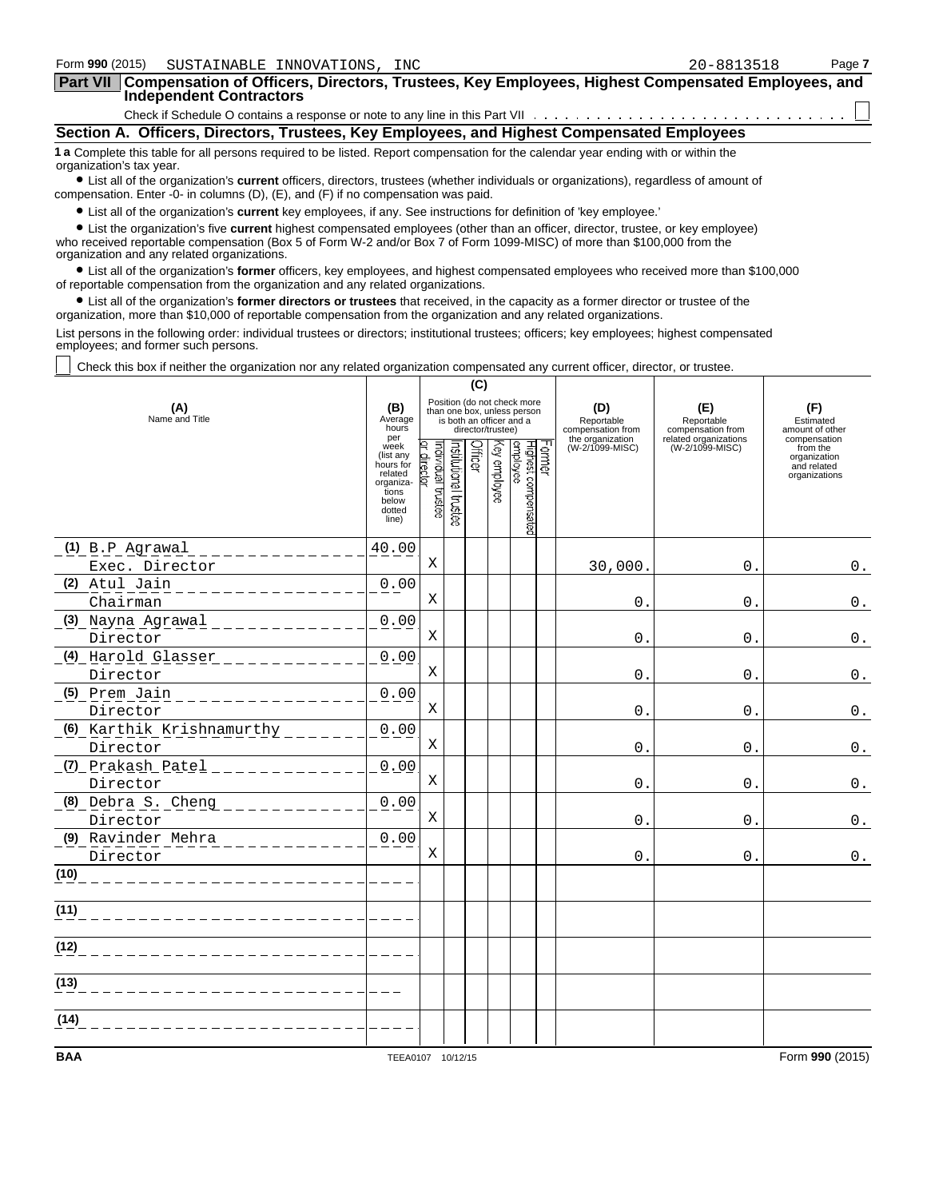| Form 990 (2015)          | SUSTAINABLE INNOVATIONS, INC                                                      |                                                                                                                    |                                                                                                                                        | 20-8813518 | Page 7 |
|--------------------------|-----------------------------------------------------------------------------------|--------------------------------------------------------------------------------------------------------------------|----------------------------------------------------------------------------------------------------------------------------------------|------------|--------|
| <b>Part VII</b>          | <b>Independent Contractors</b>                                                    |                                                                                                                    | Compensation of Officers, Directors, Trustees, Key Employees, Highest Compensated Employees, and                                       |            |        |
|                          |                                                                                   |                                                                                                                    |                                                                                                                                        |            |        |
|                          |                                                                                   |                                                                                                                    | Section A. Officers, Directors, Trustees, Key Employees, and Highest Compensated Employees                                             |            |        |
| organization's tax year. |                                                                                   |                                                                                                                    | 1 a Complete this table for all persons required to be listed. Report compensation for the calendar year ending with or within the     |            |        |
|                          | compensation. Enter -0- in columns (D), (E), and (F) if no compensation was paid. |                                                                                                                    | • List all of the organization's current officers, directors, trustees (whether individuals or organizations), regardless of amount of |            |        |
|                          |                                                                                   | • List all of the organization's current key employees, if any. See instructions for definition of 'key employee.' |                                                                                                                                        |            |        |
|                          |                                                                                   |                                                                                                                    | • List the organization's five current highest compensated employees (other than an officer, director, trustee, or key employee)       |            |        |

who received reportable compensation (Box 5 of Form W-2 and/or Box 7 of Form 1099-MISC) of more than \$100,000 from the organization and any related organizations.

? List all of the organization's **former** officers, key employees, and highest compensated employees who received more than \$100,000 of reportable compensation from the organization and any related organizations.

? List all of the organization's **former directors or trustees** that received, in the capacity as a former director or trustee of the organization, more than \$10,000 of reportable compensation from the organization and any related organizations.

List persons in the following order: individual trustees or directors; institutional trustees; officers; key employees; highest compensated employees; and former such persons.

Check this box if neither the organization nor any related organization compensated any current officer, director, or trustee.

|                                                             |                                                                                             | (C)                         |                                                                                                             |         |              |                                 |        |                                                            |                                                                 |                                                          |
|-------------------------------------------------------------|---------------------------------------------------------------------------------------------|-----------------------------|-------------------------------------------------------------------------------------------------------------|---------|--------------|---------------------------------|--------|------------------------------------------------------------|-----------------------------------------------------------------|----------------------------------------------------------|
| (A)<br>Name and Title                                       | (B)<br>Average<br>hours<br>per                                                              |                             | Position (do not check more<br>than one box, unless person<br>is both an officer and a<br>director/trustee) |         |              |                                 |        | (D)<br>Reportable<br>compensation from<br>the organization | (E)<br>Reportable<br>compensation from<br>related organizations | (F)<br>Estimated<br>amount of other<br>compensation      |
|                                                             | week<br>(list any<br>hours for<br>related<br>organiza-<br>tions<br>below<br>dotted<br>line) | əasru enpivibni<br>director | nstitutional trustee                                                                                        | Officer | Key employee | Highest compensated<br>employee | Former | (W-2/1099-MISC)                                            | (W-2/1099-MISC)                                                 | from the<br>organization<br>and related<br>organizations |
| (1) B.P Agrawal                                             | 40.00                                                                                       |                             |                                                                                                             |         |              |                                 |        |                                                            |                                                                 |                                                          |
| Exec. Director                                              |                                                                                             | Χ                           |                                                                                                             |         |              |                                 |        | 30,000.                                                    | 0.                                                              | $0$ .                                                    |
| (2) Atul Jain<br>___________                                | 0.00                                                                                        | X                           |                                                                                                             |         |              |                                 |        |                                                            |                                                                 |                                                          |
| Chairman<br>(3) Nayna Agrawal                               | 0.00                                                                                        |                             |                                                                                                             |         |              |                                 |        | 0                                                          | $\mathbf{0}$ .                                                  | $0$ .                                                    |
| <u>.</u><br>Director                                        |                                                                                             | X                           |                                                                                                             |         |              |                                 |        | $\mathbf{0}$ .                                             | $\Omega$ .                                                      | $\mathbf 0$ .                                            |
|                                                             | 0.00                                                                                        |                             |                                                                                                             |         |              |                                 |        |                                                            |                                                                 |                                                          |
| Director                                                    |                                                                                             | Χ                           |                                                                                                             |         |              |                                 |        | $\mathbf 0$                                                | $\mathbf{0}$ .                                                  | $0$ .                                                    |
| (5) Prem Jain<br>______________<br>Director                 | 0.00                                                                                        | X                           |                                                                                                             |         |              |                                 |        | $\mathsf{O}$ .                                             | $\mathbf{0}$ .                                                  | $0$ .                                                    |
| (6) Karthik Krishnamurthy<br>Director                       | 0.00                                                                                        | X                           |                                                                                                             |         |              |                                 |        | $\mathbf{0}$ .                                             | $\mathbf{0}$ .                                                  | $0$ .                                                    |
| <u>(7) Prakash Patel _____________</u><br>Director          | 0.00                                                                                        | $\mathbf X$                 |                                                                                                             |         |              |                                 |        | $\mathbf{0}$ .                                             | $\mathbf{0}$ .                                                  | $0$ .                                                    |
| (8) Debra S. Cheng<br><u>___________</u><br>Director        | 0.00                                                                                        | X                           |                                                                                                             |         |              |                                 |        | 0                                                          | $\mathsf{0}$ .                                                  | $0$ .                                                    |
| (9) Ravinder Mehra<br><u>. 22 22 22 22 22 2</u><br>Director | 0.00                                                                                        | $\mathbf X$                 |                                                                                                             |         |              |                                 |        | 0                                                          | $\mathbf{0}$                                                    | $0$ .                                                    |
| (10)                                                        |                                                                                             |                             |                                                                                                             |         |              |                                 |        |                                                            |                                                                 |                                                          |
| (11)                                                        |                                                                                             |                             |                                                                                                             |         |              |                                 |        |                                                            |                                                                 |                                                          |
| (12)                                                        |                                                                                             |                             |                                                                                                             |         |              |                                 |        |                                                            |                                                                 |                                                          |
| (13)                                                        |                                                                                             |                             |                                                                                                             |         |              |                                 |        |                                                            |                                                                 |                                                          |
| (14)                                                        |                                                                                             |                             |                                                                                                             |         |              |                                 |        |                                                            |                                                                 |                                                          |
| <b>BAA</b>                                                  | TEEA0107 10/12/15                                                                           |                             |                                                                                                             |         |              |                                 |        |                                                            |                                                                 | Form 990 (2015)                                          |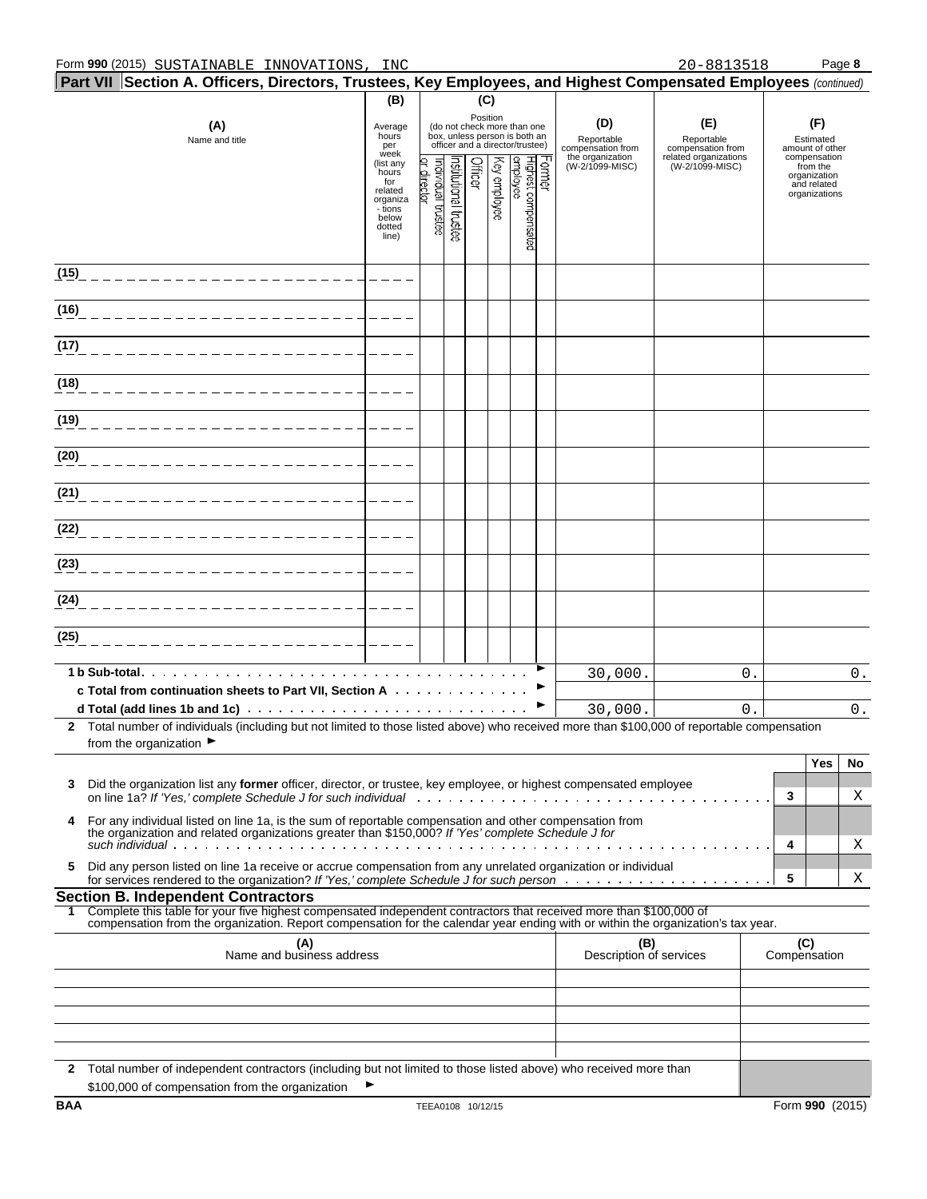| $\mid$ Part VII $\mid$ Section A. Officers, Directors, Trustees, Key Employees, and Highest Compensated Employees (continued)                                                                                                                                                                                                           | (B)                                                                                                                                                                                                                                          |                               |                   | (C)     |              |                                 |                                                                                    |                                              |       |                                                          |                 |       |
|-----------------------------------------------------------------------------------------------------------------------------------------------------------------------------------------------------------------------------------------------------------------------------------------------------------------------------------------|----------------------------------------------------------------------------------------------------------------------------------------------------------------------------------------------------------------------------------------------|-------------------------------|-------------------|---------|--------------|---------------------------------|------------------------------------------------------------------------------------|----------------------------------------------|-------|----------------------------------------------------------|-----------------|-------|
| (A)<br>Name and title                                                                                                                                                                                                                                                                                                                   | Position<br>(D)<br>(do not check more than one<br>Average<br>box, unless person is both an<br>hours<br>Reportable<br>compensation from<br>officer and a director/trustee)<br>per<br>week<br>the organization<br>list any)<br>(W-2/1099-MISC) |                               |                   |         |              |                                 | (E)<br>Reportable<br>compensation from<br>related organizations<br>(W-2/1099-MISC) | Estimated<br>amount of other<br>compensation |       |                                                          |                 |       |
|                                                                                                                                                                                                                                                                                                                                         | hours<br>for<br>related<br>organiza<br>- tions<br>below<br>dotted<br>line)                                                                                                                                                                   | ndividual trustee<br>director | hstudonal trustee | Officer | (ey employee | employee<br>Highest compensated | crmer                                                                              |                                              |       | from the<br>organization<br>and related<br>organizations |                 |       |
| (15)                                                                                                                                                                                                                                                                                                                                    |                                                                                                                                                                                                                                              |                               |                   |         |              |                                 |                                                                                    |                                              |       |                                                          |                 |       |
| (16)                                                                                                                                                                                                                                                                                                                                    |                                                                                                                                                                                                                                              |                               |                   |         |              |                                 |                                                                                    |                                              |       |                                                          |                 |       |
| (17)                                                                                                                                                                                                                                                                                                                                    |                                                                                                                                                                                                                                              |                               |                   |         |              |                                 |                                                                                    |                                              |       |                                                          |                 |       |
| (18)                                                                                                                                                                                                                                                                                                                                    |                                                                                                                                                                                                                                              |                               |                   |         |              |                                 |                                                                                    |                                              |       |                                                          |                 |       |
| (19)                                                                                                                                                                                                                                                                                                                                    |                                                                                                                                                                                                                                              |                               |                   |         |              |                                 |                                                                                    |                                              |       |                                                          |                 |       |
| (20)                                                                                                                                                                                                                                                                                                                                    |                                                                                                                                                                                                                                              |                               |                   |         |              |                                 |                                                                                    |                                              |       |                                                          |                 |       |
| (21)                                                                                                                                                                                                                                                                                                                                    |                                                                                                                                                                                                                                              |                               |                   |         |              |                                 |                                                                                    |                                              |       |                                                          |                 |       |
| (22)                                                                                                                                                                                                                                                                                                                                    |                                                                                                                                                                                                                                              |                               |                   |         |              |                                 |                                                                                    |                                              |       |                                                          |                 |       |
| (23)                                                                                                                                                                                                                                                                                                                                    |                                                                                                                                                                                                                                              |                               |                   |         |              |                                 |                                                                                    |                                              |       |                                                          |                 |       |
| (24)                                                                                                                                                                                                                                                                                                                                    |                                                                                                                                                                                                                                              |                               |                   |         |              |                                 |                                                                                    |                                              |       |                                                          |                 |       |
| (25)                                                                                                                                                                                                                                                                                                                                    |                                                                                                                                                                                                                                              |                               |                   |         |              |                                 |                                                                                    |                                              |       |                                                          |                 |       |
| 1 b Sub-total.<br>c Total from continuation sheets to Part VII, Section A                                                                                                                                                                                                                                                               |                                                                                                                                                                                                                                              |                               |                   |         |              |                                 |                                                                                    | 30,000.                                      | $0$ . |                                                          | $0$ .           |       |
|                                                                                                                                                                                                                                                                                                                                         |                                                                                                                                                                                                                                              |                               |                   |         |              |                                 |                                                                                    | 30,000.                                      | 0     |                                                          |                 | $0$ . |
| Total number of individuals (including but not limited to those listed above) who received more than \$100,000 of reportable compensation<br>$\mathbf{2}$<br>from the organization ▶                                                                                                                                                    |                                                                                                                                                                                                                                              |                               |                   |         |              |                                 |                                                                                    |                                              |       |                                                          |                 |       |
|                                                                                                                                                                                                                                                                                                                                         |                                                                                                                                                                                                                                              |                               |                   |         |              |                                 |                                                                                    |                                              |       |                                                          | Yes             | No    |
| Did the organization list any former officer, director, or trustee, key employee, or highest compensated employee<br>3<br>on line 1a? If 'Yes,' complete Schedule J for such individual entering container and all the set of the set of                                                                                                |                                                                                                                                                                                                                                              |                               |                   |         |              |                                 |                                                                                    |                                              |       | 3                                                        |                 | Χ     |
| For any individual listed on line 1a, is the sum of reportable compensation and other compensation from<br>4<br>the organization and related organizations greater than \$150,000? If 'Yes' complete Schedule J for<br>such individual $\cdots$ , $\cdots$ , $\cdots$ , $\cdots$ , $\cdots$ , $\cdots$ , $\cdots$ , $\cdots$ , $\cdots$ |                                                                                                                                                                                                                                              |                               |                   |         |              |                                 |                                                                                    |                                              |       | 4                                                        |                 | Χ     |
| Did any person listed on line 1a receive or accrue compensation from any unrelated organization or individual<br>5                                                                                                                                                                                                                      |                                                                                                                                                                                                                                              |                               |                   |         |              |                                 |                                                                                    |                                              |       | 5                                                        |                 | Χ     |
| <b>Section B. Independent Contractors</b><br>Complete this table for your five highest compensated independent contractors that received more than \$100,000 of                                                                                                                                                                         |                                                                                                                                                                                                                                              |                               |                   |         |              |                                 |                                                                                    |                                              |       |                                                          |                 |       |
| compensation from the organization. Report compensation for the calendar year ending with or within the organization's tax year.                                                                                                                                                                                                        |                                                                                                                                                                                                                                              |                               |                   |         |              |                                 |                                                                                    |                                              |       |                                                          |                 |       |
| (A)<br>Name and business address                                                                                                                                                                                                                                                                                                        |                                                                                                                                                                                                                                              |                               |                   |         |              |                                 |                                                                                    | (B)<br>Description of services               |       | (C)<br>Compensation                                      |                 |       |
|                                                                                                                                                                                                                                                                                                                                         |                                                                                                                                                                                                                                              |                               |                   |         |              |                                 |                                                                                    |                                              |       |                                                          |                 |       |
|                                                                                                                                                                                                                                                                                                                                         |                                                                                                                                                                                                                                              |                               |                   |         |              |                                 |                                                                                    |                                              |       |                                                          |                 |       |
|                                                                                                                                                                                                                                                                                                                                         |                                                                                                                                                                                                                                              |                               |                   |         |              |                                 |                                                                                    |                                              |       |                                                          |                 |       |
| $\mathbf{2}$<br>Total number of independent contractors (including but not limited to those listed above) who received more than<br>\$100,000 of compensation from the organization                                                                                                                                                     |                                                                                                                                                                                                                                              |                               |                   |         |              |                                 |                                                                                    |                                              |       |                                                          |                 |       |
| BAA                                                                                                                                                                                                                                                                                                                                     |                                                                                                                                                                                                                                              | TEEA0108 10/12/15             |                   |         |              |                                 |                                                                                    |                                              |       |                                                          | Form 990 (2015) |       |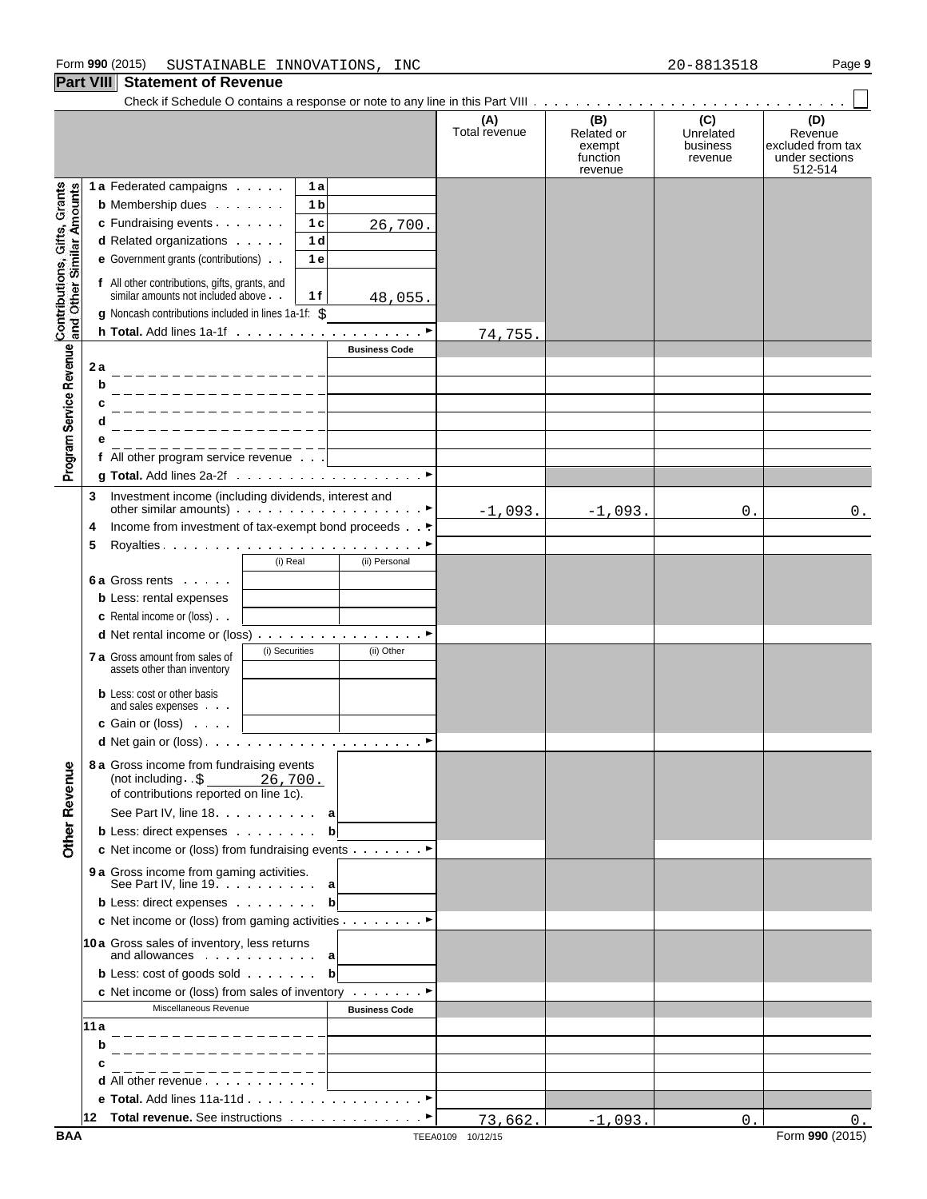|                                                           |                                                                                                                                  | (A)<br>Total revenue | (B)<br>Related or<br>exempt<br>function<br>revenue | (C)<br>Unrelated<br>business<br>revenue | (D)<br>Revenue<br>excluded from tax<br>under sections<br>512-514 |
|-----------------------------------------------------------|----------------------------------------------------------------------------------------------------------------------------------|----------------------|----------------------------------------------------|-----------------------------------------|------------------------------------------------------------------|
|                                                           | 1 a Federated campaigns<br>1 a                                                                                                   |                      |                                                    |                                         |                                                                  |
|                                                           | 1 <sub>b</sub><br><b>b</b> Membership dues                                                                                       |                      |                                                    |                                         |                                                                  |
| Contributions, Gifts, Grants<br>and Other Similar Amounts | c Fundraising events<br>1 <sub>c</sub><br>26,700.                                                                                |                      |                                                    |                                         |                                                                  |
|                                                           | 1 <sub>d</sub><br>d Related organizations                                                                                        |                      |                                                    |                                         |                                                                  |
|                                                           | e Government grants (contributions)<br>1e                                                                                        |                      |                                                    |                                         |                                                                  |
|                                                           | f All other contributions, gifts, grants, and<br>similar amounts not included above.<br>1 f<br>48,055.                           |                      |                                                    |                                         |                                                                  |
|                                                           | g Noncash contributions included in lines 1a-1f: \$                                                                              |                      |                                                    |                                         |                                                                  |
|                                                           |                                                                                                                                  | 74,755.              |                                                    |                                         |                                                                  |
| Program Service Revenue                                   | <b>Business Code</b>                                                                                                             |                      |                                                    |                                         |                                                                  |
|                                                           | 2 a                                                                                                                              |                      |                                                    |                                         |                                                                  |
|                                                           | b                                                                                                                                |                      |                                                    |                                         |                                                                  |
|                                                           | c                                                                                                                                |                      |                                                    |                                         |                                                                  |
|                                                           | d                                                                                                                                |                      |                                                    |                                         |                                                                  |
|                                                           |                                                                                                                                  |                      |                                                    |                                         |                                                                  |
|                                                           | f All other program service revenue                                                                                              |                      |                                                    |                                         |                                                                  |
|                                                           |                                                                                                                                  |                      |                                                    |                                         |                                                                  |
|                                                           | Investment income (including dividends, interest and<br>3<br>other similar amounts) $\cdots$ $\cdots$ $\cdots$ $\cdots$ $\cdots$ |                      |                                                    |                                         |                                                                  |
|                                                           | Income from investment of tax-exempt bond proceeds                                                                               | $-1,093.$            | $-1,093.$                                          | 0.                                      | 0.                                                               |
|                                                           | 4                                                                                                                                |                      |                                                    |                                         |                                                                  |
|                                                           | 5<br>(i) Real<br>(ii) Personal                                                                                                   |                      |                                                    |                                         |                                                                  |
|                                                           | 6 a Gross rents                                                                                                                  |                      |                                                    |                                         |                                                                  |
|                                                           |                                                                                                                                  |                      |                                                    |                                         |                                                                  |
|                                                           | <b>b</b> Less: rental expenses                                                                                                   |                      |                                                    |                                         |                                                                  |
|                                                           | <b>c</b> Rental income or (loss)                                                                                                 |                      |                                                    |                                         |                                                                  |
|                                                           | <b>d</b> Net rental income or (loss) $\ldots$ $\ldots$ $\ldots$ $\ldots$ $\ldots$<br>(i) Securities                              |                      |                                                    |                                         |                                                                  |
|                                                           | (ii) Other<br>7 a Gross amount from sales of<br>assets other than inventory                                                      |                      |                                                    |                                         |                                                                  |
|                                                           | <b>b</b> Less: cost or other basis<br>and sales expenses                                                                         |                      |                                                    |                                         |                                                                  |
|                                                           | <b>c</b> Gain or (loss) $\cdots$                                                                                                 |                      |                                                    |                                         |                                                                  |
|                                                           |                                                                                                                                  |                      |                                                    |                                         |                                                                  |
| ۰<br><b>Other Revenu</b>                                  | 8 a Gross income from fundraising events<br>(not including . \$<br>26,700.<br>of contributions reported on line 1c).             |                      |                                                    |                                         |                                                                  |
|                                                           | See Part IV, line 18. a                                                                                                          |                      |                                                    |                                         |                                                                  |
|                                                           | <b>b</b> Less: direct expenses<br>$\mathbf{b}$                                                                                   |                      |                                                    |                                         |                                                                  |
|                                                           | c Net income or (loss) from fundraising events ▶                                                                                 |                      |                                                    |                                         |                                                                  |
|                                                           | 9 a Gross income from gaming activities.<br>See Part IV, line $19. \ldots 1. \ldots 1$ a                                         |                      |                                                    |                                         |                                                                  |
|                                                           | <b>b</b> Less: direct expenses <b>b</b>                                                                                          |                      |                                                    |                                         |                                                                  |
|                                                           | c Net income or (loss) from gaming activities ▶                                                                                  |                      |                                                    |                                         |                                                                  |
|                                                           | 10a Gross sales of inventory, less returns<br>and allowances $\cdots$ $\cdots$ a                                                 |                      |                                                    |                                         |                                                                  |
|                                                           | <b>b</b> Less: cost of goods sold <b>b</b>                                                                                       |                      |                                                    |                                         |                                                                  |
|                                                           | <b>c</b> Net income or (loss) from sales of inventory $\cdots$                                                                   |                      |                                                    |                                         |                                                                  |
|                                                           | Miscellaneous Revenue<br><b>Business Code</b>                                                                                    |                      |                                                    |                                         |                                                                  |
|                                                           | 11 a                                                                                                                             |                      |                                                    |                                         |                                                                  |
|                                                           | b                                                                                                                                |                      |                                                    |                                         |                                                                  |
|                                                           |                                                                                                                                  |                      |                                                    |                                         |                                                                  |
|                                                           | d All other revenue                                                                                                              |                      |                                                    |                                         |                                                                  |
|                                                           |                                                                                                                                  |                      |                                                    |                                         |                                                                  |
|                                                           | Total revenue. See instructions ▶<br>12                                                                                          | 73,662.              | $-1,093.$                                          | 0.                                      | $0$ .                                                            |
|                                                           |                                                                                                                                  |                      |                                                    |                                         |                                                                  |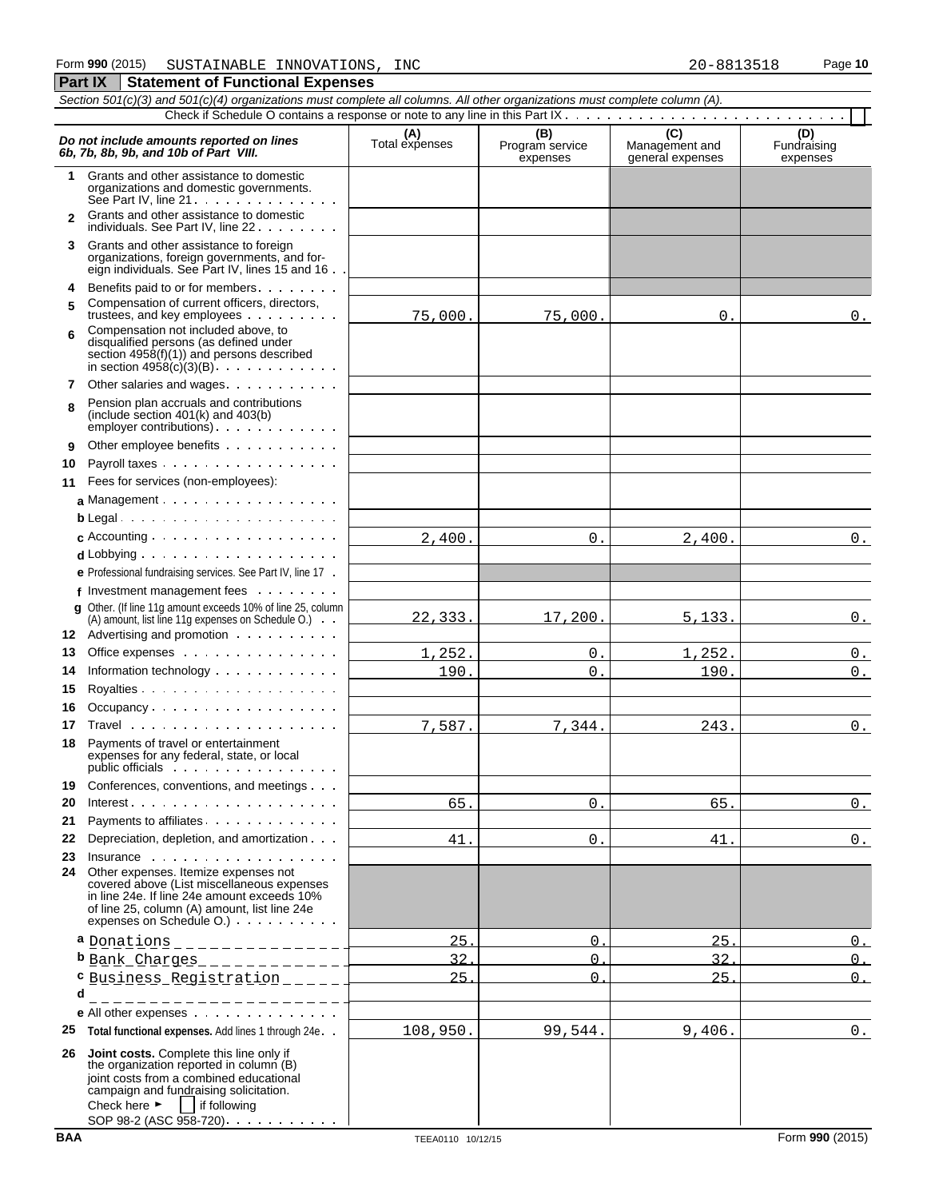| Part IX                                                                                                                                                                                                      | <b>Statement of Functional Expenses</b>                                                                                                                                                                                       |          |          |        |                       |  |  |  |  |  |
|--------------------------------------------------------------------------------------------------------------------------------------------------------------------------------------------------------------|-------------------------------------------------------------------------------------------------------------------------------------------------------------------------------------------------------------------------------|----------|----------|--------|-----------------------|--|--|--|--|--|
|                                                                                                                                                                                                              | Section 501(c)(3) and 501(c)(4) organizations must complete all columns. All other organizations must complete column (A).                                                                                                    |          |          |        |                       |  |  |  |  |  |
|                                                                                                                                                                                                              |                                                                                                                                                                                                                               |          |          |        |                       |  |  |  |  |  |
| (C)<br>(B)<br>Program service<br>(A)<br>Total expenses<br>Do not include amounts reported on lines<br>Management and<br>Fundraising<br>6b, 7b, 8b, 9b, and 10b of Part VIII.<br>expenses<br>general expenses |                                                                                                                                                                                                                               |          |          |        |                       |  |  |  |  |  |
| $\mathbf 1$                                                                                                                                                                                                  | Grants and other assistance to domestic<br>organizations and domestic governments.<br>See Part IV, line $21 \cdot \cdot \cdot \cdot \cdot \cdot \cdot \cdot \cdot \cdot \cdot \cdot \cdot$                                    |          |          |        |                       |  |  |  |  |  |
| $\mathbf{z}$                                                                                                                                                                                                 | Grants and other assistance to domestic<br>individuals. See Part IV, line 22                                                                                                                                                  |          |          |        |                       |  |  |  |  |  |
| 3                                                                                                                                                                                                            | Grants and other assistance to foreign<br>organizations, foreign governments, and for-<br>eign individuals. See Part IV, lines 15 and 16                                                                                      |          |          |        |                       |  |  |  |  |  |
| 4                                                                                                                                                                                                            | Benefits paid to or for members                                                                                                                                                                                               |          |          |        |                       |  |  |  |  |  |
| 5                                                                                                                                                                                                            | Compensation of current officers, directors,<br>trustees, and key employees                                                                                                                                                   | 75,000.  | 75,000.  | 0.     | 0.                    |  |  |  |  |  |
| 6                                                                                                                                                                                                            | Compensation not included above, to<br>disqualified persons (as defined under<br>section $4958(f)(1)$ and persons described<br>in section $4958(c)(3)(B)$ .                                                                   |          |          |        |                       |  |  |  |  |  |
| 7                                                                                                                                                                                                            | Other salaries and wages                                                                                                                                                                                                      |          |          |        |                       |  |  |  |  |  |
| 8                                                                                                                                                                                                            | Pension plan accruals and contributions<br>(include section $401(k)$ and $403(b)$ )<br>employer contributions). $\ldots$ $\ldots$                                                                                             |          |          |        |                       |  |  |  |  |  |
| 9                                                                                                                                                                                                            | Other employee benefits                                                                                                                                                                                                       |          |          |        |                       |  |  |  |  |  |
| 10                                                                                                                                                                                                           | Payroll taxes                                                                                                                                                                                                                 |          |          |        |                       |  |  |  |  |  |
| 11                                                                                                                                                                                                           | Fees for services (non-employees):                                                                                                                                                                                            |          |          |        |                       |  |  |  |  |  |
|                                                                                                                                                                                                              | a Management                                                                                                                                                                                                                  |          |          |        |                       |  |  |  |  |  |
|                                                                                                                                                                                                              | $b$ Legal                                                                                                                                                                                                                     |          |          |        |                       |  |  |  |  |  |
|                                                                                                                                                                                                              | $\mathbf c$ Accounting $\cdots$ $\cdots$ $\cdots$ $\cdots$ $\cdots$ $\cdots$ $\cdots$                                                                                                                                         | 2,400.   | $0$ .    | 2,400. | $0_{.}$               |  |  |  |  |  |
|                                                                                                                                                                                                              | $d$ Lobbying $\cdots$ $\cdots$ $\cdots$ $\cdots$ $\cdots$ $\cdots$                                                                                                                                                            |          |          |        |                       |  |  |  |  |  |
|                                                                                                                                                                                                              | e Professional fundraising services. See Part IV, line 17.                                                                                                                                                                    |          |          |        |                       |  |  |  |  |  |
|                                                                                                                                                                                                              | f Investment management fees $\ldots$                                                                                                                                                                                         |          |          |        |                       |  |  |  |  |  |
|                                                                                                                                                                                                              | <b>q</b> Other. (If line 11g amount exceeds 10% of line 25, column                                                                                                                                                            |          |          |        |                       |  |  |  |  |  |
|                                                                                                                                                                                                              | (A) amount, list line 11g expenses on Schedule O.)<br>12 Advertising and promotion                                                                                                                                            | 22, 333. | 17,200.  | 5,133. | $0_{.}$               |  |  |  |  |  |
| 13                                                                                                                                                                                                           | Office expenses                                                                                                                                                                                                               | 1,252.   | $0$ .    | 1,252. | $0_{.}$               |  |  |  |  |  |
| 14                                                                                                                                                                                                           | Information technology                                                                                                                                                                                                        | 190.     | 0.       | 190.   | $0_{\cdot\cdot\cdot}$ |  |  |  |  |  |
| 15                                                                                                                                                                                                           |                                                                                                                                                                                                                               |          |          |        |                       |  |  |  |  |  |
| 16                                                                                                                                                                                                           | Occupancy                                                                                                                                                                                                                     |          |          |        |                       |  |  |  |  |  |
| 17                                                                                                                                                                                                           |                                                                                                                                                                                                                               | 7,587.   | 7,344.   |        |                       |  |  |  |  |  |
|                                                                                                                                                                                                              |                                                                                                                                                                                                                               |          |          | 243.   | $0$ .                 |  |  |  |  |  |
| 18                                                                                                                                                                                                           | Payments of travel or entertainment<br>expenses for any federal, state, or local<br>public officials                                                                                                                          |          |          |        |                       |  |  |  |  |  |
| 19                                                                                                                                                                                                           | Conferences, conventions, and meetings                                                                                                                                                                                        |          |          |        |                       |  |  |  |  |  |
| 20                                                                                                                                                                                                           |                                                                                                                                                                                                                               | 65.      | 0.       | 65.    | $0_{\cdot\cdot\cdot}$ |  |  |  |  |  |
| 21                                                                                                                                                                                                           | Payments to affiliates.                                                                                                                                                                                                       |          |          |        |                       |  |  |  |  |  |
| 22                                                                                                                                                                                                           | Depreciation, depletion, and amortization                                                                                                                                                                                     | 41.      | 0.       | 41.    | $0$ .                 |  |  |  |  |  |
| 23                                                                                                                                                                                                           | Insurance<br>24 Other expenses. Itemize expenses not<br>covered above (List miscellaneous expenses<br>in line 24e. If line 24e amount exceeds 10%<br>of line 25, column (A) amount, list line 24e<br>expenses on Schedule O.) |          |          |        |                       |  |  |  |  |  |
|                                                                                                                                                                                                              | a <u>Donations</u> ________________                                                                                                                                                                                           | 25       | $\Omega$ | 25     | $\Omega$              |  |  |  |  |  |
|                                                                                                                                                                                                              |                                                                                                                                                                                                                               | 32       | $\Omega$ | 32     | $\Omega$              |  |  |  |  |  |
|                                                                                                                                                                                                              | Business Registration ______                                                                                                                                                                                                  | 25       | $\Omega$ | 25     | $\Omega$              |  |  |  |  |  |
| d                                                                                                                                                                                                            |                                                                                                                                                                                                                               |          |          |        |                       |  |  |  |  |  |
|                                                                                                                                                                                                              | _________________                                                                                                                                                                                                             |          |          |        |                       |  |  |  |  |  |
|                                                                                                                                                                                                              | e All other expenses                                                                                                                                                                                                          |          |          |        |                       |  |  |  |  |  |
| 25                                                                                                                                                                                                           | Total functional expenses. Add lines 1 through 24e                                                                                                                                                                            | 108,950. | 99,544.  | 9,406. | $0$ .                 |  |  |  |  |  |
| 26                                                                                                                                                                                                           | Joint costs. Complete this line only if<br>the organization reported in column (B)<br>joint costs from a combined educational<br>campaign and fundraising solicitation.<br>Check here $\blacktriangleright$   if following    |          |          |        |                       |  |  |  |  |  |

SOP 98-2 (ASC 958-720)

 $\sim$   $\sim$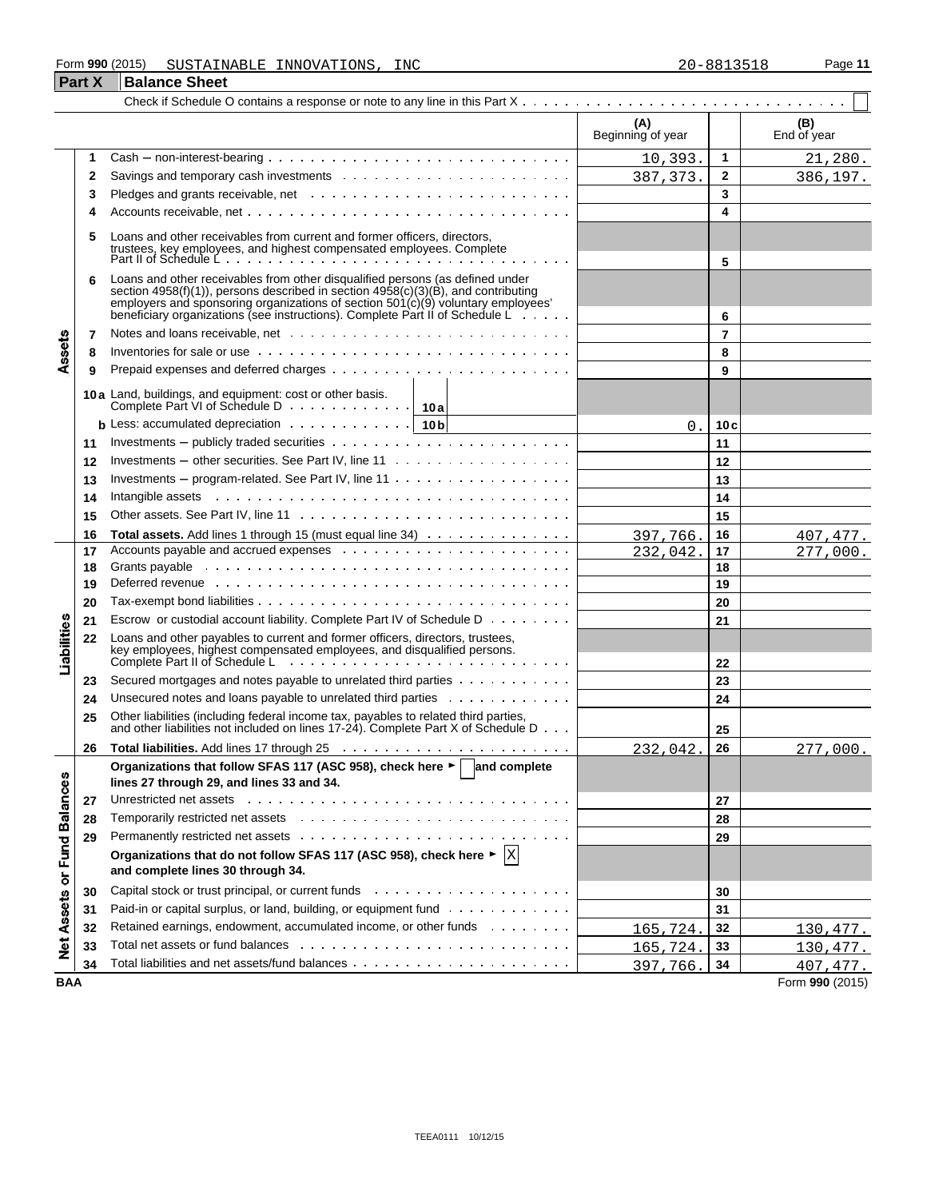#### Form **990** (2015) Page **11** SUSTAINABLE INNOVATIONS, INC 20-8813518

|                             | <b>Part X</b> | <b>Balance Sheet</b>                                                                                                                                                                                                                                                                                                                                  |                          |                |                    |
|-----------------------------|---------------|-------------------------------------------------------------------------------------------------------------------------------------------------------------------------------------------------------------------------------------------------------------------------------------------------------------------------------------------------------|--------------------------|----------------|--------------------|
|                             |               |                                                                                                                                                                                                                                                                                                                                                       |                          |                |                    |
|                             |               |                                                                                                                                                                                                                                                                                                                                                       | (A)<br>Beginning of year |                | (B)<br>End of year |
|                             | 1             | $Cash - non-interest-bearing \dots \dots \dots \dots \dots \dots \dots \dots \dots \dots \dots \dots$                                                                                                                                                                                                                                                 | 10,393.                  | 1              | 21,280.            |
|                             | 2             |                                                                                                                                                                                                                                                                                                                                                       | 387, 373.                | 2              | 386,197.           |
|                             | 3             |                                                                                                                                                                                                                                                                                                                                                       |                          | 3              |                    |
|                             | 4             |                                                                                                                                                                                                                                                                                                                                                       |                          | 4              |                    |
|                             | 5             | Loans and other receivables from current and former officers, directors,<br>trustees, key employees, and highest compensated employees. Complete<br>Part II of Schedule Letter and the compensated employees. Complete                                                                                                                                |                          | 5              |                    |
| Assets                      | 6             | Loans and other receivables from other disqualified persons (as defined under<br>section 4958(f)(1)), persons described in section 4958(c)(3)(B), and contributing<br>employers and sponsoring organizations of section 501(c)(9) voluntary employees'<br>beneficiary organizations (see instructions). Complete Par                                  |                          | 6              |                    |
|                             | 7             |                                                                                                                                                                                                                                                                                                                                                       |                          | $\overline{7}$ |                    |
|                             | 8             |                                                                                                                                                                                                                                                                                                                                                       |                          | 8              |                    |
|                             | 9             |                                                                                                                                                                                                                                                                                                                                                       |                          | 9              |                    |
|                             |               | 10a Land, buildings, and equipment: cost or other basis.                                                                                                                                                                                                                                                                                              |                          |                |                    |
|                             |               | <b>b</b> Less: accumulated depreciation $\cdots \cdots \cdots \cdots$   10b                                                                                                                                                                                                                                                                           | 0.                       | 10c            |                    |
|                             | 11            |                                                                                                                                                                                                                                                                                                                                                       |                          | 11             |                    |
|                             | 12            |                                                                                                                                                                                                                                                                                                                                                       |                          | 12             |                    |
|                             | 13            | Investments – program-related. See Part IV, line $11 \ldots \ldots \ldots \ldots \ldots \ldots$                                                                                                                                                                                                                                                       |                          | 13             |                    |
|                             | 14            | Intangible assets with a state of the state of the state of the state of the state of the state of the state of the state of the state of the state of the state of the state of the state of the state of the state of the st                                                                                                                        |                          | 14             |                    |
|                             | 15            |                                                                                                                                                                                                                                                                                                                                                       |                          | 15             |                    |
|                             | 16            | Total assets. Add lines 1 through 15 (must equal line 34)                                                                                                                                                                                                                                                                                             | 397,766.                 | 16             | 407,477.           |
|                             | 17            | Accounts payable and accrued expenses                                                                                                                                                                                                                                                                                                                 | 232,042.                 | 17             | 277,000.           |
|                             | 18            |                                                                                                                                                                                                                                                                                                                                                       |                          | 18             |                    |
|                             | 19            | Deferred revenue enterprise and the contract of the contract of the contract of the contract of the contract of the contract of the contract of the contract of the contract of the contract of the contract of the contract o                                                                                                                        |                          | 19             |                    |
|                             | 20            |                                                                                                                                                                                                                                                                                                                                                       |                          | 20             |                    |
|                             | 21            | Escrow or custodial account liability. Complete Part IV of Schedule D                                                                                                                                                                                                                                                                                 |                          | 21             |                    |
| Liabilities                 | 22            | Loans and other payables to current and former officers, directors, trustees,<br>key employees, highest compensated employees, and disqualified persons.<br>Complete Part II of Schedule Letter and the complete Part II of Schedule Letter and the complete Part II of Schedule Letter and the complete Part II o                                    |                          | 22             |                    |
|                             | 23            | Secured mortgages and notes payable to unrelated third parties                                                                                                                                                                                                                                                                                        |                          | 23             |                    |
|                             | 24            | Unsecured notes and loans payable to unrelated third parties                                                                                                                                                                                                                                                                                          |                          | 24             |                    |
|                             | 25            | Other liabilities (including federal income tax, payables to related third parties,<br>and other liabilities not included on lines 17-24). Complete Part X of Schedule D                                                                                                                                                                              |                          | 25             |                    |
|                             | 26            |                                                                                                                                                                                                                                                                                                                                                       | 232,042.                 | 26             | 277,000.           |
|                             | 27            | Organizations that follow SFAS 117 (ASC 958), check here ► and complete<br>lines 27 through 29, and lines 33 and 34.<br>Unrestricted net assets enterprise on the content of the content of the content of the content of the content of the content of the content of the content of the content of the content of the content of the content of the |                          | 27             |                    |
|                             | 28            |                                                                                                                                                                                                                                                                                                                                                       |                          | 28             |                    |
|                             | 29            |                                                                                                                                                                                                                                                                                                                                                       |                          | 29             |                    |
|                             |               | Organizations that do not follow SFAS 117 (ASC 958), check here $\blacktriangleright$ $\vert X \vert$                                                                                                                                                                                                                                                 |                          |                |                    |
| Net Assets or Fund Balances |               | and complete lines 30 through 34.                                                                                                                                                                                                                                                                                                                     |                          |                |                    |
|                             | 30            |                                                                                                                                                                                                                                                                                                                                                       |                          | 30             |                    |
|                             | 31            | Paid-in or capital surplus, or land, building, or equipment fund                                                                                                                                                                                                                                                                                      |                          | 31             |                    |
|                             | 32            | Retained earnings, endowment, accumulated income, or other funds                                                                                                                                                                                                                                                                                      | 165,724.                 | 32             | 130,477.           |
|                             | 33            | Total net assets or fund balances enterprised by contact the contact of the contact of the contact of the conta                                                                                                                                                                                                                                       | 165,724.                 | 33             | 130,477.           |
|                             | 34            |                                                                                                                                                                                                                                                                                                                                                       | 397,766.                 | 34             | 407,477.           |
| <b>BAA</b>                  |               |                                                                                                                                                                                                                                                                                                                                                       |                          |                | Form 990 (2015)    |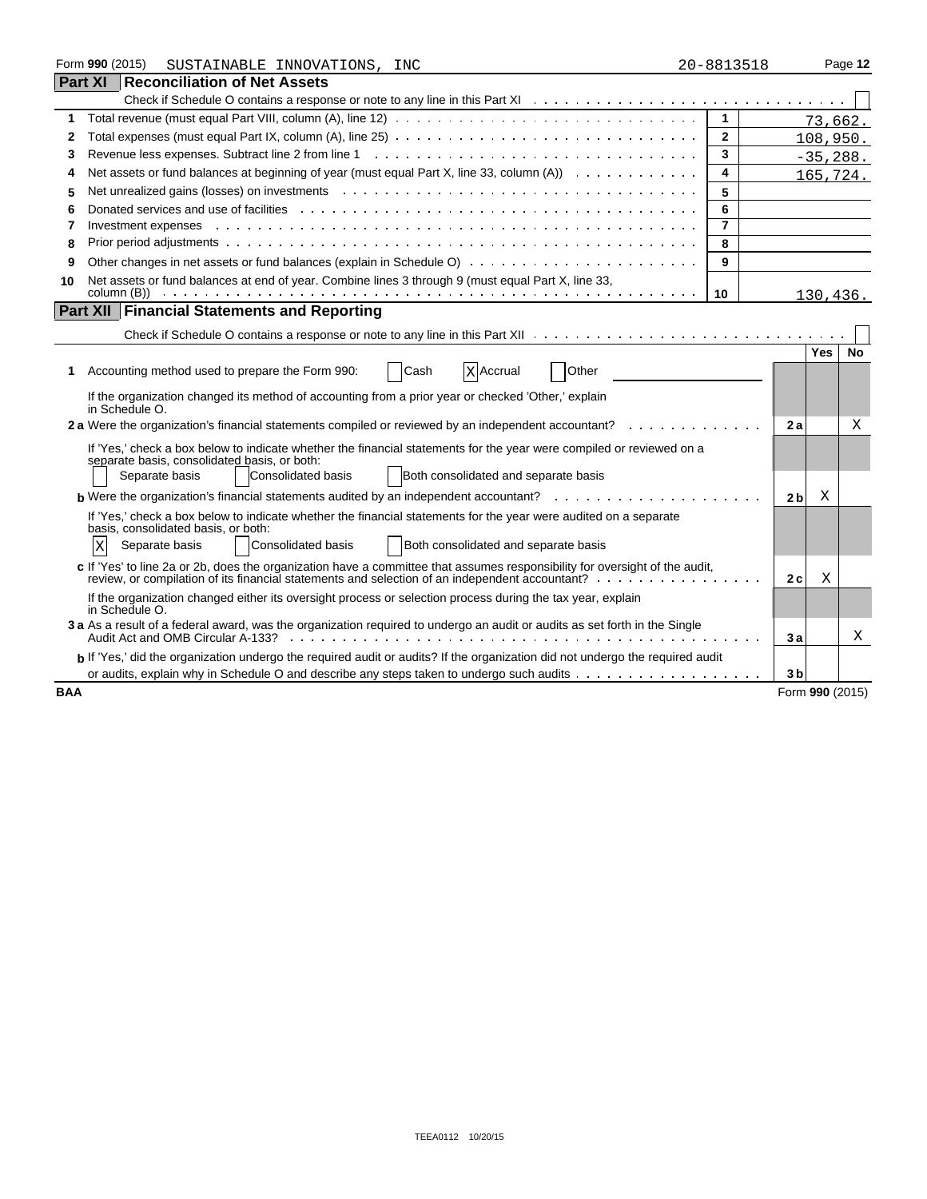|            | Form 990 (2015)<br>SUSTAINABLE INNOVATIONS, INC                                                                                                         | 20-8813518     |                 |            | Page 12   |  |
|------------|---------------------------------------------------------------------------------------------------------------------------------------------------------|----------------|-----------------|------------|-----------|--|
|            | <b>Part XI Reconciliation of Net Assets</b>                                                                                                             |                |                 |            |           |  |
|            |                                                                                                                                                         |                |                 |            |           |  |
| 1          | Total revenue (must equal Part VIII, column (A), line 12) $\ldots \ldots \ldots \ldots \ldots \ldots \ldots \ldots \ldots \ldots \ldots \ldots$         | $\mathbf{1}$   |                 | 73,662.    |           |  |
| 2          |                                                                                                                                                         | $\mathbf{2}$   |                 | 108,950.   |           |  |
| 3          |                                                                                                                                                         | 3              |                 | $-35,288.$ |           |  |
| 4          | Net assets or fund balances at beginning of year (must equal Part X, line 33, column $(A)$ ) $\ldots$                                                   | 4              |                 |            | 165,724.  |  |
| 5          | Net unrealized gains (losses) on investments entercated and contact and contact the set of the set of the set o                                         | 5              |                 |            |           |  |
| 6          |                                                                                                                                                         | 6              |                 |            |           |  |
| 7          | Investment expenses                                                                                                                                     | $\overline{7}$ |                 |            |           |  |
| 8          |                                                                                                                                                         | 8              |                 |            |           |  |
| 9          |                                                                                                                                                         | 9              |                 |            |           |  |
| 10         | Net assets or fund balances at end of year. Combine lines 3 through 9 (must equal Part X, line 33,                                                      |                |                 |            |           |  |
|            | Part XII   Financial Statements and Reporting                                                                                                           | 10             |                 | 130,436.   |           |  |
|            |                                                                                                                                                         |                |                 |            |           |  |
|            |                                                                                                                                                         |                |                 |            |           |  |
|            |                                                                                                                                                         |                |                 | <b>Yes</b> | <b>No</b> |  |
| 1.         | Cash<br>Other<br>Accounting method used to prepare the Form 990:<br>X Accrual                                                                           |                |                 |            |           |  |
|            | If the organization changed its method of accounting from a prior year or checked 'Other,' explain<br>in Schedule O.                                    |                |                 |            |           |  |
|            | 2 a Were the organization's financial statements compiled or reviewed by an independent accountant?                                                     |                | 2a              |            | Χ         |  |
|            | If 'Yes,' check a box below to indicate whether the financial statements for the year were compiled or reviewed on a                                    |                |                 |            |           |  |
|            | separate basis, consolidated basis, or both:<br>Both consolidated and separate basis<br>Separate basis<br>Consolidated basis                            |                |                 |            |           |  |
|            |                                                                                                                                                         |                |                 |            |           |  |
|            | <b>b</b> Were the organization's financial statements audited by an independent accountant? $\ldots$ ,                                                  |                | 2 <sub>b</sub>  | Χ          |           |  |
|            | If 'Yes,' check a box below to indicate whether the financial statements for the year were audited on a separate<br>basis, consolidated basis, or both: |                |                 |            |           |  |
|            | Both consolidated and separate basis<br>Separate basis<br>Consolidated basis<br>ΙX                                                                      |                |                 |            |           |  |
|            | c If 'Yes' to line 2a or 2b, does the organization have a committee that assumes responsibility for oversight of the audit,                             |                |                 |            |           |  |
|            |                                                                                                                                                         |                | 2c              | Χ          |           |  |
|            | If the organization changed either its oversight process or selection process during the tax year, explain<br>in Schedule O.                            |                |                 |            |           |  |
|            | 3 a As a result of a federal award, was the organization required to undergo an audit or audits as set forth in the Single                              |                | 3a              |            | Χ         |  |
|            | b If 'Yes,' did the organization undergo the required audit or audits? If the organization did not undergo the required audit                           |                |                 |            |           |  |
|            |                                                                                                                                                         |                | 3 <sub>b</sub>  |            |           |  |
| <b>BAA</b> |                                                                                                                                                         |                | Form 990 (2015) |            |           |  |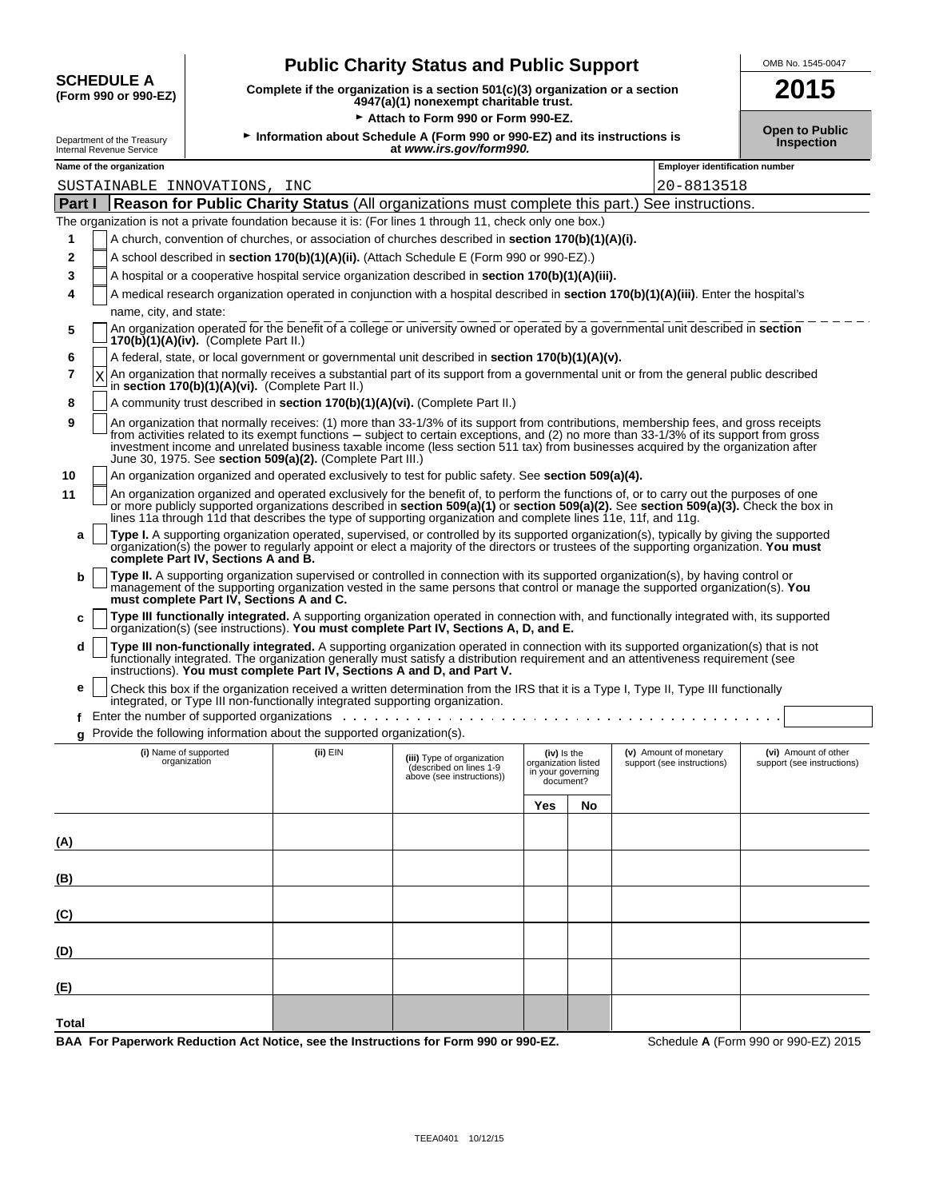|                                           | <b>Public Charity Status and Public Support</b>                                                                           | OMB No. 1545-00 |
|-------------------------------------------|---------------------------------------------------------------------------------------------------------------------------|-----------------|
| <b>SCHEDULE A</b><br>(Form 990 or 990-EZ) | Complete if the organization is a section $501(c)(3)$ organization or a section<br>4947(a)(1) nonexempt charitable trust. | 2015            |
|                                           | $\triangleright$ Attach to Form 000 or Form 000 FZ                                                                        |                 |

 $\hat{\mathbf{r}}$ 

| OMB No. 1545-0047 |
|-------------------|
| AA 4              |

| $\sim$ |                                        |  |
|--------|----------------------------------------|--|
|        | 4947(a)(1) nonexempt charitable trust. |  |
|        |                                        |  |
|        |                                        |  |

G **Attach to Form 990 or Form 990-EZ.**

| AUGULUO FOITII 990 OL FOITII 990-EZ                               |                                                        |                                          |                                                                              |                                                                                                                |                                                                      |    | <b>Open to Public</b>                                                                                                                                                                                                                                                                                                                                                                                                |                                                    |
|-------------------------------------------------------------------|--------------------------------------------------------|------------------------------------------|------------------------------------------------------------------------------|----------------------------------------------------------------------------------------------------------------|----------------------------------------------------------------------|----|----------------------------------------------------------------------------------------------------------------------------------------------------------------------------------------------------------------------------------------------------------------------------------------------------------------------------------------------------------------------------------------------------------------------|----------------------------------------------------|
|                                                                   | Department of the Treasury<br>Internal Revenue Service |                                          |                                                                              | Information about Schedule A (Form 990 or 990-EZ) and its instructions is<br>at www.irs.gov/form990.           |                                                                      |    |                                                                                                                                                                                                                                                                                                                                                                                                                      | <b>Inspection</b>                                  |
| <b>Employer identification number</b><br>Name of the organization |                                                        |                                          |                                                                              |                                                                                                                |                                                                      |    |                                                                                                                                                                                                                                                                                                                                                                                                                      |                                                    |
|                                                                   | SUSTAINABLE INNOVATIONS, INC                           |                                          |                                                                              |                                                                                                                |                                                                      |    | 20-8813518                                                                                                                                                                                                                                                                                                                                                                                                           |                                                    |
| Part I                                                            |                                                        |                                          |                                                                              |                                                                                                                |                                                                      |    | Reason for Public Charity Status (All organizations must complete this part.) See instructions.                                                                                                                                                                                                                                                                                                                      |                                                    |
|                                                                   |                                                        |                                          |                                                                              | The organization is not a private foundation because it is: (For lines 1 through 11, check only one box.)      |                                                                      |    |                                                                                                                                                                                                                                                                                                                                                                                                                      |                                                    |
| 1                                                                 |                                                        |                                          |                                                                              | A church, convention of churches, or association of churches described in <b>section 170(b)(1)(A)(i).</b>      |                                                                      |    |                                                                                                                                                                                                                                                                                                                                                                                                                      |                                                    |
| 2                                                                 |                                                        |                                          |                                                                              | A school described in section 170(b)(1)(A)(ii). (Attach Schedule E (Form 990 or 990-EZ).)                      |                                                                      |    |                                                                                                                                                                                                                                                                                                                                                                                                                      |                                                    |
| 3                                                                 |                                                        |                                          |                                                                              | A hospital or a cooperative hospital service organization described in section 170(b)(1)(A)(iii).              |                                                                      |    |                                                                                                                                                                                                                                                                                                                                                                                                                      |                                                    |
| 4                                                                 |                                                        |                                          |                                                                              |                                                                                                                |                                                                      |    | A medical research organization operated in conjunction with a hospital described in section 170(b)(1)(A)(iii). Enter the hospital's                                                                                                                                                                                                                                                                                 |                                                    |
|                                                                   | name, city, and state:                                 |                                          |                                                                              |                                                                                                                |                                                                      |    |                                                                                                                                                                                                                                                                                                                                                                                                                      |                                                    |
| 5                                                                 |                                                        | $170(b)(1)(A)(iv)$ . (Complete Part II.) |                                                                              |                                                                                                                |                                                                      |    | An organization operated for the benefit of a college or university owned or operated by a governmental unit described in section                                                                                                                                                                                                                                                                                    |                                                    |
| 6                                                                 |                                                        |                                          |                                                                              | A federal, state, or local government or governmental unit described in section 170(b)(1)(A)(v).               |                                                                      |    |                                                                                                                                                                                                                                                                                                                                                                                                                      |                                                    |
| 7                                                                 | Χ                                                      |                                          | in section 170(b)(1)(A)(vi). (Complete Part II.)                             |                                                                                                                |                                                                      |    | An organization that normally receives a substantial part of its support from a governmental unit or from the general public described                                                                                                                                                                                                                                                                               |                                                    |
| 8                                                                 |                                                        |                                          |                                                                              | A community trust described in section 170(b)(1)(A)(vi). (Complete Part II.)                                   |                                                                      |    |                                                                                                                                                                                                                                                                                                                                                                                                                      |                                                    |
| 9                                                                 |                                                        |                                          | June 30, 1975. See section 509(a)(2). (Complete Part III.)                   |                                                                                                                |                                                                      |    | An organization that normally receives: (1) more than 33-1/3% of its support from contributions, membership fees, and gross receipts<br>from activities related to its exempt functions – subject to certain exceptions, and (2) no more than 33-1/3% of its support from gross<br>investment income and unrelated business taxable income (less section 511 tax) from businesses acquired by the organization after |                                                    |
| 10                                                                |                                                        |                                          |                                                                              | An organization organized and operated exclusively to test for public safety. See section 509(a)(4).           |                                                                      |    |                                                                                                                                                                                                                                                                                                                                                                                                                      |                                                    |
| 11                                                                |                                                        |                                          |                                                                              | lines 11a through 11d that describes the type of supporting organization and complete lines 11e, 11f, and 11g. |                                                                      |    | An organization organized and operated exclusively for the benefit of, to perform the functions of, or to carry out the purposes of one<br>or more publicly supported organizations described in section 509(a)(1) or section 509(a)(2). See section 509(a)(3). Check the box in                                                                                                                                     |                                                    |
| a                                                                 |                                                        | complete Part IV, Sections A and B.      |                                                                              |                                                                                                                |                                                                      |    | Type I. A supporting organization operated, supervised, or controlled by its supported organization(s), typically by giving the supported<br>organization(s) the power to regularly appoint or elect a majority of the directors or trustees of the supporting organization. You must                                                                                                                                |                                                    |
| b                                                                 |                                                        | must complete Part IV, Sections A and C. |                                                                              |                                                                                                                |                                                                      |    | Type II. A supporting organization supervised or controlled in connection with its supported organization(s), by having control or<br>management of the supporting organization vested in the same persons that control or manage the supported organization(s). You                                                                                                                                                 |                                                    |
| c                                                                 |                                                        |                                          |                                                                              | organization(s) (see instructions). You must complete Part IV, Sections A, D, and E.                           |                                                                      |    | Type III functionally integrated. A supporting organization operated in connection with, and functionally integrated with, its supported                                                                                                                                                                                                                                                                             |                                                    |
| d                                                                 |                                                        |                                          |                                                                              | instructions). You must complete Part IV, Sections A and D, and Part V.                                        |                                                                      |    | Type III non-functionally integrated. A supporting organization operated in connection with its supported organization(s) that is not<br>functionally integrated. The organization generally must satisfy a distribution requirement and an attentiveness requirement (see                                                                                                                                           |                                                    |
| е                                                                 |                                                        |                                          | integrated, or Type III non-functionally integrated supporting organization. |                                                                                                                |                                                                      |    | Check this box if the organization received a written determination from the IRS that it is a Type I, Type II, Type III functionally                                                                                                                                                                                                                                                                                 |                                                    |
|                                                                   |                                                        |                                          |                                                                              |                                                                                                                |                                                                      |    |                                                                                                                                                                                                                                                                                                                                                                                                                      |                                                    |
| g                                                                 |                                                        |                                          | Provide the following information about the supported organization(s).       |                                                                                                                |                                                                      |    |                                                                                                                                                                                                                                                                                                                                                                                                                      |                                                    |
|                                                                   |                                                        | (i) Name of supported<br>organization    | (ii) EIN                                                                     | (iii) Type of organization<br>(described on lines 1-9<br>above (see instructions))                             | (iv) is the<br>organization listed<br>in your governing<br>document? |    | (v) Amount of monetary<br>support (see instructions)                                                                                                                                                                                                                                                                                                                                                                 | (vi) Amount of other<br>support (see instructions) |
|                                                                   |                                                        |                                          |                                                                              |                                                                                                                | Yes                                                                  | No |                                                                                                                                                                                                                                                                                                                                                                                                                      |                                                    |
|                                                                   |                                                        |                                          |                                                                              |                                                                                                                |                                                                      |    |                                                                                                                                                                                                                                                                                                                                                                                                                      |                                                    |
| (A)                                                               |                                                        |                                          |                                                                              |                                                                                                                |                                                                      |    |                                                                                                                                                                                                                                                                                                                                                                                                                      |                                                    |
| (B)                                                               |                                                        |                                          |                                                                              |                                                                                                                |                                                                      |    |                                                                                                                                                                                                                                                                                                                                                                                                                      |                                                    |
|                                                                   |                                                        |                                          |                                                                              |                                                                                                                |                                                                      |    |                                                                                                                                                                                                                                                                                                                                                                                                                      |                                                    |
| (C)                                                               |                                                        |                                          |                                                                              |                                                                                                                |                                                                      |    |                                                                                                                                                                                                                                                                                                                                                                                                                      |                                                    |

**BAA For Paperwork Reduction Act Notice, see the Instructions for Form 990 or 990-EZ.** Schedule **A** (Form 990 or 990-EZ) 2015

**(D)**

**(E)**

**Total**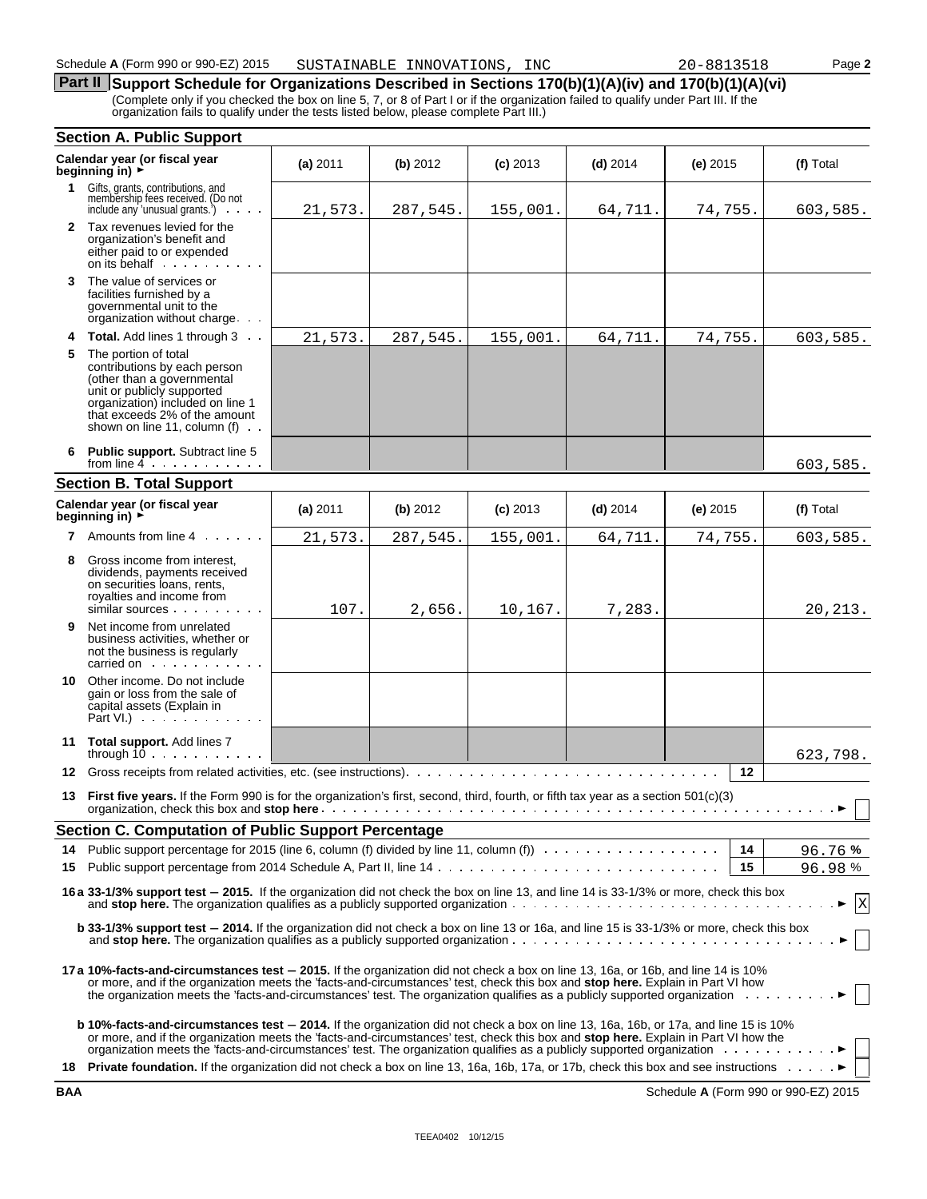### **Part II** Support Schedule for Organizations Described in Sections 170(b)(1)(A)(iv) and 170(b)(1)(A)(vi) (Complete only if you checked the box on line 5, 7, or 8 of Part I or if the organization failed to qualify under Part III. If the

organization fails to qualify under the tests listed below, please complete Part III.)

|             | <b>Section A. Public Support</b>                                                                                                                                                                                                                                                                                                                                                                                                    |          |          |            |            |            |                                        |
|-------------|-------------------------------------------------------------------------------------------------------------------------------------------------------------------------------------------------------------------------------------------------------------------------------------------------------------------------------------------------------------------------------------------------------------------------------------|----------|----------|------------|------------|------------|----------------------------------------|
|             | Calendar year (or fiscal year<br>beginning in) $\rightarrow$                                                                                                                                                                                                                                                                                                                                                                        | (a) 2011 | (b) 2012 | $(c)$ 2013 | $(d)$ 2014 | $(e)$ 2015 | (f) Total                              |
| $\mathbf 1$ | Gifts, grants, contributions, and<br>membership fees received. (Do not<br>include any 'unusual grants.')<br>and a state                                                                                                                                                                                                                                                                                                             | 21,573.  | 287,545. | 155,001.   | 64,711.    | 74,755.    | 603,585.                               |
|             | 2 Tax revenues levied for the<br>organization's benefit and<br>either paid to or expended                                                                                                                                                                                                                                                                                                                                           |          |          |            |            |            |                                        |
| 3           | The value of services or<br>facilities furnished by a<br>governmental unit to the<br>organization without charge                                                                                                                                                                                                                                                                                                                    |          |          |            |            |            |                                        |
| 4           | <b>Total.</b> Add lines 1 through 3                                                                                                                                                                                                                                                                                                                                                                                                 | 21,573.  | 287,545. | 155,001.   | 64,711.    | 74,755.    | 603,585.                               |
| 5           | The portion of total<br>contributions by each person<br>(other than a governmental<br>unit or publicly supported<br>organization) included on line 1<br>that exceeds 2% of the amount<br>shown on line 11, column (f)                                                                                                                                                                                                               |          |          |            |            |            |                                        |
|             | Public support. Subtract line 5<br>from line $4 \cdot \cdot \cdot \cdot \cdot \cdot$                                                                                                                                                                                                                                                                                                                                                |          |          |            |            |            | 603,585.                               |
|             | <b>Section B. Total Support</b>                                                                                                                                                                                                                                                                                                                                                                                                     |          |          |            |            |            |                                        |
|             | Calendar year (or fiscal year<br>beginning in) ►                                                                                                                                                                                                                                                                                                                                                                                    | (a) 2011 | (b) 2012 | $(c)$ 2013 | $(d)$ 2014 | $(e)$ 2015 | (f) Total                              |
| 7           | Amounts from line 4                                                                                                                                                                                                                                                                                                                                                                                                                 | 21,573.  | 287,545. | 155,001.   | 64,711.    | 74,755.    | 603,585.                               |
| 8           | Gross income from interest,<br>dividends, payments received<br>on securities loans, rents,<br>royalties and income from<br>similar sources<br>and a strip                                                                                                                                                                                                                                                                           | 107.     | 2,656.   | 10,167.    | 7,283.     |            | 20, 213.                               |
| 9           | Net income from unrelated<br>business activities, whether or<br>not the business is regularly<br>carried on the carried on the care of the care of the care of the care of the care of the care of the care of the care of the care of the care of the care of the care of the care of the care of the care of the care of the                                                                                                      |          |          |            |            |            |                                        |
|             | 10 Other income. Do not include<br>gain or loss from the sale of<br>capital assets (Explain in<br>Part VI.) $\cdots$                                                                                                                                                                                                                                                                                                                |          |          |            |            |            |                                        |
|             | 11 Total support. Add lines 7<br>through $10$                                                                                                                                                                                                                                                                                                                                                                                       |          |          |            |            |            | 623,798.                               |
| 12          |                                                                                                                                                                                                                                                                                                                                                                                                                                     |          |          |            |            | 12         |                                        |
| 13          | First five years. If the Form 990 is for the organization's first, second, third, fourth, or fifth tax year as a section 501(c)(3)                                                                                                                                                                                                                                                                                                  |          |          |            |            |            | $\ldots$ $\blacktriangleright$ $\perp$ |
|             | Section C. Computation of Public Support Percentage                                                                                                                                                                                                                                                                                                                                                                                 |          |          |            |            |            |                                        |
| 14          | Public support percentage for 2015 (line 6, column (f) divided by line 11, column (f) $\ldots \ldots \ldots \ldots \ldots$                                                                                                                                                                                                                                                                                                          |          |          |            |            | 14         | 96.76%                                 |
| 15          |                                                                                                                                                                                                                                                                                                                                                                                                                                     |          |          |            |            | 15         | 96.98%                                 |
|             | 16 a 33-1/3% support test - 2015. If the organization did not check the box on line 13, and line 14 is 33-1/3% or more, check this box                                                                                                                                                                                                                                                                                              |          |          |            |            |            | $\mathbf{X}$                           |
|             | <b>b</b> 33-1/3% support test - 2014. If the organization did not check a box on line 13 or 16a, and line 15 is 33-1/3% or more, check this box                                                                                                                                                                                                                                                                                     |          |          |            |            |            |                                        |
|             | 17a 10%-facts-and-circumstances test – 2015. If the organization did not check a box on line 13, 16a, or 16b, and line 14 is 10%<br>or more, and if the organization meets the 'facts-and-circumstances' test, check this box and stop here. Explain in Part VI how<br>the organization meets the 'facts-and-circumstances' test. The organization qualifies as a publicly supported organization                                   |          |          |            |            |            |                                        |
|             | <b>b 10%-facts-and-circumstances test - 2014.</b> If the organization did not check a box on line 13, 16a, 16b, or 17a, and line 15 is 10%<br>or more, and if the organization meets the 'facts-and-circumstances' test, check this box and <b>stop here.</b> Explain in Part VI how the<br>18 Private foundation. If the organization did not check a box on line 13, 16a, 16b, 17a, or 17b, check this box and see instructions > |          |          |            |            |            |                                        |
|             |                                                                                                                                                                                                                                                                                                                                                                                                                                     |          |          |            |            |            |                                        |

**BAA** Schedule **A** (Form 990 or 990-EZ) 2015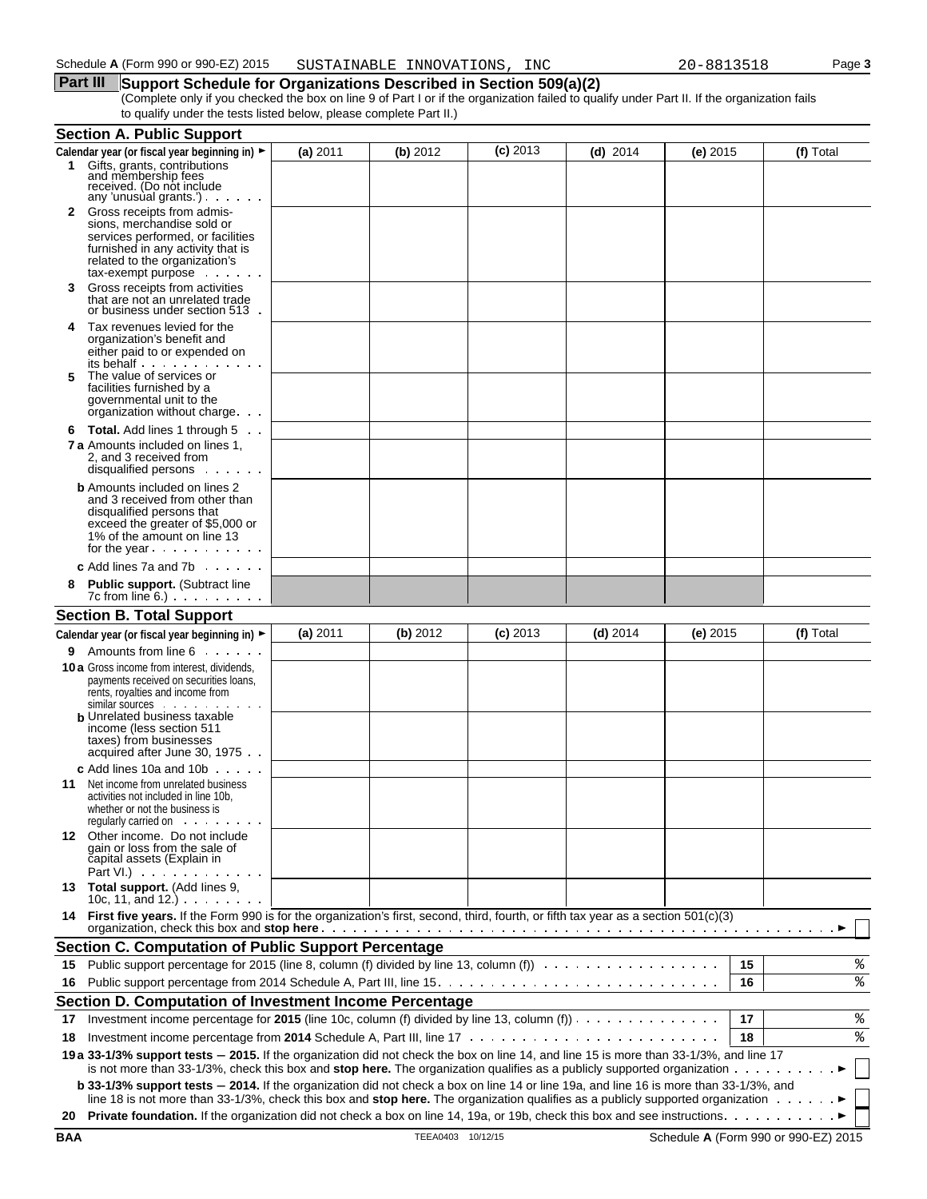#### **Part III** Support Schedule for Organizations Described in Section 509(a)(2) (Complete only if you checked the box on line 9 of Part I or if the organization failed to qualify under Part II. If the organization fails to qualify under the tests listed below, please complete Part II.)

|    | <b>Section A. Public Support</b>                                                                                                                                                                                                                                                                                                                                        |          |          |            |            |            |    |           |
|----|-------------------------------------------------------------------------------------------------------------------------------------------------------------------------------------------------------------------------------------------------------------------------------------------------------------------------------------------------------------------------|----------|----------|------------|------------|------------|----|-----------|
|    | Calendar year (or fiscal year beginning in) ►                                                                                                                                                                                                                                                                                                                           | (a) 2011 | (b) 2012 | $(c)$ 2013 | $(d)$ 2014 | $(e)$ 2015 |    | (f) Total |
| 1. | Gifts, grants, contributions<br>and membership fees<br>received. (Do not include                                                                                                                                                                                                                                                                                        |          |          |            |            |            |    |           |
| 2  | any 'unusual grants')<br>Gross receipts from admis-                                                                                                                                                                                                                                                                                                                     |          |          |            |            |            |    |           |
|    | sions, merchandise sold or<br>services performed, or facilities                                                                                                                                                                                                                                                                                                         |          |          |            |            |            |    |           |
|    | furnished in any activity that is                                                                                                                                                                                                                                                                                                                                       |          |          |            |            |            |    |           |
|    | related to the organization's<br>tax-exempt purpose                                                                                                                                                                                                                                                                                                                     |          |          |            |            |            |    |           |
| 3  | Gross receipts from activities                                                                                                                                                                                                                                                                                                                                          |          |          |            |            |            |    |           |
|    | that are not an unrelated trade<br>or business under section 513.                                                                                                                                                                                                                                                                                                       |          |          |            |            |            |    |           |
| 4  | Tax revenues levied for the<br>organization's benefit and                                                                                                                                                                                                                                                                                                               |          |          |            |            |            |    |           |
|    | either paid to or expended on                                                                                                                                                                                                                                                                                                                                           |          |          |            |            |            |    |           |
| 5  | its behalf<br>The value of services or                                                                                                                                                                                                                                                                                                                                  |          |          |            |            |            |    |           |
|    | facilities furnished by a                                                                                                                                                                                                                                                                                                                                               |          |          |            |            |            |    |           |
|    | governmental unit to the<br>organization without charge                                                                                                                                                                                                                                                                                                                 |          |          |            |            |            |    |           |
|    | 6 Total. Add lines 1 through 5                                                                                                                                                                                                                                                                                                                                          |          |          |            |            |            |    |           |
|    | <b>7 a</b> Amounts included on lines 1,<br>2, and 3 received from                                                                                                                                                                                                                                                                                                       |          |          |            |            |            |    |           |
|    | disqualified persons                                                                                                                                                                                                                                                                                                                                                    |          |          |            |            |            |    |           |
|    | <b>b</b> Amounts included on lines 2<br>and 3 received from other than                                                                                                                                                                                                                                                                                                  |          |          |            |            |            |    |           |
|    | disqualified persons that                                                                                                                                                                                                                                                                                                                                               |          |          |            |            |            |    |           |
|    | exceed the greater of \$5,000 or<br>1% of the amount on line 13                                                                                                                                                                                                                                                                                                         |          |          |            |            |            |    |           |
|    | for the year                                                                                                                                                                                                                                                                                                                                                            |          |          |            |            |            |    |           |
|    | c Add lines 7a and 7b $\ldots$ .                                                                                                                                                                                                                                                                                                                                        |          |          |            |            |            |    |           |
|    | Public support. (Subtract line                                                                                                                                                                                                                                                                                                                                          |          |          |            |            |            |    |           |
|    | <b>Section B. Total Support</b>                                                                                                                                                                                                                                                                                                                                         |          |          |            |            |            |    |           |
|    | Calendar year (or fiscal year beginning in) ►                                                                                                                                                                                                                                                                                                                           | (a) 2011 | (b) 2012 | $(c)$ 2013 | (d) $2014$ | $(e)$ 2015 |    | (f) Total |
|    | 9 Amounts from line 6                                                                                                                                                                                                                                                                                                                                                   |          |          |            |            |            |    |           |
|    | <b>10 a</b> Gross income from interest, dividends,<br>payments received on securities loans,                                                                                                                                                                                                                                                                            |          |          |            |            |            |    |           |
|    | rents, royalties and income from                                                                                                                                                                                                                                                                                                                                        |          |          |            |            |            |    |           |
|    | similar sources<br><b>b</b> Unrelated business taxable                                                                                                                                                                                                                                                                                                                  |          |          |            |            |            |    |           |
|    | income (less section 511<br>taxes) from businesses                                                                                                                                                                                                                                                                                                                      |          |          |            |            |            |    |           |
|    | acquired after June 30, 1975                                                                                                                                                                                                                                                                                                                                            |          |          |            |            |            |    |           |
|    | <b>c</b> Add lines 10a and 10b $\cdots$                                                                                                                                                                                                                                                                                                                                 |          |          |            |            |            |    |           |
| 11 | Net income from unrelated business<br>activities not included in line 10b,                                                                                                                                                                                                                                                                                              |          |          |            |            |            |    |           |
|    | whether or not the business is                                                                                                                                                                                                                                                                                                                                          |          |          |            |            |            |    |           |
|    | requiarly carried on example and requirement of the set of the set of the set of the set of the set of the set of the set of the set of the set of the set of the set of the set of the set of the set of the set of the set o<br>12 Other income. Do not include                                                                                                       |          |          |            |            |            |    |           |
|    | gain or loss from the sale of                                                                                                                                                                                                                                                                                                                                           |          |          |            |            |            |    |           |
|    | capital assets (Explain in<br>Part VI.) $\cdots$ $\cdots$                                                                                                                                                                                                                                                                                                               |          |          |            |            |            |    |           |
|    | 13 Total support. (Add lines 9,<br>10c, 11, and $12.$ ) $\cdots$ $\cdots$                                                                                                                                                                                                                                                                                               |          |          |            |            |            |    |           |
|    | 14 First five years. If the Form 990 is for the organization's first, second, third, fourth, or fifth tax year as a section 501(c)(3)<br>organization, check this box and stop here enterprediction of the content of the content of the content of the content of the content of the content of the content of the content of the content of the content of the conten |          |          |            |            |            |    |           |
|    | <b>Section C. Computation of Public Support Percentage</b>                                                                                                                                                                                                                                                                                                              |          |          |            |            |            |    |           |
| 15 | Public support percentage for 2015 (line 8, column (f) divided by line 13, column (f) $\cdots$                                                                                                                                                                                                                                                                          |          |          |            |            |            | 15 | %         |
| 16 |                                                                                                                                                                                                                                                                                                                                                                         |          |          |            |            |            | 16 | ి         |
|    | Section D. Computation of Investment Income Percentage                                                                                                                                                                                                                                                                                                                  |          |          |            |            |            |    |           |
| 17 | Investment income percentage for 2015 (line 10c, column (f) divided by line 13, column (f) $\dots \dots \dots \dots$                                                                                                                                                                                                                                                    |          |          |            |            |            | 17 | ႜ         |
| 18 |                                                                                                                                                                                                                                                                                                                                                                         |          |          |            |            |            | 18 | ి         |
|    | 19 a 33-1/3% support tests - 2015. If the organization did not check the box on line 14, and line 15 is more than 33-1/3%, and line 17<br>is not more than 33-1/3%, check this box and stop here. The organization qualifies as a publicly supported organization $\ldots \ldots \ldots$                                                                                |          |          |            |            |            |    |           |
|    | b 33-1/3% support tests - 2014. If the organization did not check a box on line 14 or line 19a, and line 16 is more than 33-1/3%, and                                                                                                                                                                                                                                   |          |          |            |            |            |    |           |
|    | line 18 is not more than 33-1/3%, check this box and stop here. The organization qualifies as a publicly supported organization $\dots \dots$                                                                                                                                                                                                                           |          |          |            |            |            |    |           |
|    |                                                                                                                                                                                                                                                                                                                                                                         |          |          |            |            |            |    |           |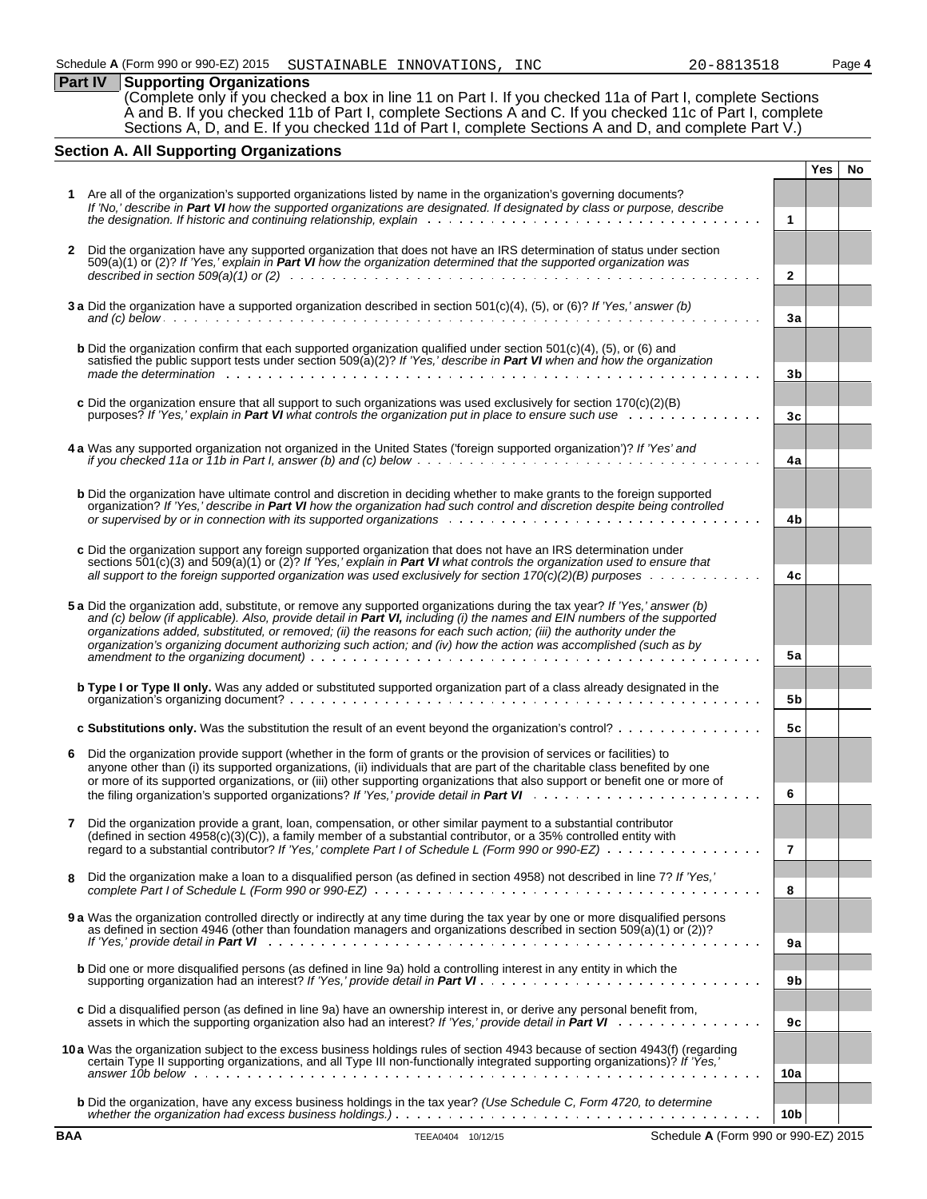**Part IV Supporting Organizations** (Complete only if you checked a box in line 11 on Part I. If you checked 11a of Part I, complete Sections A and B. If you checked 11b of Part I, complete Sections A and C. If you checked 11c of Part I, complete Sections A, D, and E. If you checked 11d of Part I, complete Sections A and D, and complete Part V.)

### **Section A. All Supporting Organizations**

|              |                                                                                                                                                                                                                                                                                                                                                                                                                                                                                                 |                 | Yes | No |
|--------------|-------------------------------------------------------------------------------------------------------------------------------------------------------------------------------------------------------------------------------------------------------------------------------------------------------------------------------------------------------------------------------------------------------------------------------------------------------------------------------------------------|-----------------|-----|----|
|              | Are all of the organization's supported organizations listed by name in the organization's governing documents?                                                                                                                                                                                                                                                                                                                                                                                 |                 |     |    |
|              | If 'No,' describe in Part VI how the supported organizations are designated. If designated by class or purpose, describe                                                                                                                                                                                                                                                                                                                                                                        |                 |     |    |
|              |                                                                                                                                                                                                                                                                                                                                                                                                                                                                                                 | $\mathbf{1}$    |     |    |
| $\mathbf{2}$ | Did the organization have any supported organization that does not have an IRS determination of status under section<br>509(a)(1) or (2)? If 'Yes,' explain in Part VI how the organization determined that the supported organization was                                                                                                                                                                                                                                                      |                 |     |    |
|              |                                                                                                                                                                                                                                                                                                                                                                                                                                                                                                 | $\overline{2}$  |     |    |
|              | 3 a Did the organization have a supported organization described in section $501(c)(4)$ , (5), or (6)? If 'Yes,' answer (b)                                                                                                                                                                                                                                                                                                                                                                     |                 |     |    |
|              |                                                                                                                                                                                                                                                                                                                                                                                                                                                                                                 | 3a              |     |    |
|              | <b>b</b> Did the organization confirm that each supported organization qualified under section $501(c)(4)$ , $(5)$ , or $(6)$ and<br>satisfied the public support tests under section 509(a)(2)? If 'Yes,' describe in Part VI when and how the organization                                                                                                                                                                                                                                    | 3b              |     |    |
|              |                                                                                                                                                                                                                                                                                                                                                                                                                                                                                                 |                 |     |    |
|              | c Did the organization ensure that all support to such organizations was used exclusively for section $170(c)(2)(B)$<br>purposes? If 'Yes,' explain in Part VI what controls the organization put in place to ensure such use                                                                                                                                                                                                                                                                   | 3c              |     |    |
|              | 4 a Was any supported organization not organized in the United States ('foreign supported organization')? If 'Yes' and                                                                                                                                                                                                                                                                                                                                                                          | 4a              |     |    |
|              | <b>b</b> Did the organization have ultimate control and discretion in deciding whether to make grants to the foreign supported<br>organization? If 'Yes,' describe in Part VI how the organization had such control and discretion despite being controlled                                                                                                                                                                                                                                     | 4b              |     |    |
|              | c Did the organization support any foreign supported organization that does not have an IRS determination under<br>sections $501(c)(3)$ and $509(a)(1)$ or $(2)$ ? If 'Yes,' explain in Part VI what controls the organization used to ensure that                                                                                                                                                                                                                                              |                 |     |    |
|              | all support to the foreign supported organization was used exclusively for section $170(c)(2)(B)$ purposes $\ldots \ldots \ldots$                                                                                                                                                                                                                                                                                                                                                               | 4c              |     |    |
|              | 5 a Did the organization add, substitute, or remove any supported organizations during the tax year? If 'Yes,' answer (b)<br>and (c) below (if applicable). Also, provide detail in Part VI, including (i) the names and EIN numbers of the supported<br>organizations added, substituted, or removed; (ii) the reasons for each such action; (iii) the authority under the<br>organization's organizing document authorizing such action; and (iv) how the action was accomplished (such as by |                 |     |    |
|              |                                                                                                                                                                                                                                                                                                                                                                                                                                                                                                 | <b>5a</b>       |     |    |
|              | <b>b Type I or Type II only.</b> Was any added or substituted supported organization part of a class already designated in the                                                                                                                                                                                                                                                                                                                                                                  | 5b              |     |    |
|              | c Substitutions only. Was the substitution the result of an event beyond the organization's control?                                                                                                                                                                                                                                                                                                                                                                                            | 5с              |     |    |
| 6            | Did the organization provide support (whether in the form of grants or the provision of services or facilities) to<br>anyone other than (i) its supported organizations, (ii) individuals that are part of the charitable class benefited by one<br>or more of its supported organizations, or (iii) other supporting organizations that also support or benefit one or more of                                                                                                                 | 6               |     |    |
|              | Did the organization provide a grant, loan, compensation, or other similar payment to a substantial contributor<br>(defined in section $4958(c)(3)(\tilde{C})$ ), a family member of a substantial contributor, or a 35% controlled entity with                                                                                                                                                                                                                                                 |                 |     |    |
|              | regard to a substantial contributor? If 'Yes,' complete Part I of Schedule L (Form 990 or 990-EZ) $\ldots$ ,                                                                                                                                                                                                                                                                                                                                                                                    | 7               |     |    |
| 8            | Did the organization make a loan to a disqualified person (as defined in section 4958) not described in line 7? If 'Yes,'                                                                                                                                                                                                                                                                                                                                                                       | 8               |     |    |
|              | 9 a Was the organization controlled directly or indirectly at any time during the tax year by one or more disqualified persons<br>as defined in section 4946 (other than foundation managers and organizations described in section 509(a)(1) or (2))?                                                                                                                                                                                                                                          | 9a              |     |    |
|              | <b>b</b> Did one or more disqualified persons (as defined in line 9a) hold a controlling interest in any entity in which the                                                                                                                                                                                                                                                                                                                                                                    | 9b              |     |    |
|              | c Did a disqualified person (as defined in line 9a) have an ownership interest in, or derive any personal benefit from,                                                                                                                                                                                                                                                                                                                                                                         | 9c              |     |    |
|              | 10a Was the organization subject to the excess business holdings rules of section 4943 because of section 4943(f) (regarding<br>certain Type II supporting organizations, and all Type III non-functionally integrated supporting organizations)? If 'Yes,'                                                                                                                                                                                                                                     |                 |     |    |
|              |                                                                                                                                                                                                                                                                                                                                                                                                                                                                                                 | 10a             |     |    |
|              | <b>b</b> Did the organization, have any excess business holdings in the tax year? (Use Schedule C, Form 4720, to determine                                                                                                                                                                                                                                                                                                                                                                      | 10 <sub>b</sub> |     |    |
| <b>BAA</b>   | TEEA0404 10/12/15<br>Schedule A (Form 990 or 990-EZ) 2015                                                                                                                                                                                                                                                                                                                                                                                                                                       |                 |     |    |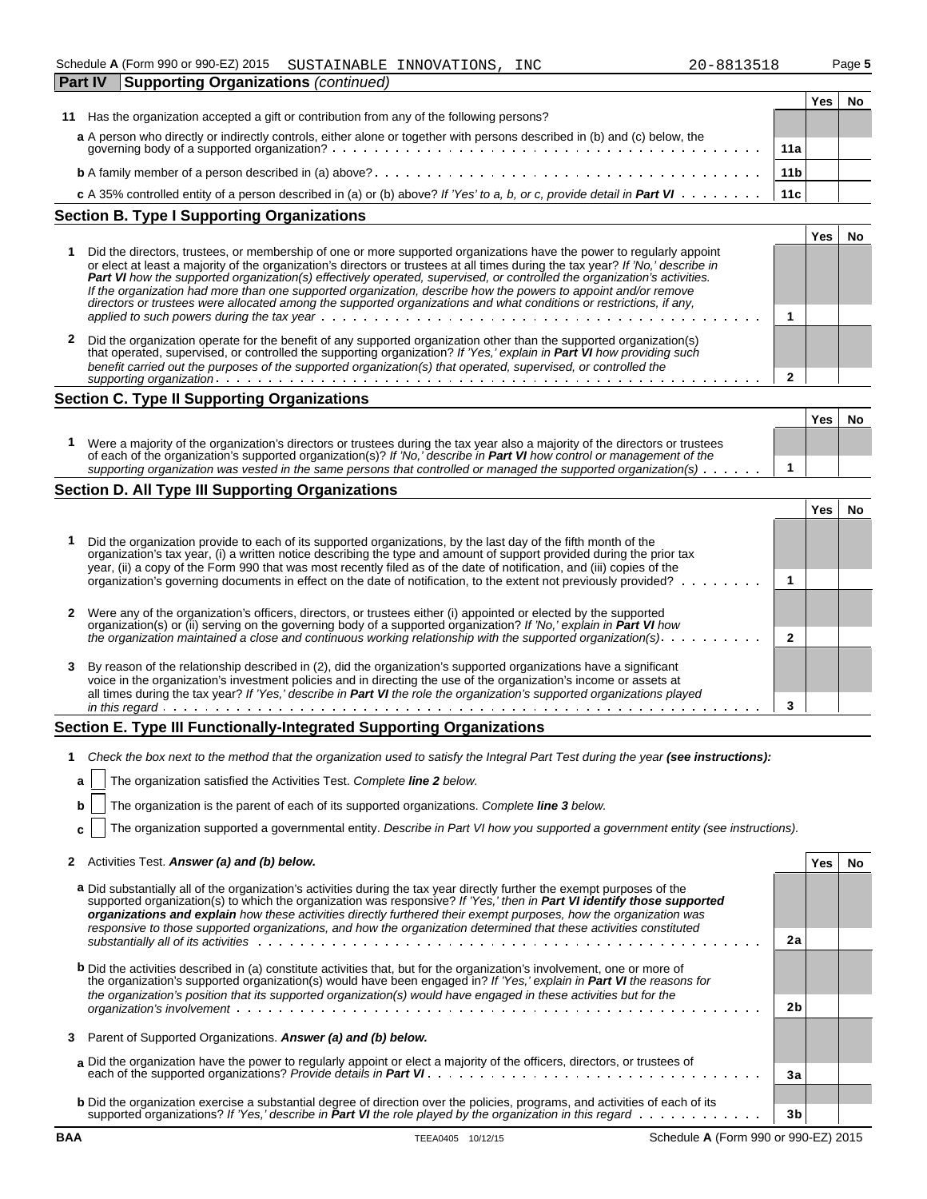| Fail IV.<br>$\mathsf{S}$ upporting Organizations ( <i>commuted</i> )                                                      |                 |     |  |
|---------------------------------------------------------------------------------------------------------------------------|-----------------|-----|--|
|                                                                                                                           |                 | Yes |  |
| 11 Has the organization accepted a gift or contribution from any of the following persons?                                |                 |     |  |
| a A person who directly or indirectly controls, either alone or together with persons described in (b) and (c) below, the |                 |     |  |
|                                                                                                                           | 11a             |     |  |
|                                                                                                                           | 11 <sub>b</sub> |     |  |
|                                                                                                                           | 11c             |     |  |

#### **Section B. Type I Supporting Organizations**

|   |                                                                                                                                                                                                                                                                                                                                                                                                                                                                                                                                                                                                                               | œ |  |
|---|-------------------------------------------------------------------------------------------------------------------------------------------------------------------------------------------------------------------------------------------------------------------------------------------------------------------------------------------------------------------------------------------------------------------------------------------------------------------------------------------------------------------------------------------------------------------------------------------------------------------------------|---|--|
|   | Did the directors, trustees, or membership of one or more supported organizations have the power to regularly appoint<br>or elect at least a majority of the organization's directors or trustees at all times during the tax year? If 'No,' describe in<br>Part VI how the supported organization(s) effectively operated, supervised, or controlled the organization's activities.<br>If the organization had more than one supported organization, describe how the powers to appoint and/or remove<br>directors or trustees were allocated among the supported organizations and what conditions or restrictions, if any, |   |  |
|   |                                                                                                                                                                                                                                                                                                                                                                                                                                                                                                                                                                                                                               |   |  |
| 2 | Did the organization operate for the benefit of any supported organization other than the supported organization(s)<br>that operated, supervised, or controlled the supporting organization? If 'Yes,' explain in Part VI how providing such<br>benefit carried out the purposes of the supported organization(s) that operated, supervised, or controlled the                                                                                                                                                                                                                                                                |   |  |
|   | supporting organization.                                                                                                                                                                                                                                                                                                                                                                                                                                                                                                                                                                                                      |   |  |

### **Section C. Type II Supporting Organizations**

|                                                                                                                                                                                                                                                                                                                                                                                             | Yes | N |
|---------------------------------------------------------------------------------------------------------------------------------------------------------------------------------------------------------------------------------------------------------------------------------------------------------------------------------------------------------------------------------------------|-----|---|
| Were a majority of the organization's directors or trustees during the tax year also a majority of the directors or trustees<br>of each of the organization's supported organization(s)? If 'No,' describe in <b>Part VI</b> how control or management of the<br>supporting organization was vested in the same persons that controlled or managed the supported organization(s) $\ldots$ . |     |   |
|                                                                                                                                                                                                                                                                                                                                                                                             |     |   |

### **Section D. All Type III Supporting Organizations**

|                                                                                                                                                                                                                                                                                                                                                                    |  | res |  |
|--------------------------------------------------------------------------------------------------------------------------------------------------------------------------------------------------------------------------------------------------------------------------------------------------------------------------------------------------------------------|--|-----|--|
| Did the organization provide to each of its supported organizations, by the last day of the fifth month of the<br>organization's tax year, (i) a written notice describing the type and amount of support provided during the prior tax<br>year, (ii) a copy of the Form 990 that was most recently filed as of the date of notification, and (iii) copies of the  |  |     |  |
| organization's governing documents in effect on the date of notification, to the extent not previously provided?                                                                                                                                                                                                                                                   |  |     |  |
| Were any of the organization's officers, directors, or trustees either (i) appointed or elected by the supported<br>organization(s) or (ii) serving on the governing body of a supported organization? If 'No,' explain in Part VI how                                                                                                                             |  |     |  |
| the organization maintained a close and continuous working relationship with the supported organization(s). $\dots \dots \dots$                                                                                                                                                                                                                                    |  |     |  |
| By reason of the relationship described in (2), did the organization's supported organizations have a significant<br>voice in the organization's investment policies and in directing the use of the organization's income or assets at<br>all times during the tax year? If 'Yes,' describe in Part VI the role the organization's supported organizations played |  |     |  |
| in this regard.<br>design and contract to the contract of the con-                                                                                                                                                                                                                                                                                                 |  |     |  |

### **Section E. Type III Functionally-Integrated Supporting Organizations**

**1** *Check the box next to the method that the organization used to satisfy the Integral Part Test during the year (see instructions):*

| <b>a</b>   The organization satisfied the Activities Test. Complete <b>line 2</b> below.                     |  |
|--------------------------------------------------------------------------------------------------------------|--|
| $\mathbf{b}$   The organization is the parent of each of its supported organizations. Complete line 3 below. |  |

**c** The organization supported a governmental entity. *Describe in Part VI how you supported a government entity (see instructions).*

| 2 Activities Test. Answer (a) and (b) below. | Yes No |  |
|----------------------------------------------|--------|--|
|----------------------------------------------|--------|--|

| a Did substantially all of the organization's activities during the tax year directly further the exempt purposes of the<br>supported organization(s) to which the organization was responsive? If 'Yes,' then in Part VI identify those supported<br>organizations and explain how these activities directly furthered their exempt purposes, how the organization was<br>responsive to those supported organizations, and how the organization determined that these activities constituted |                |  |
|-----------------------------------------------------------------------------------------------------------------------------------------------------------------------------------------------------------------------------------------------------------------------------------------------------------------------------------------------------------------------------------------------------------------------------------------------------------------------------------------------|----------------|--|
| substantially all of its activities with a context of the context of the context of the context of the context of the context of the context of the context of the context of the context of the context of the context of the                                                                                                                                                                                                                                                                | 2a             |  |
| <b>b</b> Did the activities described in (a) constitute activities that, but for the organization's involvement, one or more of<br>the organization's supported organization(s) would have been engaged in? If 'Yes,' explain in Part VI the reasons for<br>the organization's position that its supported organization(s) would have engaged in these activities but for the                                                                                                                 |                |  |
|                                                                                                                                                                                                                                                                                                                                                                                                                                                                                               | 2 <sub>b</sub> |  |
| 3 Parent of Supported Organizations. Answer (a) and (b) below.                                                                                                                                                                                                                                                                                                                                                                                                                                |                |  |
| a Did the organization have the power to regularly appoint or elect a majority of the officers, directors, or trustees of                                                                                                                                                                                                                                                                                                                                                                     | За             |  |
|                                                                                                                                                                                                                                                                                                                                                                                                                                                                                               |                |  |
| <b>b</b> Did the organization exercise a substantial degree of direction over the policies, programs, and activities of each of its<br>supported organizations? If 'Yes,' describe in Part VI the role played by the organization in this regard $\cdots$                                                                                                                                                                                                                                     | 3b             |  |
|                                                                                                                                                                                                                                                                                                                                                                                                                                                                                               |                |  |

 $\blacksquare$ 

**BAA** TEEA0405 10/12/15 Schedule **A** (Form 990 or 990-EZ) 2015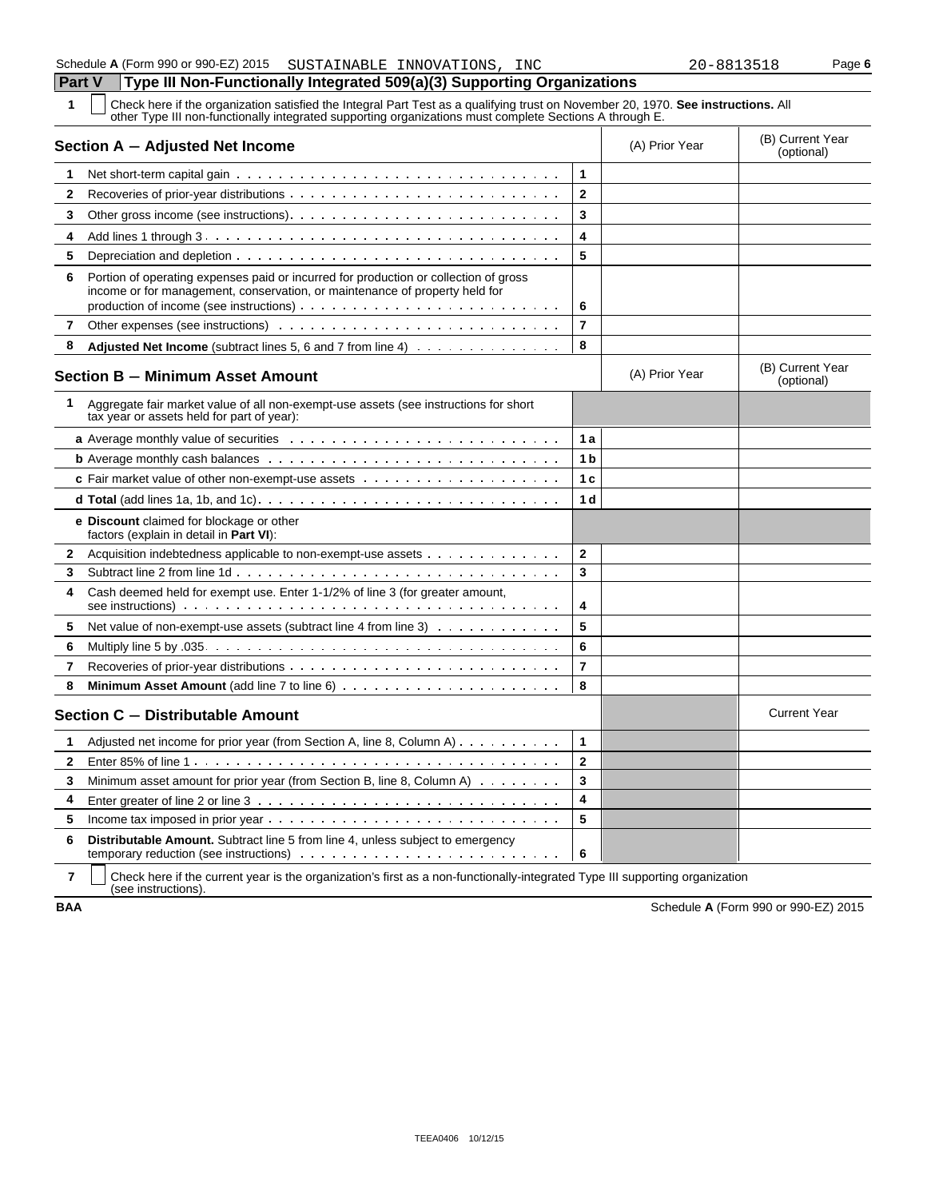**1** Check here if the organization satisfied the Integral Part Test as a qualifying trust on November 20, 1970. **See instructions.** All other Type III non-functionally integrated supporting organizations must complete Sections A through E.

|              | Section A - Adjusted Net Income                                                                                                                                     |                         | (A) Prior Year | (B) Current Year<br>(optional) |
|--------------|---------------------------------------------------------------------------------------------------------------------------------------------------------------------|-------------------------|----------------|--------------------------------|
| 1            |                                                                                                                                                                     | 1                       |                |                                |
| 2            |                                                                                                                                                                     | $\mathbf{2}$            |                |                                |
| 3            |                                                                                                                                                                     | 3                       |                |                                |
| 4            |                                                                                                                                                                     | 4                       |                |                                |
| 5            |                                                                                                                                                                     | 5                       |                |                                |
| 6            | Portion of operating expenses paid or incurred for production or collection of gross<br>income or for management, conservation, or maintenance of property held for | 6                       |                |                                |
| 7            |                                                                                                                                                                     | $\overline{7}$          |                |                                |
| 8            | <b>Adjusted Net Income</b> (subtract lines 5, 6 and 7 from line 4)                                                                                                  | 8                       |                |                                |
|              | <b>Section B - Minimum Asset Amount</b>                                                                                                                             |                         | (A) Prior Year | (B) Current Year<br>(optional) |
| 1            | Aggregate fair market value of all non-exempt-use assets (see instructions for short<br>tax year or assets held for part of year):                                  |                         |                |                                |
|              |                                                                                                                                                                     | 1a                      |                |                                |
|              |                                                                                                                                                                     | 1 b                     |                |                                |
|              |                                                                                                                                                                     | 1 <sub>c</sub>          |                |                                |
|              |                                                                                                                                                                     | 1 <sub>d</sub>          |                |                                |
|              | e Discount claimed for blockage or other<br>factors (explain in detail in Part VI):                                                                                 |                         |                |                                |
| 2            | Acquisition indebtedness applicable to non-exempt-use assets                                                                                                        | $\mathbf{2}$            |                |                                |
| 3            |                                                                                                                                                                     | 3                       |                |                                |
| 4            | Cash deemed held for exempt use. Enter 1-1/2% of line 3 (for greater amount,                                                                                        | 4                       |                |                                |
| 5            | Net value of non-exempt-use assets (subtract line 4 from line 3)                                                                                                    | 5                       |                |                                |
| 6            |                                                                                                                                                                     | 6                       |                |                                |
| 7            |                                                                                                                                                                     | $\overline{7}$          |                |                                |
| 8            |                                                                                                                                                                     | 8                       |                |                                |
|              | Section C - Distributable Amount                                                                                                                                    |                         |                | <b>Current Year</b>            |
| 1            | Adjusted net income for prior year (from Section A, line 8, Column A) $\dots$                                                                                       | 1                       |                |                                |
| $\mathbf{2}$ |                                                                                                                                                                     | $\overline{2}$          |                |                                |
| 3            | Minimum asset amount for prior year (from Section B, line 8, Column A) $\dots \dots$                                                                                | 3                       |                |                                |
| 4            |                                                                                                                                                                     | $\overline{\mathbf{4}}$ |                |                                |
| 5            |                                                                                                                                                                     | 5                       |                |                                |
| 6            | <b>Distributable Amount.</b> Subtract line 5 from line 4, unless subject to emergency                                                                               | - 6                     |                |                                |

**7** | Check here if the current year is the organization's first as a non-functionally-integrated Type III supporting organization (see instructions).

**BAA** Schedule **A** (Form 990 or 990-EZ) 2015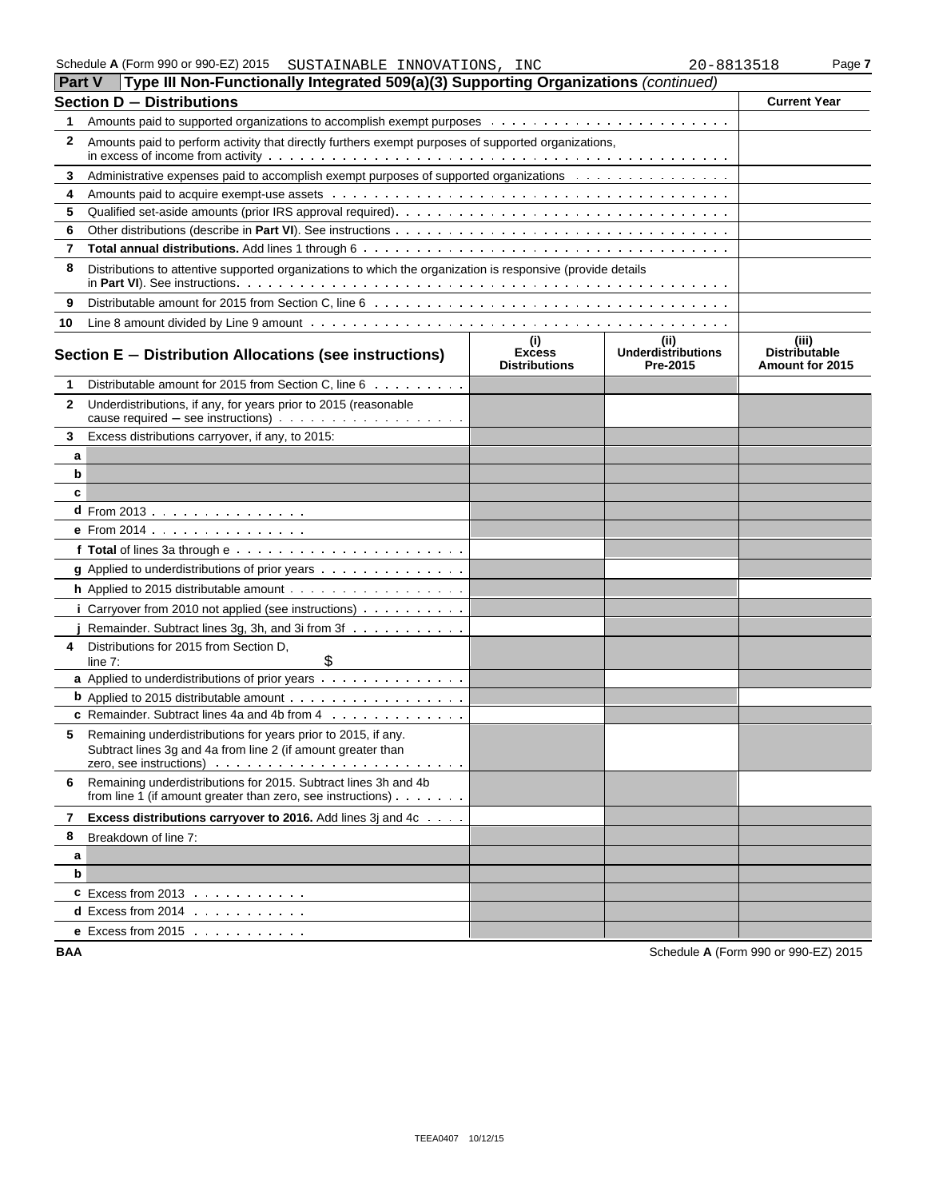| Schedule A (Form 990 or 990-EZ) 2015 | INNOVATIONS,<br>SUSTAINABLE . | INC | 20-8813518 | $P$ aqe |
|--------------------------------------|-------------------------------|-----|------------|---------|
|--------------------------------------|-------------------------------|-----|------------|---------|

|              | <b>Part V</b> Type III Non-Functionally Integrated 509(a)(3) Supporting Organizations (continued)                                       |                                              |                                        |                                           |
|--------------|-----------------------------------------------------------------------------------------------------------------------------------------|----------------------------------------------|----------------------------------------|-------------------------------------------|
|              | <b>Section D - Distributions</b>                                                                                                        |                                              |                                        | <b>Current Year</b>                       |
| 1            |                                                                                                                                         |                                              |                                        |                                           |
| 2            | Amounts paid to perform activity that directly furthers exempt purposes of supported organizations,                                     |                                              |                                        |                                           |
| 3            | Administrative expenses paid to accomplish exempt purposes of supported organizations                                                   |                                              |                                        |                                           |
| 4            |                                                                                                                                         |                                              |                                        |                                           |
| 5            |                                                                                                                                         |                                              |                                        |                                           |
| 6            |                                                                                                                                         |                                              |                                        |                                           |
| 7            |                                                                                                                                         |                                              |                                        |                                           |
| 8            | Distributions to attentive supported organizations to which the organization is responsive (provide details                             |                                              |                                        |                                           |
| 9            |                                                                                                                                         |                                              |                                        |                                           |
| 10           |                                                                                                                                         |                                              |                                        |                                           |
|              | Section E - Distribution Allocations (see instructions)                                                                                 | (i)<br><b>Excess</b><br><b>Distributions</b> | (ii)<br>Underdistributions<br>Pre-2015 | (iii)<br>Distributable<br>Amount for 2015 |
| 1            | Distributable amount for 2015 from Section C, line 6                                                                                    |                                              |                                        |                                           |
| $\mathbf{2}$ | Underdistributions, if any, for years prior to 2015 (reasonable                                                                         |                                              |                                        |                                           |
| 3            | Excess distributions carryover, if any, to 2015:                                                                                        |                                              |                                        |                                           |
| а            |                                                                                                                                         |                                              |                                        |                                           |
| b            |                                                                                                                                         |                                              |                                        |                                           |
| c            |                                                                                                                                         |                                              |                                        |                                           |
|              | <b>d</b> From 2013 $\ldots$ $\ldots$ $\ldots$ $\ldots$                                                                                  |                                              |                                        |                                           |
|              | e From 2014                                                                                                                             |                                              |                                        |                                           |
|              |                                                                                                                                         |                                              |                                        |                                           |
|              | g Applied to underdistributions of prior years                                                                                          |                                              |                                        |                                           |
|              |                                                                                                                                         |                                              |                                        |                                           |
|              | i Carryover from 2010 not applied (see instructions) $\ldots \ldots \ldots$                                                             |                                              |                                        |                                           |
|              | Remainder. Subtract lines 3g, 3h, and 3i from 3f                                                                                        |                                              |                                        |                                           |
| 4            | Distributions for 2015 from Section D,<br>\$<br>line $7:$                                                                               |                                              |                                        |                                           |
|              | a Applied to underdistributions of prior years                                                                                          |                                              |                                        |                                           |
|              | <b>b</b> Applied to 2015 distributable amount                                                                                           |                                              |                                        |                                           |
|              | c Remainder. Subtract lines 4a and 4b from 4                                                                                            |                                              |                                        |                                           |
| 5            | Remaining underdistributions for years prior to 2015, if any.<br>Subtract lines 3g and 4a from line 2 (if amount greater than           |                                              |                                        |                                           |
| 6            | Remaining underdistributions for 2015. Subtract lines 3h and 4b<br>from line 1 (if amount greater than zero, see instructions) $\cdots$ |                                              |                                        |                                           |
| 7            | Excess distributions carryover to 2016. Add lines 3j and 4c                                                                             |                                              |                                        |                                           |
| 8            | Breakdown of line 7:                                                                                                                    |                                              |                                        |                                           |
| а            |                                                                                                                                         |                                              |                                        |                                           |
| b            |                                                                                                                                         |                                              |                                        |                                           |
|              | <b>C</b> Excess from 2013 $\ldots$ $\ldots$ $\ldots$                                                                                    |                                              |                                        |                                           |
|              | <b>d</b> Excess from 2014 $\ldots$ $\ldots$ $\ldots$                                                                                    |                                              |                                        |                                           |
|              | e Excess from $2015$                                                                                                                    |                                              |                                        |                                           |

**BAA** Schedule **A** (Form 990 or 990-EZ) 2015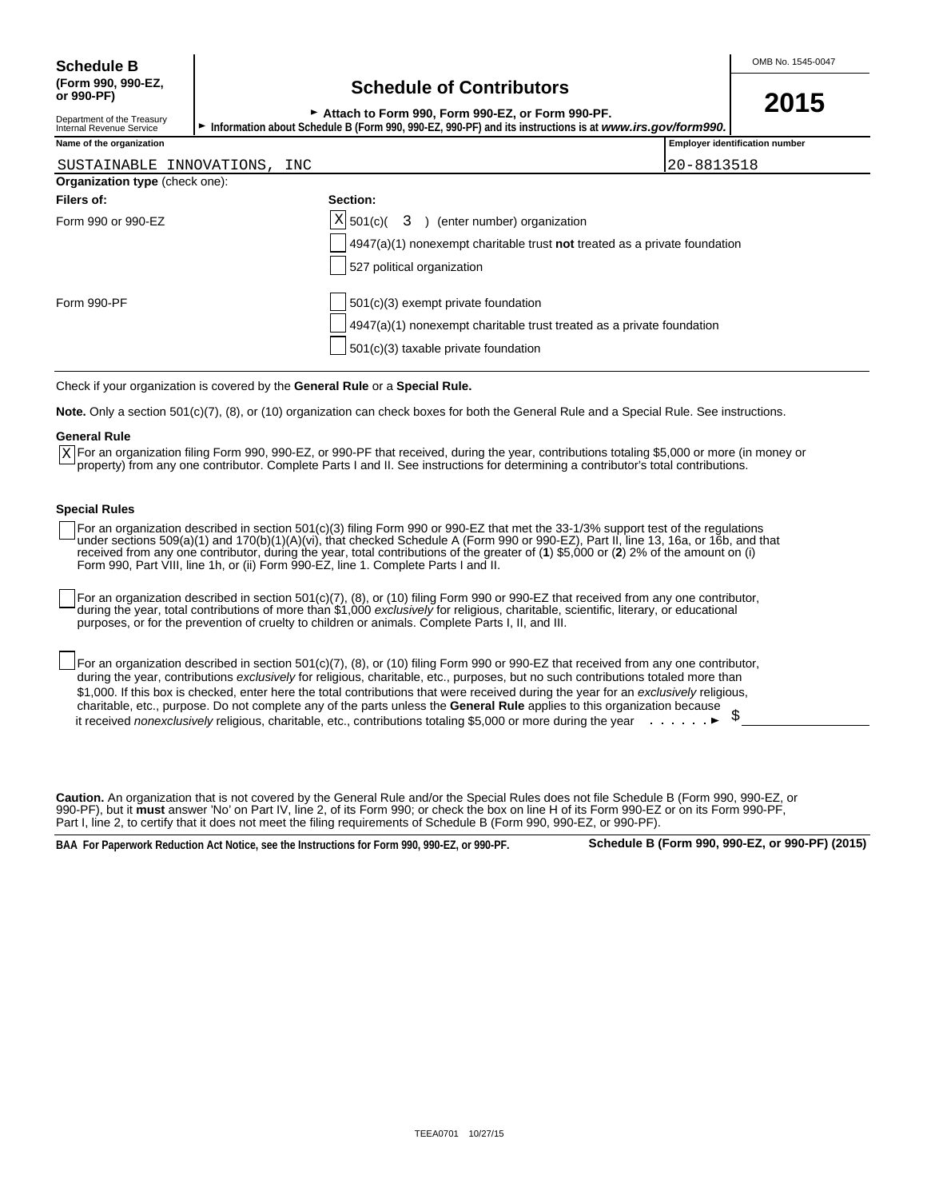Department of the Treasury<br>Internal Revenue Service

## **(Form 990, 990-EZ, Schedule of Contributors or 990-PF)**

| OUNUMANU UN UUNINUMUU                            | 2015 |
|--------------------------------------------------|------|
| Attach to Form 990, Form 990-EZ, or Form 990-PF. |      |
|                                                  |      |

Information about Schedule B (Form 990, 990-EZ, 990-PF) and its instructions is at *www.irs.gov/form990.* 

| Name of the organization              |                                                                                    | <b>Employer identification number</b> |
|---------------------------------------|------------------------------------------------------------------------------------|---------------------------------------|
| SUSTAINABLE INNOVATIONS, INC          |                                                                                    | 20-8813518                            |
| <b>Organization type (check one):</b> |                                                                                    |                                       |
| Filers of:                            | Section:                                                                           |                                       |
| Form 990 or 990-EZ                    | $ X $ 501(c)( 3<br>(enter number) organization                                     |                                       |
|                                       | $4947(a)(1)$ nonexempt charitable trust <b>not</b> treated as a private foundation |                                       |
|                                       | 527 political organization                                                         |                                       |
| Form 990-PF                           | 501(c)(3) exempt private foundation                                                |                                       |

4947(a)(1) nonexempt charitable trust treated as a private foundation

Check if your organization is covered by the **General Rule** or a **Special Rule.**

**Note.** Only a section 501(c)(7), (8), or (10) organization can check boxes for both the General Rule and a Special Rule. See instructions.

#### **General Rule**

For an organization filing Form 990, 990-EZ, or 990-PF that received, during the year, contributions totaling \$5,000 or more (in money or X For an organization filing Form 990, 990-EZ, or 990-PF that received, during the year, contributions totaling \$5,000 or more (ir<br>Property) from any one contributor. Complete Parts I and II. See instructions for determin

501(c)(3) taxable private foundation

#### **Special Rules**

For an organization described in section 501(c)(3) filing Form 990 or 990-EZ that met the 33-1/3% support test of the regulations under sections 509(a)(1) and 170(b)(1)(A)(vi), that checked Schedule A (Form 990 or 990-EZ), Part II, line 13, 16a, or 16b, and that received from any one contributor, during the year, total contributions of the greater of (**1**) \$5,000 or (**2**) 2% of the amount on (i) Form 990, Part VIII, line 1h, or (ii) Form 990-EZ, line 1. Complete Parts I and II.

For an organization described in section 501(c)(7), (8), or (10) filing Form 990 or 990-EZ that received from any one contributor, during the year, total contributions of more than \$1,000 *exclusively* for religious, charitable, scientific, literary, or educational purposes, or for the prevention of cruelty to children or animals. Complete Parts I, II, and III.

For an organization described in section 501(c)(7), (8), or (10) filing Form 990 or 990-EZ that received from any one contributor, during the year, contributions *exclusively* for religious, charitable, etc., purposes, but no such contributions totaled more than \$1,000. If this box is checked, enter here the total contributions that were received during the year for an *exclusively* religious, charitable, etc., purpose. Do not complete any of the parts unless the **General Rule** applies to this organization because it received *nonexclusively* religious, charitable, etc., contributions totaling \$5,000 or more during the year **.** . . . . . . ▶

**Caution.** An organization that is not covered by the General Rule and/or the Special Rules does not file Schedule B (Form 990, 990-EZ, or 990-PF), but it **must** answer 'No' on Part IV, line 2, of its Form 990; or check the box on line H of its Form 990-EZ or on its Form 990-PF, Part I, line 2, to certify that it does not meet the filing requirements of Schedule B (Form 990, 990-EZ, or 990-PF)

**BAA For Paperwork Reduction Act Notice, see the Instructions for Form 990, 990-EZ, or 990-PF. Schedule B (Form 990, 990-EZ, or 990-PF) (2015)**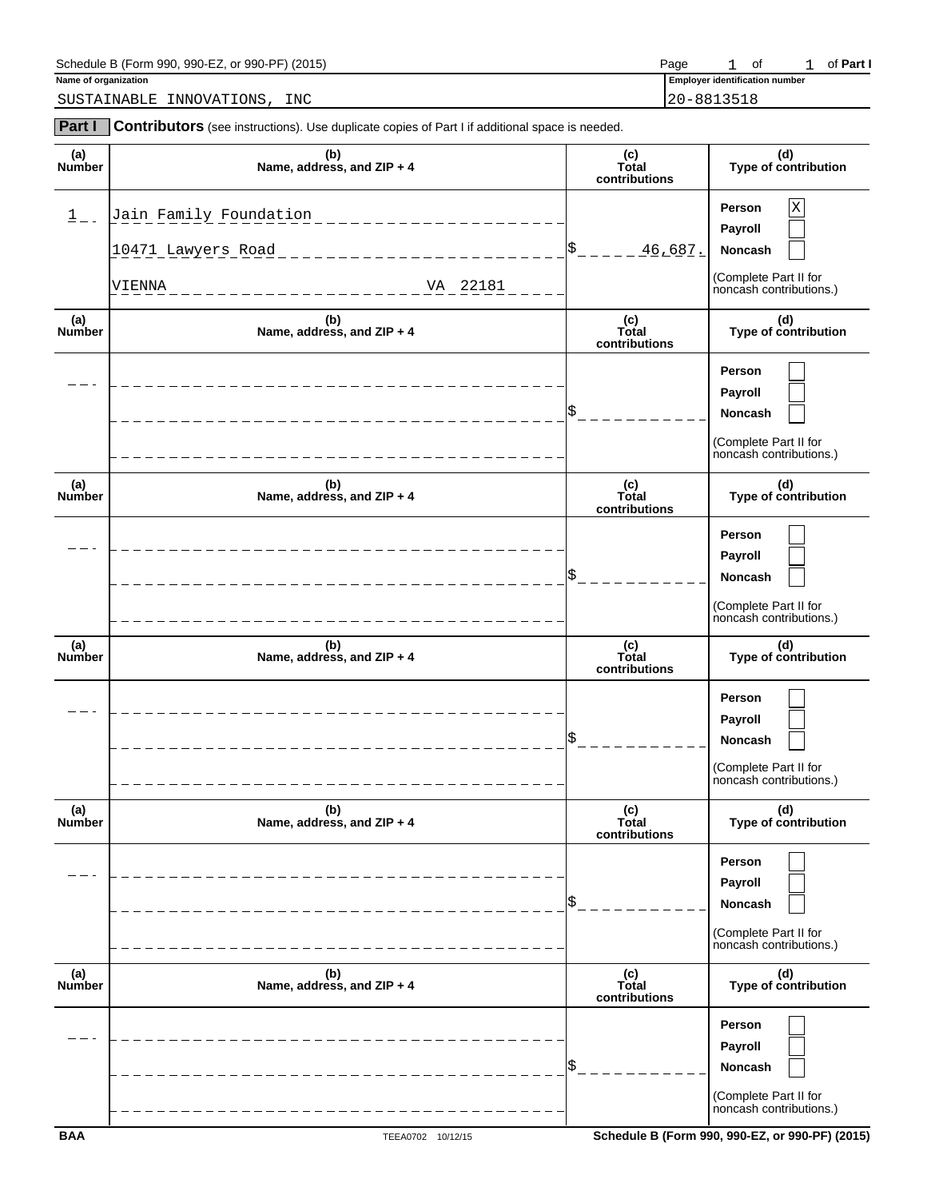| Schedule B (Form<br>990-PF)<br>990-EZ<br>(2015)<br>990<br>. or ' | Page | ⌒t<br>$\overline{\phantom{a}}$ | Part |
|------------------------------------------------------------------|------|--------------------------------|------|
|                                                                  |      |                                |      |

SUSTAINABLE INNOVATIONS, INC 20-8813518

**Part I** Contributors (see instructions). Use duplicate copies of Part I if additional space is needed.

**Name of organization Employer identification** number

1 of 1 of Part I

| (a)<br>Number        | (b)<br>Name, address, and ZIP + 4                                                                          | (c)<br>Total<br>contributions | (d)<br>Type of contribution                                                           |
|----------------------|------------------------------------------------------------------------------------------------------------|-------------------------------|---------------------------------------------------------------------------------------|
| $\frac{1}{-}$        | Jain Family Foundation<br>_______________<br>10471 Lawyers Road<br>_________________<br>VA 22181<br>VIENNA | $S_{-} = - - -$<br>46,687.    | X<br>Person<br>Payroll<br>Noncash<br>(Complete Part II for<br>noncash contributions.) |
| (a)<br>Number        | (b)<br>Name, address, and ZIP + 4                                                                          | (c)<br>Total<br>contributions | (d)<br>Type of contribution                                                           |
|                      |                                                                                                            | \$                            | Person<br>Payroll<br>Noncash<br>(Complete Part II for<br>noncash contributions.)      |
| (a)<br><b>Number</b> | (b)<br>Name, address, and ZIP + 4                                                                          | (c)<br>Total<br>contributions | (d)<br>Type of contribution                                                           |
|                      |                                                                                                            | \$                            | Person<br>Payroll<br>Noncash<br>(Complete Part II for<br>noncash contributions.)      |
| (a)<br>Number        | (b)<br>Name, address, and ZIP + 4                                                                          | (c)<br>Total<br>contributions | (d)<br>Type of contribution                                                           |
|                      |                                                                                                            | \$                            | Person<br>Payroll<br>Noncash<br>(Complete Part II for<br>noncash contributions.)      |
| (a)<br>Number        | (b)<br>Name, address, and ZIP + 4                                                                          | (c)<br>Total<br>contributions | (d)<br>Type of contribution                                                           |
|                      |                                                                                                            |                               | Person<br>Payroll<br>Noncash<br>(Complete Part II for<br>noncash contributions.)      |
| (a)<br>Number        | (b)<br>Name, address, and ZIP + 4                                                                          | (c)<br>Total<br>contributions | (d)<br>Type of contribution                                                           |
|                      |                                                                                                            | \$                            | Person<br>Payroll<br>Noncash<br>(Complete Part II for<br>noncash contributions.)      |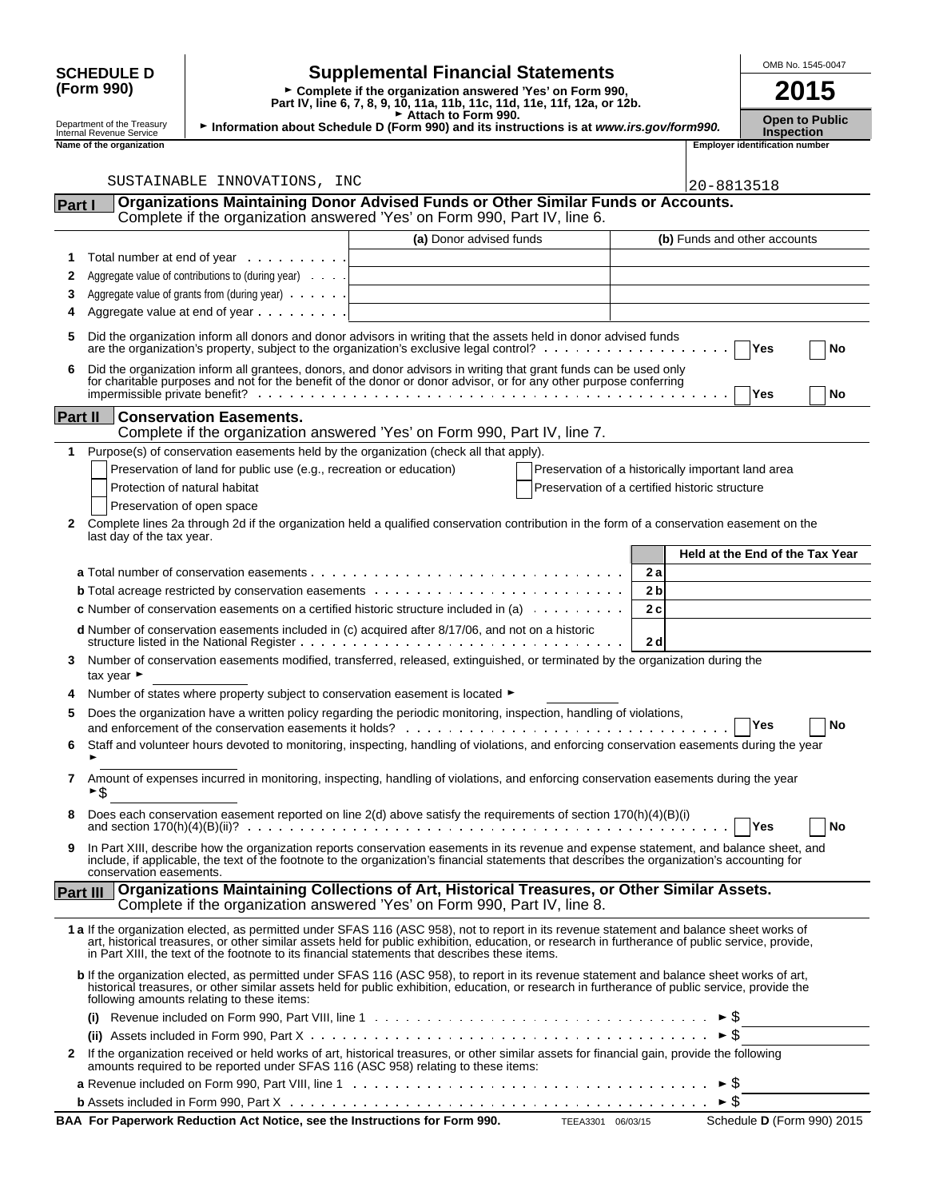|                |                                                                                                                                              |                                                                     |                                                                                                                                                                                                                                                                                                                                                                                                 |                                                    |                |                     | OMB No. 1545-0047                          |
|----------------|----------------------------------------------------------------------------------------------------------------------------------------------|---------------------------------------------------------------------|-------------------------------------------------------------------------------------------------------------------------------------------------------------------------------------------------------------------------------------------------------------------------------------------------------------------------------------------------------------------------------------------------|----------------------------------------------------|----------------|---------------------|--------------------------------------------|
|                | <b>SCHEDULE D</b><br>(Form 990)                                                                                                              |                                                                     | <b>Supplemental Financial Statements</b><br>► Complete if the organization answered 'Yes' on Form 990,<br>Part IV, line 6, 7, 8, 9, 10, 11a, 11b, 11c, 11d, 11e, 11f, 12a, or 12b.                                                                                                                                                                                                              |                                                    |                |                     | 2015                                       |
|                | Attach to Form 990.<br>Department of the Treasury<br>Information about Schedule D (Form 990) and its instructions is at www.irs.gov/form990. |                                                                     |                                                                                                                                                                                                                                                                                                                                                                                                 |                                                    |                |                     | <b>Open to Public</b><br><b>Inspection</b> |
|                | Internal Revenue Service<br><b>Employer identification number</b><br>Name of the organization                                                |                                                                     |                                                                                                                                                                                                                                                                                                                                                                                                 |                                                    |                |                     |                                            |
|                |                                                                                                                                              |                                                                     |                                                                                                                                                                                                                                                                                                                                                                                                 |                                                    |                |                     |                                            |
|                |                                                                                                                                              | SUSTAINABLE INNOVATIONS, INC                                        |                                                                                                                                                                                                                                                                                                                                                                                                 |                                                    |                | 20-8813518          |                                            |
| Part I         |                                                                                                                                              |                                                                     | <b>Organizations Maintaining Donor Advised Funds or Other Similar Funds or Accounts.</b>                                                                                                                                                                                                                                                                                                        |                                                    |                |                     |                                            |
|                |                                                                                                                                              |                                                                     | Complete if the organization answered 'Yes' on Form 990, Part IV, line 6.                                                                                                                                                                                                                                                                                                                       |                                                    |                |                     |                                            |
|                |                                                                                                                                              |                                                                     | (a) Donor advised funds                                                                                                                                                                                                                                                                                                                                                                         |                                                    |                |                     | (b) Funds and other accounts               |
| 1              |                                                                                                                                              | Total number at end of year                                         |                                                                                                                                                                                                                                                                                                                                                                                                 |                                                    |                |                     |                                            |
| 2              |                                                                                                                                              | Aggregate value of contributions to (during year)                   |                                                                                                                                                                                                                                                                                                                                                                                                 |                                                    |                |                     |                                            |
| 3              |                                                                                                                                              | Aggregate value of grants from (during year)                        |                                                                                                                                                                                                                                                                                                                                                                                                 |                                                    |                |                     |                                            |
| 4              |                                                                                                                                              | Aggregate value at end of year                                      |                                                                                                                                                                                                                                                                                                                                                                                                 |                                                    |                |                     |                                            |
| 5              |                                                                                                                                              |                                                                     | Did the organization inform all donors and donor advisors in writing that the assets held in donor advised funds<br>are the organization's property, subject to the organization's exclusive legal control? $\ldots$ , $\ldots$ , $\ldots$ , $\ldots$                                                                                                                                           |                                                    |                |                     | Yes<br>No                                  |
| 6              |                                                                                                                                              |                                                                     | Did the organization inform all grantees, donors, and donor advisors in writing that grant funds can be used only<br>for charitable purposes and not for the benefit of the donor or donor advisor, or for any other purpose conferring                                                                                                                                                         |                                                    |                |                     | <b>Yes</b><br>No                           |
| <b>Part II</b> |                                                                                                                                              | <b>Conservation Easements.</b>                                      | Complete if the organization answered 'Yes' on Form 990, Part IV, line 7.                                                                                                                                                                                                                                                                                                                       |                                                    |                |                     |                                            |
| 1.             |                                                                                                                                              |                                                                     | Purpose(s) of conservation easements held by the organization (check all that apply).                                                                                                                                                                                                                                                                                                           |                                                    |                |                     |                                            |
|                |                                                                                                                                              | Preservation of land for public use (e.g., recreation or education) |                                                                                                                                                                                                                                                                                                                                                                                                 | Preservation of a historically important land area |                |                     |                                            |
|                | Protection of natural habitat                                                                                                                |                                                                     |                                                                                                                                                                                                                                                                                                                                                                                                 | Preservation of a certified historic structure     |                |                     |                                            |
|                | Preservation of open space                                                                                                                   |                                                                     |                                                                                                                                                                                                                                                                                                                                                                                                 |                                                    |                |                     |                                            |
| 2              |                                                                                                                                              |                                                                     | Complete lines 2a through 2d if the organization held a qualified conservation contribution in the form of a conservation easement on the                                                                                                                                                                                                                                                       |                                                    |                |                     |                                            |
|                | last day of the tax year.                                                                                                                    |                                                                     |                                                                                                                                                                                                                                                                                                                                                                                                 |                                                    |                |                     |                                            |
|                |                                                                                                                                              |                                                                     |                                                                                                                                                                                                                                                                                                                                                                                                 |                                                    | 2a             |                     | <b>Held at the End of the Tax Year</b>     |
|                |                                                                                                                                              |                                                                     |                                                                                                                                                                                                                                                                                                                                                                                                 |                                                    | 2 <sub>b</sub> |                     |                                            |
|                |                                                                                                                                              |                                                                     | <b>c</b> Number of conservation easements on a certified historic structure included in (a) $\ldots \ldots \ldots$                                                                                                                                                                                                                                                                              |                                                    | 2c             |                     |                                            |
|                |                                                                                                                                              |                                                                     |                                                                                                                                                                                                                                                                                                                                                                                                 |                                                    |                |                     |                                            |
|                |                                                                                                                                              |                                                                     | d Number of conservation easements included in (c) acquired after 8/17/06, and not on a historic                                                                                                                                                                                                                                                                                                |                                                    | 2d             |                     |                                            |
| 3              | tax year $\blacktriangleright$                                                                                                               |                                                                     | Number of conservation easements modified, transferred, released, extinguished, or terminated by the organization during the                                                                                                                                                                                                                                                                    |                                                    |                |                     |                                            |
|                |                                                                                                                                              |                                                                     | Number of states where property subject to conservation easement is located ▶                                                                                                                                                                                                                                                                                                                   |                                                    |                |                     |                                            |
|                |                                                                                                                                              |                                                                     | Does the organization have a written policy regarding the periodic monitoring, inspection, handling of violations,                                                                                                                                                                                                                                                                              |                                                    |                |                     | Yes<br><b>No</b>                           |
| 6              |                                                                                                                                              |                                                                     | Staff and volunteer hours devoted to monitoring, inspecting, handling of violations, and enforcing conservation easements during the year                                                                                                                                                                                                                                                       |                                                    |                |                     |                                            |
| 7              | ►\$                                                                                                                                          |                                                                     | Amount of expenses incurred in monitoring, inspecting, handling of violations, and enforcing conservation easements during the year                                                                                                                                                                                                                                                             |                                                    |                |                     |                                            |
| 8              |                                                                                                                                              |                                                                     | Does each conservation easement reported on line 2(d) above satisfy the requirements of section 170(h)(4)(B)(i)                                                                                                                                                                                                                                                                                 |                                                    |                |                     | Yes<br>No                                  |
| 9              | conservation easements.                                                                                                                      |                                                                     | In Part XIII, describe how the organization reports conservation easements in its revenue and expense statement, and balance sheet, and<br>include, if applicable, the text of the footnote to the organization's financial statements that describes the organization's accounting for                                                                                                         |                                                    |                |                     |                                            |
|                | <b>Part III</b>                                                                                                                              |                                                                     | Organizations Maintaining Collections of Art, Historical Treasures, or Other Similar Assets.<br>Complete if the organization answered 'Yes' on Form 990, Part IV, line 8.                                                                                                                                                                                                                       |                                                    |                |                     |                                            |
|                |                                                                                                                                              |                                                                     | 1 a If the organization elected, as permitted under SFAS 116 (ASC 958), not to report in its revenue statement and balance sheet works of<br>art, historical treasures, or other similar assets held for public exhibition, education, or research in furtherance of public service, provide,<br>in Part XIII, the text of the footnote to its financial statements that describes these items. |                                                    |                |                     |                                            |
|                |                                                                                                                                              | following amounts relating to these items:                          | b If the organization elected, as permitted under SFAS 116 (ASC 958), to report in its revenue statement and balance sheet works of art,<br>historical treasures, or other similar assets held for public exhibition, education, or research in furtherance of public service, provide the                                                                                                      |                                                    |                |                     |                                            |
|                | (i)                                                                                                                                          |                                                                     |                                                                                                                                                                                                                                                                                                                                                                                                 |                                                    |                |                     |                                            |
|                |                                                                                                                                              |                                                                     |                                                                                                                                                                                                                                                                                                                                                                                                 |                                                    |                | $\triangleright$ \$ |                                            |
| 2              |                                                                                                                                              |                                                                     | If the organization received or held works of art, historical treasures, or other similar assets for financial gain, provide the following<br>amounts required to be reported under SFAS 116 (ASC 958) relating to these items:                                                                                                                                                                 |                                                    |                |                     |                                            |
|                |                                                                                                                                              |                                                                     |                                                                                                                                                                                                                                                                                                                                                                                                 |                                                    |                | ► \$                |                                            |
|                |                                                                                                                                              |                                                                     |                                                                                                                                                                                                                                                                                                                                                                                                 |                                                    |                | ► \$                |                                            |

| BAA For Paperwork Reduction Act Notice, see the Instructions for Form 990.<br>Schedu<br>TEEA3301 06/03/15 |
|-----------------------------------------------------------------------------------------------------------|
|-----------------------------------------------------------------------------------------------------------|

**B D** (Form 990) 2015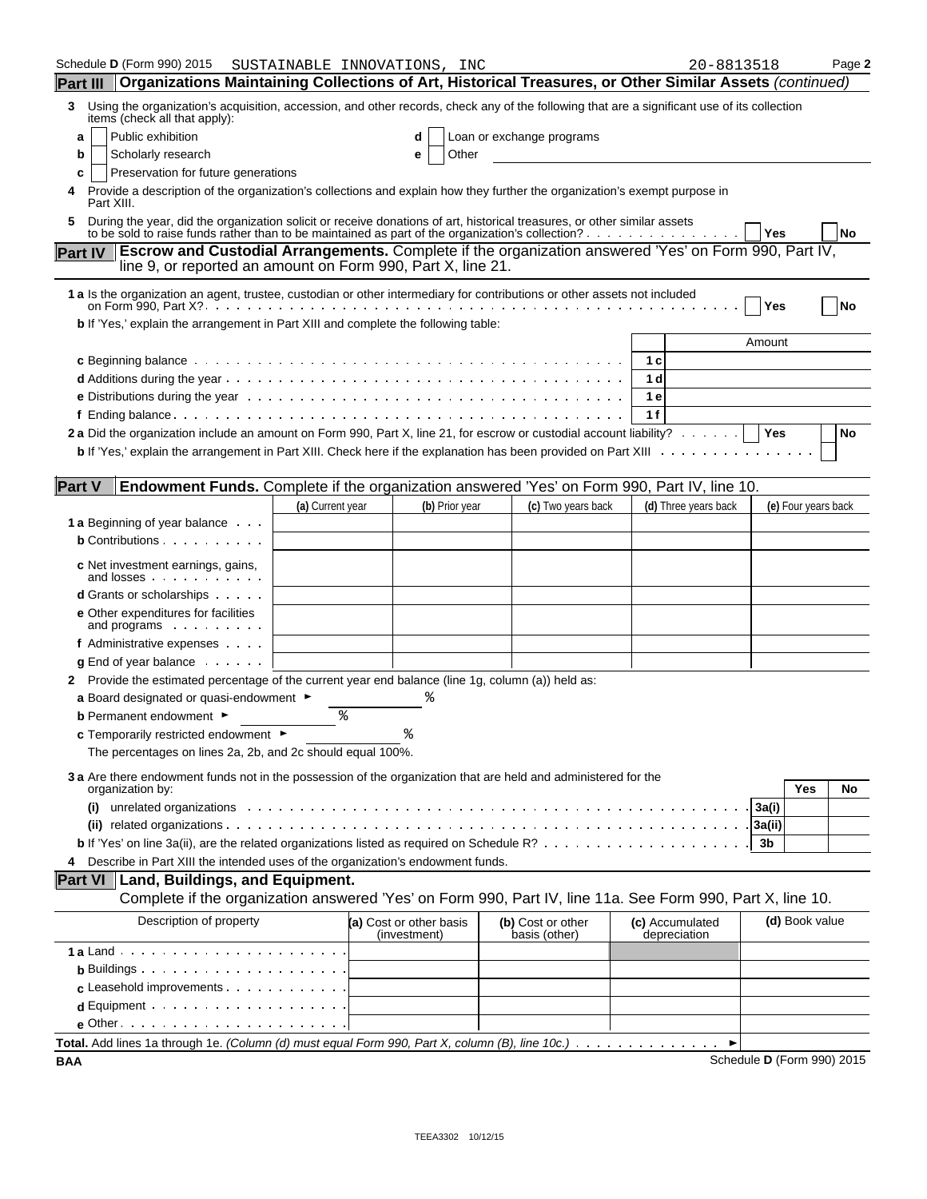| Schedule <b>D</b> (Form 990) 2015<br>Organizations Maintaining Collections of Art, Historical Treasures, or Other Similar Assets (continued)<br><b>Part III</b>                     |                  | SUSTAINABLE INNOVATIONS, INC            |                |                                    | 20-8813518                      | Page 2                     |
|-------------------------------------------------------------------------------------------------------------------------------------------------------------------------------------|------------------|-----------------------------------------|----------------|------------------------------------|---------------------------------|----------------------------|
| Using the organization's acquisition, accession, and other records, check any of the following that are a significant use of its collection<br>3                                    |                  |                                         |                |                                    |                                 |                            |
| items (check all that apply):                                                                                                                                                       |                  |                                         |                |                                    |                                 |                            |
| Public exhibition<br>a                                                                                                                                                              |                  | d                                       |                | Loan or exchange programs          |                                 |                            |
| Scholarly research<br>b                                                                                                                                                             |                  | е                                       | Other          |                                    |                                 |                            |
| Preservation for future generations<br>c<br>Provide a description of the organization's collections and explain how they further the organization's exempt purpose in<br>Part XIII. |                  |                                         |                |                                    |                                 |                            |
| During the year, did the organization solicit or receive donations of art, historical treasures, or other similar assets<br>5                                                       |                  |                                         |                |                                    |                                 |                            |
| to be sold to raise funds rather than to be maintained as part of the organization's collection?                                                                                    |                  |                                         |                |                                    |                                 | <b>Yes</b><br>No           |
| Part IV   Escrow and Custodial Arrangements. Complete if the organization answered 'Yes' on Form 990, Part IV,<br>line 9, or reported an amount on Form 990, Part X, line 21.       |                  |                                         |                |                                    |                                 |                            |
| 1 a Is the organization an agent, trustee, custodian or other intermediary for contributions or other assets not included                                                           |                  |                                         |                |                                    |                                 | Yes<br>No                  |
| b If 'Yes,' explain the arrangement in Part XIII and complete the following table:                                                                                                  |                  |                                         |                |                                    |                                 |                            |
|                                                                                                                                                                                     |                  |                                         |                |                                    |                                 | Amount                     |
|                                                                                                                                                                                     |                  |                                         |                |                                    | 1 c                             |                            |
|                                                                                                                                                                                     |                  |                                         |                |                                    | 1 d                             |                            |
|                                                                                                                                                                                     |                  |                                         |                |                                    | 1 e                             |                            |
|                                                                                                                                                                                     |                  |                                         |                |                                    | 1f                              |                            |
| 2a Did the organization include an amount on Form 990, Part X, line 21, for escrow or custodial account liability?   Yes                                                            |                  |                                         |                |                                    |                                 | No                         |
|                                                                                                                                                                                     |                  |                                         |                |                                    |                                 |                            |
|                                                                                                                                                                                     |                  |                                         |                |                                    |                                 |                            |
| Endowment Funds. Complete if the organization answered 'Yes' on Form 990, Part IV, line 10.<br><b>Part V</b>                                                                        |                  |                                         |                |                                    |                                 |                            |
|                                                                                                                                                                                     | (a) Current year |                                         | (b) Prior year | (c) Two years back                 | (d) Three years back            | (e) Four years back        |
| <b>1 a</b> Beginning of year balance                                                                                                                                                |                  |                                         |                |                                    |                                 |                            |
| <b>b</b> Contributions                                                                                                                                                              |                  |                                         |                |                                    |                                 |                            |
| <b>c</b> Net investment earnings, gains,<br>and losses                                                                                                                              |                  |                                         |                |                                    |                                 |                            |
| <b>d</b> Grants or scholarships                                                                                                                                                     |                  |                                         |                |                                    |                                 |                            |
| <b>e</b> Other expenditures for facilities<br>and programs $\cdots$                                                                                                                 |                  |                                         |                |                                    |                                 |                            |
| f Administrative expenses                                                                                                                                                           |                  |                                         |                |                                    |                                 |                            |
| $g$ End of year balance $\ldots$ .                                                                                                                                                  |                  |                                         |                |                                    |                                 |                            |
| 2 Provide the estimated percentage of the current year end balance (line 1g, column (a)) held as:                                                                                   |                  |                                         |                |                                    |                                 |                            |
| a Board designated or quasi-endowment $\blacktriangleright$                                                                                                                         |                  | ిన                                      |                |                                    |                                 |                            |
| <b>b</b> Permanent endowment ►                                                                                                                                                      | ៖                |                                         |                |                                    |                                 |                            |
| c Temporarily restricted endowment ►                                                                                                                                                |                  |                                         |                |                                    |                                 |                            |
| The percentages on lines 2a, 2b, and 2c should equal 100%.                                                                                                                          |                  |                                         |                |                                    |                                 |                            |
| 3 a Are there endowment funds not in the possession of the organization that are held and administered for the<br>organization by:                                                  |                  |                                         |                |                                    |                                 | Yes<br>No                  |
| unrelated organizations enterpresentation of the contract of the contract of the contract of the contract of t<br>(i)                                                               |                  |                                         |                |                                    |                                 | 3a(i)                      |
|                                                                                                                                                                                     |                  |                                         |                |                                    |                                 | 3a(ii)                     |
|                                                                                                                                                                                     |                  |                                         |                |                                    |                                 | 3b                         |
| Describe in Part XIII the intended uses of the organization's endowment funds.                                                                                                      |                  |                                         |                |                                    |                                 |                            |
| <b>Part VI   Land, Buildings, and Equipment.</b>                                                                                                                                    |                  |                                         |                |                                    |                                 |                            |
| Complete if the organization answered 'Yes' on Form 990, Part IV, line 11a. See Form 990, Part X, line 10.                                                                          |                  |                                         |                |                                    |                                 |                            |
| Description of property                                                                                                                                                             |                  | (a) Cost or other basis<br>(investment) |                | (b) Cost or other<br>basis (other) | (c) Accumulated<br>depreciation | (d) Book value             |
|                                                                                                                                                                                     |                  |                                         |                |                                    |                                 |                            |
| <b>b</b> Buildings $\cdots$ $\cdots$ $\cdots$ $\cdots$ $\cdots$ $\cdots$                                                                                                            |                  |                                         |                |                                    |                                 |                            |
| $c$ Leasehold improvements $\cdots$                                                                                                                                                 |                  |                                         |                |                                    |                                 |                            |
|                                                                                                                                                                                     |                  |                                         |                |                                    |                                 |                            |
| $e$ Other $\cdots$ $\cdots$ $\cdots$ $\cdots$ $\cdots$ $\cdots$ $\cdots$                                                                                                            |                  |                                         |                |                                    |                                 |                            |
| Total. Add lines 1a through 1e. (Column (d) must equal Form 990, Part X, column (B), line 10c.)                                                                                     |                  |                                         |                |                                    |                                 |                            |
| BAA                                                                                                                                                                                 |                  |                                         |                |                                    |                                 | Schedule D (Form 990) 2015 |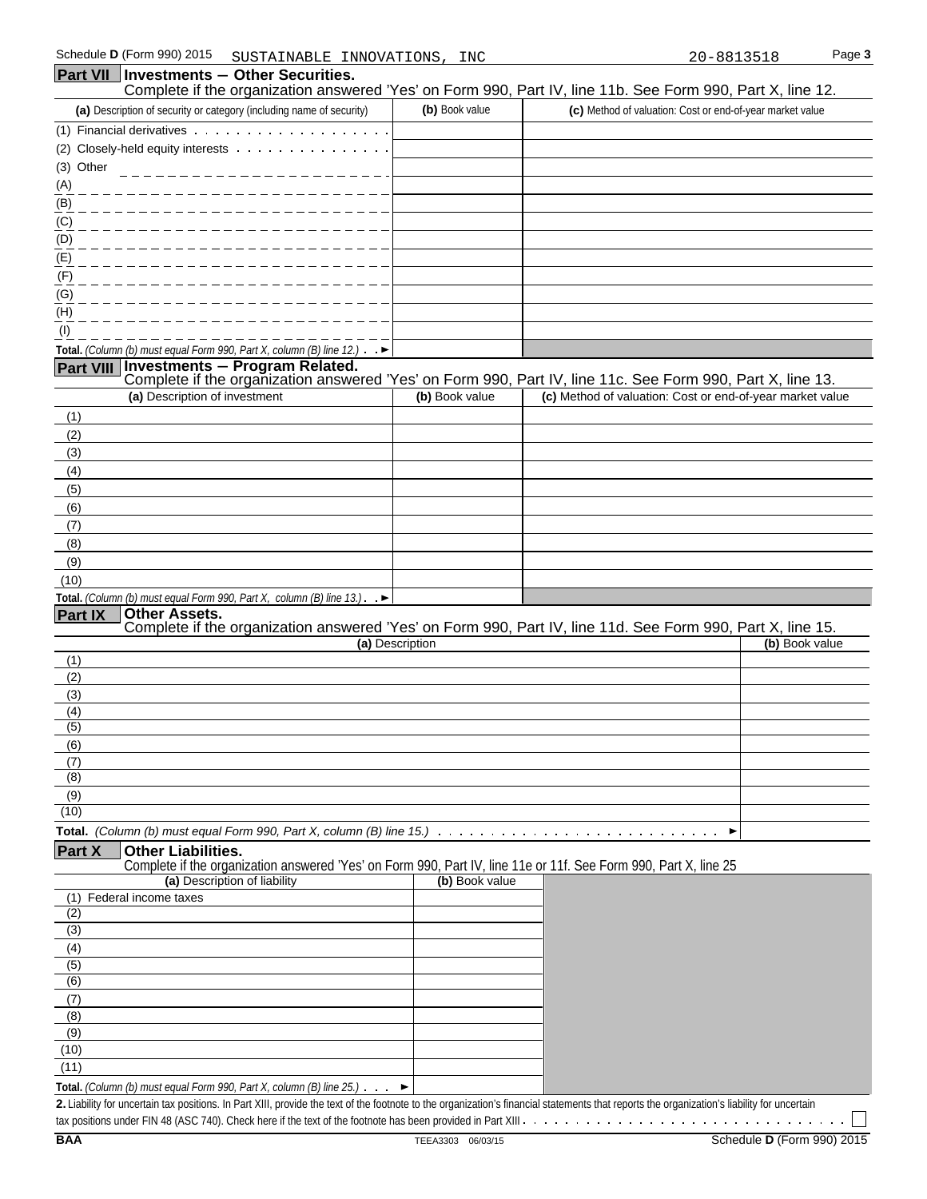#### **Part VII** | Investments - Other Securities. Complete if the organization answered 'Yes' on Form 990, Part IV, line 11b. See Form 990, Part X, line 12. **(a)** Description of security or category (including name of security) **(b)** Book value **(c)** Method of valuation: Cost or end-of-year market value (1) Financial derivatives (2) Closely-held equity interests (3) Other (A) (B) (C) (D) (E) (F) (G) (H) (I) **Total.** *(Column (b) must equal Form 990, Part X, column (B) line 12.)* **Part VIII Investments** ' **Program Related.**  Complete if the organization answered 'Yes' on Form 990, Part IV, line 11c. See Form 990, Part X, line 13. **(a)** Description of investment **(b)** Book value **(c)** Method of valuation: Cost or end-of-year market value (1) (2) (3) (4) (5) (6) (7) (8) (9) (10) **Total.** *(Column (b) must equal Form 990, Part X, column (B) line 13.)* ,  $\blacktriangleright$ **Part IX Other Assets.**  Complete if the organization answered 'Yes' on Form 990, Part IV, line 11d. See Form 990, Part X, line 15. **(a)** Description **(b)** Book value (1) (2) (3) (4) (5) (6) (7) (8) (9) (10) **Total.** *(Column (b) must equal Form 990, Part X, column (B) line 15.)* **Part X Other Liabilities.**  Complete if the organization answered 'Yes' on Form 990, Part IV, line 11e or 11f. See Form 990, Part X, line 25 **(a)** Description of liability **(b)** Book value (1) Federal income taxes (2) (3) (4) (5) (6) (7) (8) (9) (10) (11)

**Total.** *(Column (b) must equal Form 990, Part X, column (B) line 25.)*

**2.** Liability for uncertain tax positions. In Part XIII, provide the text of the footnote to the organization's financial statements that reports the organization's liability for uncertain

 $\blacktriangleright$ 

tax positions under FIN 48 (ASC 740). Check here if the text of the footnote has been provided in Part XIII

 $\sim$   $\sim$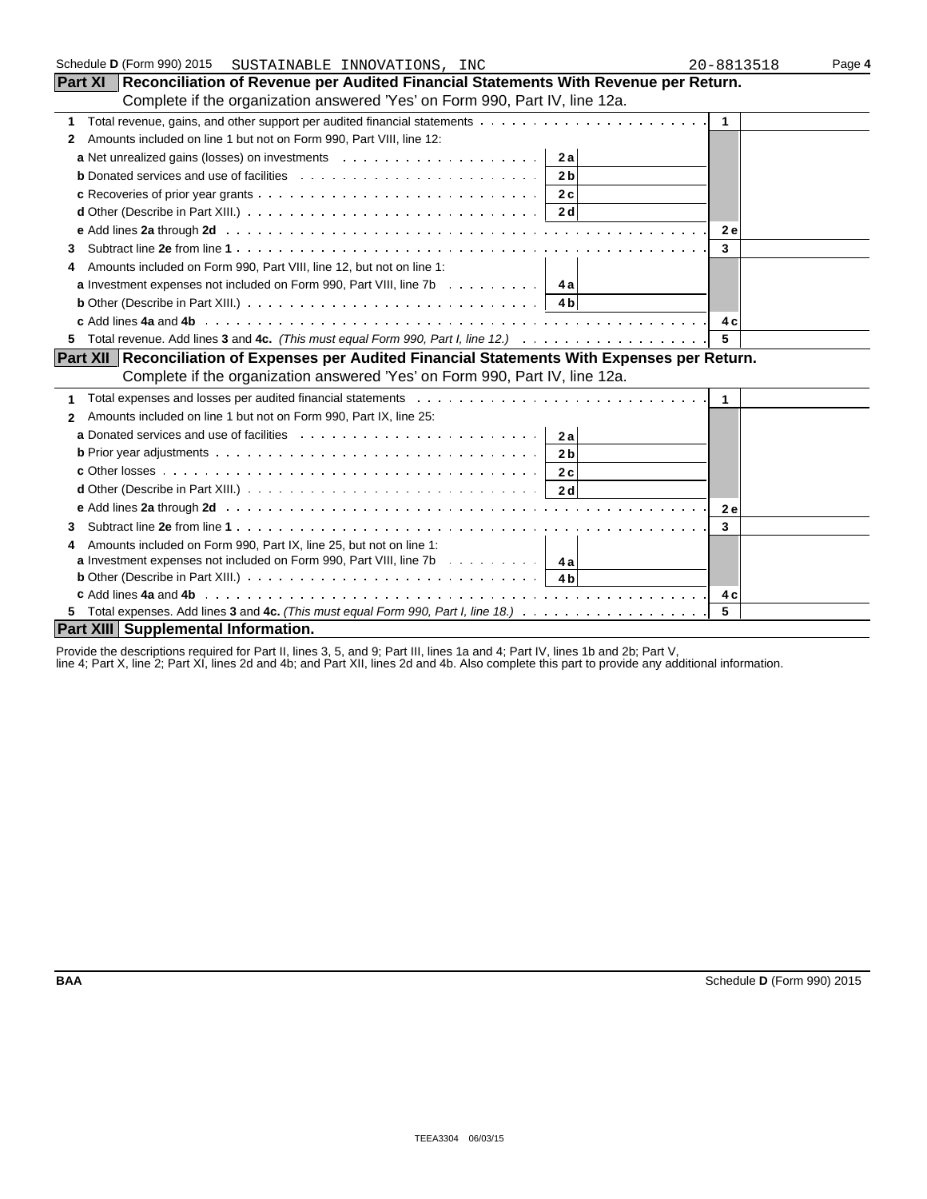| Schedule D (Form 990) 2015<br>SUSTAINABLE INNOVATIONS, INC                                                                | 20-8813518     | Page 4 |
|---------------------------------------------------------------------------------------------------------------------------|----------------|--------|
| Part XI   Reconciliation of Revenue per Audited Financial Statements With Revenue per Return.                             |                |        |
| Complete if the organization answered 'Yes' on Form 990, Part IV, line 12a.                                               |                |        |
|                                                                                                                           | $\overline{1}$ |        |
| Amounts included on line 1 but not on Form 990, Part VIII, line 12:<br>2                                                  |                |        |
| 2a                                                                                                                        |                |        |
| <b>b</b> Donated services and use of facilities $\ldots \ldots \ldots \ldots \ldots \ldots \ldots \ldots$<br>2 bl         |                |        |
|                                                                                                                           |                |        |
|                                                                                                                           |                |        |
|                                                                                                                           | <b>2e</b>      |        |
| 3                                                                                                                         | 3              |        |
| Amounts included on Form 990, Part VIII, line 12, but not on line 1:<br>4                                                 |                |        |
| <b>a</b> Investment expenses not included on Form 990, Part VIII, line 7b 4a                                              |                |        |
| <b>b</b> Other (Describe in Part XIII.) $\ldots \ldots \ldots \ldots \ldots \ldots \ldots \ldots$                         |                |        |
|                                                                                                                           | 4 c            |        |
| 5.                                                                                                                        | 5              |        |
| Part XII Reconciliation of Expenses per Audited Financial Statements With Expenses per Return.                            |                |        |
| Complete if the organization answered 'Yes' on Form 990, Part IV, line 12a.                                               |                |        |
|                                                                                                                           |                |        |
| Amounts included on line 1 but not on Form 990, Part IX, line 25:<br>$\mathbf{2}$                                         |                |        |
| a Donated services and use of facilities $\ldots \ldots \ldots \ldots \ldots \ldots \ldots \ldots$   2a                   |                |        |
| <b>b</b> Prior year adjustments $\ldots \ldots \ldots \ldots \ldots \ldots \ldots \ldots \ldots \ldots \ldots$<br>2 b     |                |        |
|                                                                                                                           |                |        |
| <b>d</b> Other (Describe in Part XIII.) $\ldots \ldots \ldots \ldots \ldots \ldots \ldots \ldots \ldots \ldots \ldots$ 2d |                |        |
|                                                                                                                           | <b>2e</b>      |        |
|                                                                                                                           | 3              |        |
| Amounts included on Form 990, Part IX, line 25, but not on line 1:<br>4                                                   |                |        |
| <b>a</b> Investment expenses not included on Form 990, Part VIII, line 7b $\ldots \ldots \ldots$                          |                |        |
|                                                                                                                           |                |        |
|                                                                                                                           |                |        |
|                                                                                                                           | 5              |        |
| Part XIII Supplemental Information.                                                                                       |                |        |

Provide the descriptions required for Part II, lines 3, 5, and 9; Part III, lines 1a and 4; Part IV, lines 1b and 2b; Part V,

line 4; Part X, line 2; Part XI, lines 2d and 4b; and Part XII, lines 2d and 4b. Also complete this part to provide any additional information.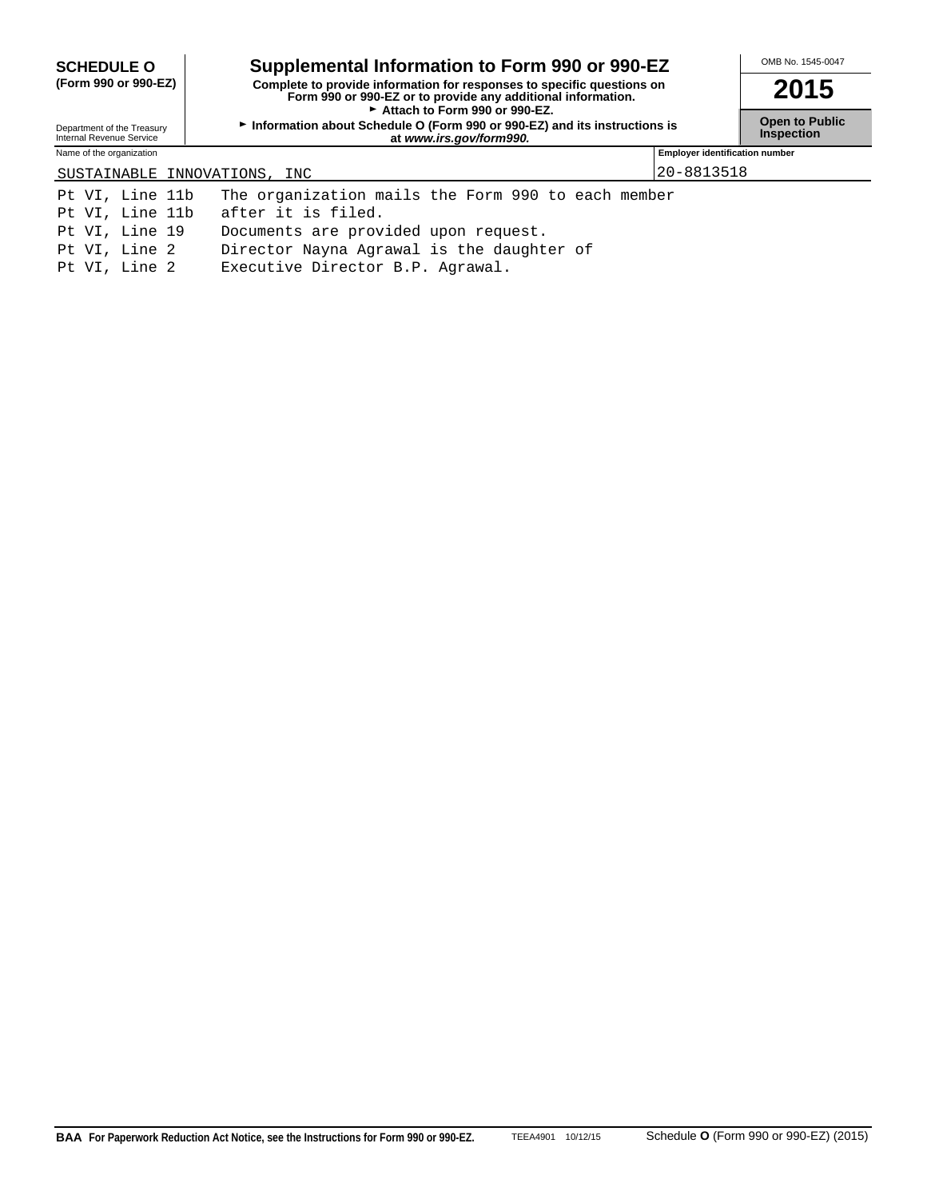| <b>SCHEDULE O</b>                                      | Supplemental Information to Form 990 or 990-EZ                                                                                                                          |                                            | OMB No. 1545-0047 |
|--------------------------------------------------------|-------------------------------------------------------------------------------------------------------------------------------------------------------------------------|--------------------------------------------|-------------------|
| (Form 990 or 990-EZ)                                   | Complete to provide information for responses to specific questions on<br>Form 990 or 990-EZ or to provide any additional information.<br>Attach to Form 990 or 990-EZ. |                                            | 2015              |
| Department of the Treasury<br>Internal Revenue Service | Information about Schedule O (Form 990 or 990-EZ) and its instructions is                                                                                               | <b>Open to Public</b><br><b>Inspection</b> |                   |
| Name of the organization                               |                                                                                                                                                                         | <b>Employer identification number</b>      |                   |
| SUSTAINABLE INNOVATIONS, INC                           |                                                                                                                                                                         | 20-8813518                                 |                   |
| Pt VI, Line 11b                                        | The organization mails the Form 990 to each member                                                                                                                      |                                            |                   |
| Pt VI, Line 11b                                        | after it is filed.                                                                                                                                                      |                                            |                   |
| Pt VI, Line 19                                         | Documents are provided upon request.                                                                                                                                    |                                            |                   |
| Pt VI, Line 2                                          | Director Nayna Agrawal is the daughter of                                                                                                                               |                                            |                   |
| Pt VI, Line 2                                          | Executive Director B.P. Agrawal.                                                                                                                                        |                                            |                   |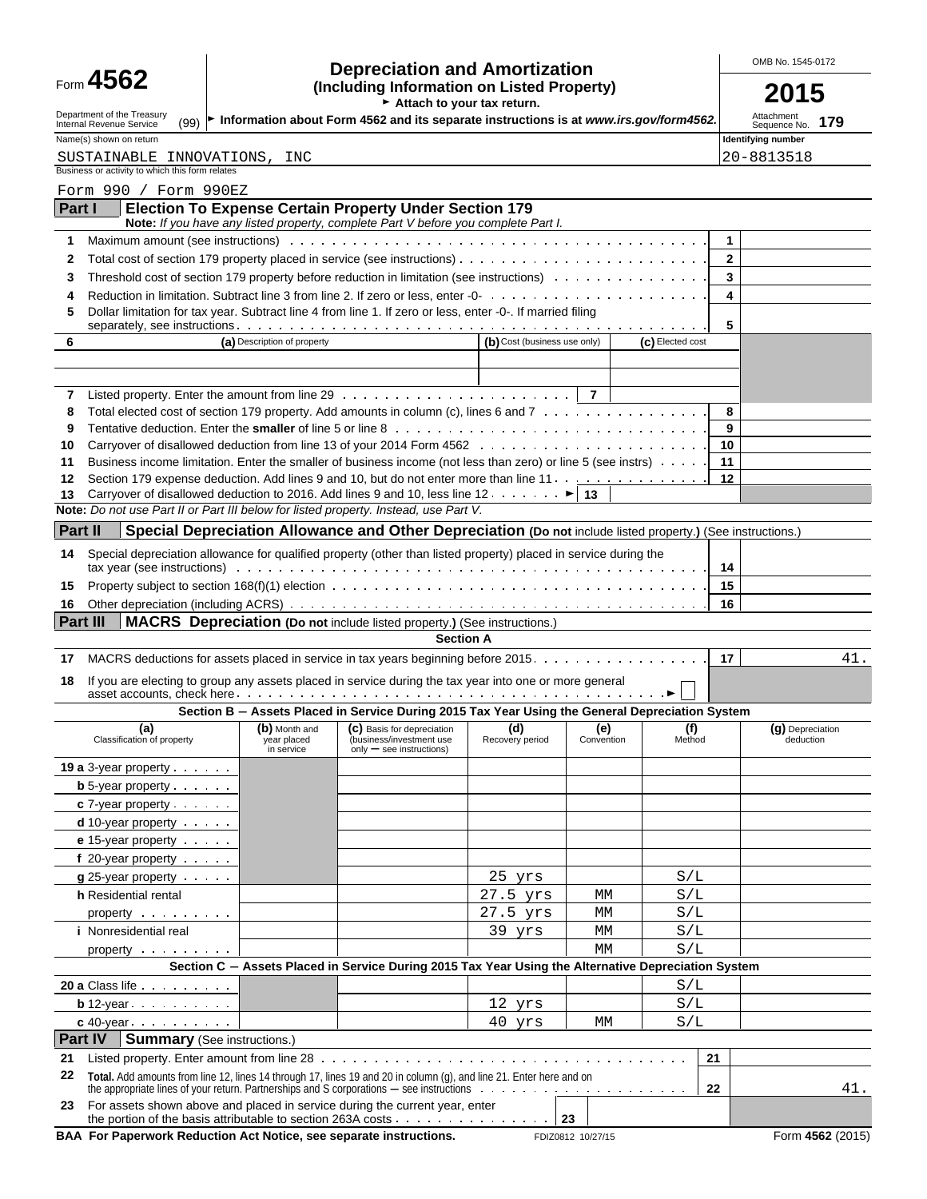| Form 4562 |  |  |
|-----------|--|--|
|-----------|--|--|

# Form **4562 Depreciation and Amortization COMB No. 1545-0172**<br>
(Including Information on Listed Property) **COLL**

|                                                                                                                                                     |                                            | (Including Information on Listed Property)<br>$\triangleright$ Attach to your tax return.                                                                                                                                      |                              |                   |                  |                         |                                    |
|-----------------------------------------------------------------------------------------------------------------------------------------------------|--------------------------------------------|--------------------------------------------------------------------------------------------------------------------------------------------------------------------------------------------------------------------------------|------------------------------|-------------------|------------------|-------------------------|------------------------------------|
| Department of the Treasury                                                                                                                          |                                            |                                                                                                                                                                                                                                |                              |                   |                  |                         | Attachment<br>179                  |
| (99) ► Information about Form 4562 and its separate instructions is at www.irs.gov/form4562.<br>Internal Revenue Service<br>Name(s) shown on return |                                            |                                                                                                                                                                                                                                |                              |                   |                  |                         | Sequence No.<br>Identifying number |
| SUSTAINABLE INNOVATIONS, INC<br>Business or activity to which this form relates                                                                     |                                            |                                                                                                                                                                                                                                |                              |                   |                  |                         | 20-8813518                         |
| Form 990 / Form 990EZ                                                                                                                               |                                            |                                                                                                                                                                                                                                |                              |                   |                  |                         |                                    |
| Part I                                                                                                                                              |                                            | <b>Election To Expense Certain Property Under Section 179</b><br>Note: If you have any listed property, complete Part V before you complete Part I.                                                                            |                              |                   |                  |                         |                                    |
| 1.                                                                                                                                                  |                                            | Maximum amount (see instructions) with and contact the contract of the contact of the contact of the contact of the contact of the contact of the contact of the contact of the contact of the contact of the contact of the c |                              |                   |                  | 1                       |                                    |
| 2                                                                                                                                                   |                                            |                                                                                                                                                                                                                                |                              |                   |                  | $\mathbf{2}$            |                                    |
| 3                                                                                                                                                   |                                            | Threshold cost of section 179 property before reduction in limitation (see instructions)                                                                                                                                       |                              |                   |                  | $\overline{\mathbf{3}}$ |                                    |
| 4                                                                                                                                                   |                                            |                                                                                                                                                                                                                                |                              |                   |                  | 4                       |                                    |
| 5                                                                                                                                                   |                                            | Dollar limitation for tax year. Subtract line 4 from line 1. If zero or less, enter -0-. If married filing                                                                                                                     |                              |                   |                  | 5                       |                                    |
| 6                                                                                                                                                   | (a) Description of property                |                                                                                                                                                                                                                                | (b) Cost (business use only) |                   | (c) Elected cost |                         |                                    |
|                                                                                                                                                     |                                            |                                                                                                                                                                                                                                |                              |                   |                  |                         |                                    |
| 7                                                                                                                                                   |                                            |                                                                                                                                                                                                                                |                              | $\overline{7}$    |                  |                         |                                    |
| 8                                                                                                                                                   |                                            | Total elected cost of section 179 property. Add amounts in column (c), lines 6 and 7                                                                                                                                           |                              |                   |                  | 8                       |                                    |
| 9                                                                                                                                                   |                                            |                                                                                                                                                                                                                                |                              |                   |                  | 9                       |                                    |
| 10                                                                                                                                                  |                                            |                                                                                                                                                                                                                                |                              |                   |                  | 10                      |                                    |
| 11                                                                                                                                                  |                                            | Business income limitation. Enter the smaller of business income (not less than zero) or line 5 (see instrs)                                                                                                                   |                              |                   |                  | 11                      |                                    |
| 12                                                                                                                                                  |                                            | Section 179 expense deduction. Add lines 9 and 10, but do not enter more than line 11.                                                                                                                                         |                              |                   |                  | 12                      |                                    |
| 13                                                                                                                                                  |                                            | Carryover of disallowed deduction to 2016. Add lines 9 and 10, less line 12. $\dots \dots$ $\blacktriangleright$ 13                                                                                                            |                              |                   |                  |                         |                                    |
| Note: Do not use Part II or Part III below for listed property. Instead, use Part V.                                                                |                                            |                                                                                                                                                                                                                                |                              |                   |                  |                         |                                    |
| <b>Part II</b>                                                                                                                                      |                                            | Special Depreciation Allowance and Other Depreciation (Do not include listed property.) (See instructions.)                                                                                                                    |                              |                   |                  |                         |                                    |
| 14                                                                                                                                                  |                                            | Special depreciation allowance for qualified property (other than listed property) placed in service during the                                                                                                                |                              |                   |                  | 14                      |                                    |
| 15                                                                                                                                                  |                                            |                                                                                                                                                                                                                                |                              |                   |                  | 15                      |                                    |
| 16                                                                                                                                                  |                                            |                                                                                                                                                                                                                                |                              |                   |                  | 16                      |                                    |
| <b>Part III</b>                                                                                                                                     |                                            | <b>MACRS</b> Depreciation (Do not include listed property.) (See instructions.)                                                                                                                                                |                              |                   |                  |                         |                                    |
|                                                                                                                                                     |                                            |                                                                                                                                                                                                                                |                              |                   |                  |                         |                                    |
|                                                                                                                                                     |                                            | <b>Section A</b>                                                                                                                                                                                                               |                              |                   |                  |                         |                                    |
|                                                                                                                                                     |                                            | MACRS deductions for assets placed in service in tax years beginning before 2015.                                                                                                                                              |                              |                   |                  | 17                      |                                    |
|                                                                                                                                                     |                                            | If you are electing to group any assets placed in service during the tax year into one or more general                                                                                                                         |                              |                   |                  |                         |                                    |
|                                                                                                                                                     |                                            | Section B - Assets Placed in Service During 2015 Tax Year Using the General Depreciation System                                                                                                                                |                              |                   |                  |                         | 41.                                |
| (a)<br>Classification of property                                                                                                                   | (b) Month and<br>year placed<br>in service | (C) Basis for depreciation<br>(business/investment use<br>only - see instructions)                                                                                                                                             | (d)<br>Recovery period       | (e)<br>Convention | (f)<br>Method    |                         | (g) Depreciation<br>deduction      |
|                                                                                                                                                     |                                            |                                                                                                                                                                                                                                |                              |                   |                  |                         |                                    |
| <b>b</b> 5-year property $\cdot$ $\cdot$ $\cdot$                                                                                                    |                                            |                                                                                                                                                                                                                                |                              |                   |                  |                         |                                    |
|                                                                                                                                                     |                                            |                                                                                                                                                                                                                                |                              |                   |                  |                         |                                    |
| $c$ 7-year property $\cdots$                                                                                                                        |                                            |                                                                                                                                                                                                                                |                              |                   |                  |                         |                                    |
| $d$ 10-year property $\cdots$                                                                                                                       |                                            |                                                                                                                                                                                                                                |                              |                   |                  |                         |                                    |
| e 15-year property                                                                                                                                  |                                            |                                                                                                                                                                                                                                |                              |                   |                  |                         |                                    |
| f 20-year property $\cdots$                                                                                                                         |                                            |                                                                                                                                                                                                                                |                              |                   |                  |                         |                                    |
| $g$ 25-year property $\cdots$                                                                                                                       |                                            |                                                                                                                                                                                                                                | 25 yrs                       |                   | S/L              |                         |                                    |
| h Residential rental                                                                                                                                |                                            |                                                                                                                                                                                                                                | $27.5$ $yrs$                 | МM                | S/L              |                         |                                    |
| property                                                                                                                                            |                                            |                                                                                                                                                                                                                                | 27.5 yrs                     | МM                | S/L              |                         |                                    |
| <i>i</i> Nonresidential real                                                                                                                        |                                            |                                                                                                                                                                                                                                | 39 yrs                       | МM                | S/L              |                         |                                    |
| property exercise the property                                                                                                                      |                                            |                                                                                                                                                                                                                                |                              | МM                | S/L              |                         |                                    |
|                                                                                                                                                     |                                            | Section C - Assets Placed in Service During 2015 Tax Year Using the Alternative Depreciation System                                                                                                                            |                              |                   |                  |                         |                                    |
|                                                                                                                                                     |                                            |                                                                                                                                                                                                                                |                              |                   | S/L              |                         |                                    |
| 17<br>18<br><b>19 a</b> 3-year property<br>20 a Class life<br>$\mathbf{b}$ 12-year $\cdots$                                                         |                                            |                                                                                                                                                                                                                                | 12 yrs                       |                   | S/L              |                         |                                    |

| 22  | Total. Add amounts from line 12, lines 14 through 17, lines 19 and 20 in column (q), and line 21. Enter here and on<br>the appropriate lines of your return. Partnerships and S corporations – see instructions | 22 |  |  |  |
|-----|-----------------------------------------------------------------------------------------------------------------------------------------------------------------------------------------------------------------|----|--|--|--|
| 23. | For assets shown above and placed in service during the current year, enter                                                                                                                                     |    |  |  |  |
|     | the portion of the basis attributable to section 263A costs                                                                                                                                                     | 23 |  |  |  |

**BAA For Paperwork Reduction Act Notice, see separate instructions.** FDIZ0812 10/27/15 Form 4562 (2015)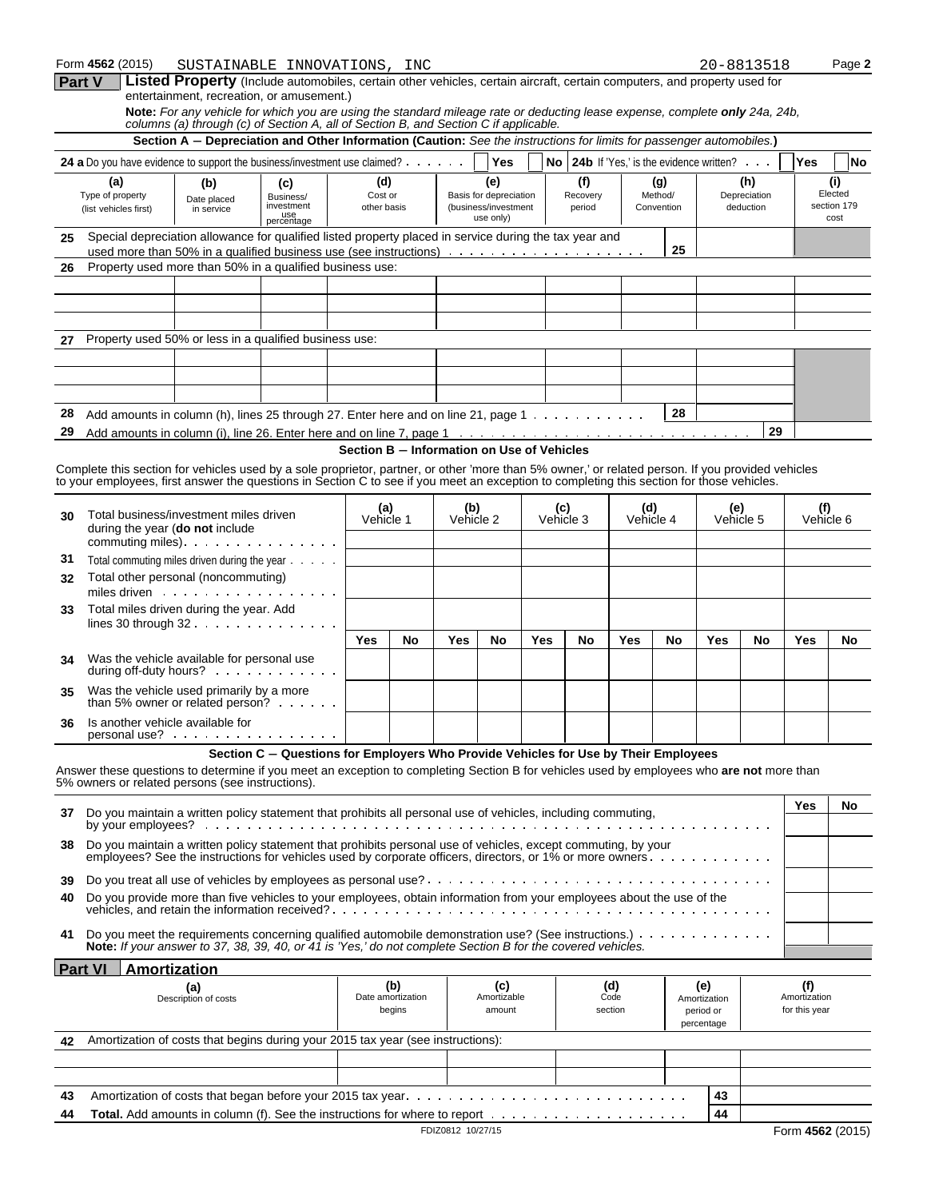|    | Form 4562 (2015)                                                                                                                                                                                                                                                                               |                                                                                                                                                                                                                     | SUSTAINABLE INNOVATIONS, INC                                                        |                                            |                                    |                   |                                   |     |                  |          |                        |            |                                           | 20-8813518   |                                      | Page 2              |
|----|------------------------------------------------------------------------------------------------------------------------------------------------------------------------------------------------------------------------------------------------------------------------------------------------|---------------------------------------------------------------------------------------------------------------------------------------------------------------------------------------------------------------------|-------------------------------------------------------------------------------------|--------------------------------------------|------------------------------------|-------------------|-----------------------------------|-----|------------------|----------|------------------------|------------|-------------------------------------------|--------------|--------------------------------------|---------------------|
|    | Part V                                                                                                                                                                                                                                                                                         | Listed Property (Include automobiles, certain other vehicles, certain aircraft, certain computers, and property used for<br>entertainment, recreation, or amusement.)                                               |                                                                                     |                                            |                                    |                   |                                   |     |                  |          |                        |            |                                           |              |                                      |                     |
|    |                                                                                                                                                                                                                                                                                                | Note: For any vehicle for which you are using the standard mileage rate or deducting lease expense, complete only 24a, 24b,<br>columns (a) through (c) of Section A, all of Section B, and Section C if applicable. |                                                                                     |                                            |                                    |                   |                                   |     |                  |          |                        |            |                                           |              |                                      |                     |
|    |                                                                                                                                                                                                                                                                                                | Section A - Depreciation and Other Information (Caution: See the instructions for limits for passenger automobiles.)                                                                                                |                                                                                     |                                            |                                    |                   |                                   |     |                  |          |                        |            |                                           |              |                                      |                     |
|    | 24 a Do you have evidence to support the business/investment use claimed?<br>(a)                                                                                                                                                                                                               |                                                                                                                                                                                                                     |                                                                                     | (d)                                        |                                    |                   | <b>Yes</b><br>(e)                 |     |                  | (f)      |                        | (g)        | No 24b If 'Yes,' is the evidence written? | (h)          | Yes                                  | No<br>(i)           |
|    | Type of property                                                                                                                                                                                                                                                                               | (b)<br>Date placed                                                                                                                                                                                                  | (c)<br>Business/                                                                    | Cost or                                    |                                    |                   | Basis for depreciation            |     |                  | Recovery |                        | Method/    |                                           | Depreciation |                                      | Elected             |
|    | (list vehicles first)                                                                                                                                                                                                                                                                          | in service                                                                                                                                                                                                          | investment<br>use<br>percentage                                                     | other basis                                |                                    |                   | (business/investment<br>use only) |     |                  | period   |                        | Convention |                                           | deduction    |                                      | section 179<br>cost |
| 25 | Special depreciation allowance for qualified listed property placed in service during the tax year and                                                                                                                                                                                         |                                                                                                                                                                                                                     |                                                                                     |                                            |                                    |                   |                                   |     |                  |          |                        |            |                                           |              |                                      |                     |
| 26 | Property used more than 50% in a qualified business use:                                                                                                                                                                                                                                       |                                                                                                                                                                                                                     |                                                                                     |                                            |                                    |                   |                                   |     |                  |          |                        | 25         |                                           |              |                                      |                     |
|    |                                                                                                                                                                                                                                                                                                |                                                                                                                                                                                                                     |                                                                                     |                                            |                                    |                   |                                   |     |                  |          |                        |            |                                           |              |                                      |                     |
|    |                                                                                                                                                                                                                                                                                                |                                                                                                                                                                                                                     |                                                                                     |                                            |                                    |                   |                                   |     |                  |          |                        |            |                                           |              |                                      |                     |
|    |                                                                                                                                                                                                                                                                                                |                                                                                                                                                                                                                     |                                                                                     |                                            |                                    |                   |                                   |     |                  |          |                        |            |                                           |              |                                      |                     |
| 27 | Property used 50% or less in a qualified business use:                                                                                                                                                                                                                                         |                                                                                                                                                                                                                     |                                                                                     |                                            |                                    |                   |                                   |     |                  |          |                        |            |                                           |              |                                      |                     |
|    |                                                                                                                                                                                                                                                                                                |                                                                                                                                                                                                                     |                                                                                     |                                            |                                    |                   |                                   |     |                  |          |                        |            |                                           |              |                                      |                     |
|    |                                                                                                                                                                                                                                                                                                |                                                                                                                                                                                                                     |                                                                                     |                                            |                                    |                   |                                   |     |                  |          |                        |            |                                           |              |                                      |                     |
| 28 | Add amounts in column (h), lines 25 through 27. Enter here and on line 21, page $1 \cdot \cdot \cdot \cdot \cdot \cdot \cdot \cdot \cdot$                                                                                                                                                      |                                                                                                                                                                                                                     |                                                                                     |                                            |                                    |                   |                                   |     |                  |          |                        | 28         |                                           |              |                                      |                     |
| 29 |                                                                                                                                                                                                                                                                                                |                                                                                                                                                                                                                     |                                                                                     |                                            |                                    |                   |                                   |     |                  |          |                        |            |                                           | 29           |                                      |                     |
|    |                                                                                                                                                                                                                                                                                                |                                                                                                                                                                                                                     |                                                                                     | Section B - Information on Use of Vehicles |                                    |                   |                                   |     |                  |          |                        |            |                                           |              |                                      |                     |
|    | Complete this section for vehicles used by a sole proprietor, partner, or other 'more than 5% owner,' or related person. If you provided vehicles<br>to your employees, first answer the questions in Section C to see if you meet an exception to completing this section for those vehicles. |                                                                                                                                                                                                                     |                                                                                     |                                            |                                    |                   |                                   |     |                  |          |                        |            |                                           |              |                                      |                     |
|    |                                                                                                                                                                                                                                                                                                |                                                                                                                                                                                                                     |                                                                                     |                                            |                                    |                   |                                   |     |                  |          |                        |            |                                           |              |                                      |                     |
| 30 | Total business/investment miles driven                                                                                                                                                                                                                                                         |                                                                                                                                                                                                                     |                                                                                     |                                            | (a)<br>Vehicle 1                   | (b)<br>Vehicle 2  |                                   |     | (c)<br>Vehicle 3 |          | (d)                    | Vehicle 4  | (e)                                       | Vehicle 5    | (f)                                  | Vehicle 6           |
|    | during the year (do not include                                                                                                                                                                                                                                                                |                                                                                                                                                                                                                     |                                                                                     |                                            |                                    |                   |                                   |     |                  |          |                        |            |                                           |              |                                      |                     |
| 31 | Total commuting miles driven during the year                                                                                                                                                                                                                                                   |                                                                                                                                                                                                                     |                                                                                     |                                            |                                    |                   |                                   |     |                  |          |                        |            |                                           |              |                                      |                     |
| 32 | Total other personal (noncommuting)                                                                                                                                                                                                                                                            |                                                                                                                                                                                                                     |                                                                                     |                                            |                                    |                   |                                   |     |                  |          |                        |            |                                           |              |                                      |                     |
|    | miles driven<br>Total miles driven during the year. Add                                                                                                                                                                                                                                        |                                                                                                                                                                                                                     |                                                                                     |                                            |                                    |                   |                                   |     |                  |          |                        |            |                                           |              |                                      |                     |
| 33 | lines 30 through $32 \cdot \cdot \cdot \cdot \cdot \cdot \cdot \cdot \cdot \cdot \cdot$                                                                                                                                                                                                        |                                                                                                                                                                                                                     |                                                                                     |                                            |                                    |                   |                                   |     |                  |          |                        |            |                                           |              |                                      |                     |
|    |                                                                                                                                                                                                                                                                                                |                                                                                                                                                                                                                     |                                                                                     | Yes                                        | No                                 | Yes               | No                                | Yes |                  | No       | Yes                    | No         | Yes                                       | No           | Yes                                  | No                  |
| 34 | Was the vehicle available for personal use<br>during off-duty hours?                                                                                                                                                                                                                           |                                                                                                                                                                                                                     |                                                                                     |                                            |                                    |                   |                                   |     |                  |          |                        |            |                                           |              |                                      |                     |
| 35 | Was the vehicle used primarily by a more<br>than 5% owner or related person?                                                                                                                                                                                                                   |                                                                                                                                                                                                                     |                                                                                     |                                            |                                    |                   |                                   |     |                  |          |                        |            |                                           |              |                                      |                     |
| 36 | Is another vehicle available for                                                                                                                                                                                                                                                               |                                                                                                                                                                                                                     |                                                                                     |                                            |                                    |                   |                                   |     |                  |          |                        |            |                                           |              |                                      |                     |
|    | personal use?                                                                                                                                                                                                                                                                                  |                                                                                                                                                                                                                     |                                                                                     |                                            |                                    |                   |                                   |     |                  |          |                        |            |                                           |              |                                      |                     |
|    | Answer these questions to determine if you meet an exception to completing Section B for vehicles used by employees who are not more than<br>5% owners or related persons (see instructions).                                                                                                  |                                                                                                                                                                                                                     | Section C - Questions for Employers Who Provide Vehicles for Use by Their Employees |                                            |                                    |                   |                                   |     |                  |          |                        |            |                                           |              |                                      |                     |
| 37 | Do you maintain a written policy statement that prohibits all personal use of vehicles, including commuting,<br>by your emplovees?                                                                                                                                                             |                                                                                                                                                                                                                     |                                                                                     |                                            |                                    |                   |                                   |     |                  |          |                        |            |                                           |              | Yes                                  | No                  |
| 38 | Do you maintain a written policy statement that prohibits personal use of vehicles, except commuting, by your<br>employees? See the instructions for vehicles used by corporate officers, directors, or 1% or more owners                                                                      |                                                                                                                                                                                                                     |                                                                                     |                                            |                                    |                   |                                   |     |                  |          |                        |            |                                           |              |                                      |                     |
| 39 |                                                                                                                                                                                                                                                                                                |                                                                                                                                                                                                                     |                                                                                     |                                            |                                    |                   |                                   |     |                  |          |                        |            |                                           |              |                                      |                     |
| 40 | Do you provide more than five vehicles to your employees, obtain information from your employees about the use of the                                                                                                                                                                          |                                                                                                                                                                                                                     |                                                                                     |                                            |                                    |                   |                                   |     |                  |          |                        |            |                                           |              |                                      |                     |
| 41 | Do you meet the requirements concerning qualified automobile demonstration use? (See instructions.)<br>Note: If your answer to 37, 38, 39, 40, or 41 is 'Yes,' do not complete Section B for the covered vehicles.                                                                             |                                                                                                                                                                                                                     |                                                                                     |                                            |                                    |                   |                                   |     |                  |          |                        |            |                                           |              |                                      |                     |
|    | <b>Part VI</b><br>Amortization                                                                                                                                                                                                                                                                 |                                                                                                                                                                                                                     |                                                                                     |                                            |                                    |                   |                                   |     |                  |          |                        |            |                                           |              |                                      |                     |
|    |                                                                                                                                                                                                                                                                                                | (a)<br>Description of costs                                                                                                                                                                                         |                                                                                     |                                            | (b)<br>Date amortization<br>begins |                   | (c)<br>Amortizable<br>amount      |     |                  |          | (d)<br>Code<br>section |            | (e)<br>Amortization<br>period or          |              | (f)<br>Amortization<br>for this year |                     |
| 42 | Amortization of costs that begins during your 2015 tax year (see instructions):                                                                                                                                                                                                                |                                                                                                                                                                                                                     |                                                                                     |                                            |                                    |                   |                                   |     |                  |          |                        |            | percentage                                |              |                                      |                     |
|    |                                                                                                                                                                                                                                                                                                |                                                                                                                                                                                                                     |                                                                                     |                                            |                                    |                   |                                   |     |                  |          |                        |            |                                           |              |                                      |                     |
|    |                                                                                                                                                                                                                                                                                                |                                                                                                                                                                                                                     |                                                                                     |                                            |                                    |                   |                                   |     |                  |          |                        |            |                                           |              |                                      |                     |
| 43 |                                                                                                                                                                                                                                                                                                |                                                                                                                                                                                                                     |                                                                                     |                                            |                                    |                   |                                   |     |                  |          |                        |            | 43                                        |              |                                      |                     |
| 44 |                                                                                                                                                                                                                                                                                                |                                                                                                                                                                                                                     |                                                                                     |                                            |                                    | FDIZ0812 10/27/15 |                                   |     |                  |          |                        |            | 44                                        |              |                                      |                     |
|    |                                                                                                                                                                                                                                                                                                |                                                                                                                                                                                                                     |                                                                                     |                                            |                                    |                   |                                   |     |                  |          |                        |            |                                           |              | Form 4562 (2015)                     |                     |